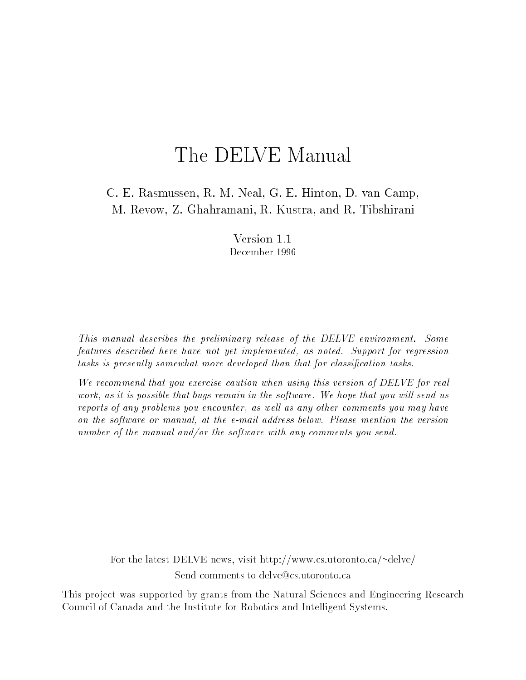# The DELVE Manual

C. E. Rasmussen, R. M. Neal, G. E. Hinton, D. van Camp, M. Revow, Z. Ghahramani, R. Kustra, and R. Tibshirani

> Version 1.1 December 1996

This manual describes the preliminary release of the DELVE environment. Some features described here have not yet implemented, as noted. Support for regression tasks is presently somewhat more developed than that for classification tasks.

We recommend that you exercise caution when using this version of DELVE for real work, as it is possible that bugs remain in the software. We hope that you will send us reports of any problems you encounter, as well as any other comments you may have on the software or manual, at the e-mail address below. Please mention the version number of the manual and/or the software with any comments you send.

For the latest DELVE news, visit http://www.cs.utoronto.ca/~delve/ Send comments to delve@cs.utoronto.ca

This project was supported by grants from the Natural Sciences and Engineering Research Council of Canada and the Institute for Robotics and Intelligent Systems.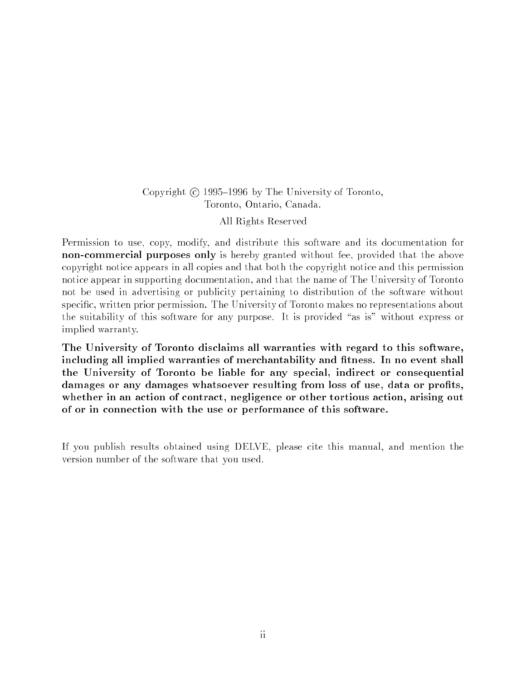## Copyright  $\odot$  1995–1996 by The University of Toronto, Toronto, Ontario, Canada. All Rights Reserved

Permission to use, copy, modify, and distribute this software and its documentation for non-commercial purposes only is hereby granted without fee, provided that the above copyright notice appears in all copies and that both the copyright notice and this permission notice appear in supporting documentation, and that the name of The University of Toronto not be used in advertising or publicity pertaining to distribution of the software without specic, written prior permission. The University of Toronto makes no representations about the suitability of this software for any purpose. It is provided "as is" without express or implied warranty.

The University of Toronto disclaims all warranties with regard to this software, including all implied warranties of merchantability and fitness. In no event shall the University of Toronto be liable for any special, indirect or consequential damages or any damages whatsoever resulting from loss of use, data or profits, whether in an action of contract, negligence or other tortious action, arising out of or in connection with the use or performance of this software.

If you publish results obtained using DELVE, please cite this manual, and mention the version number of the software that you used.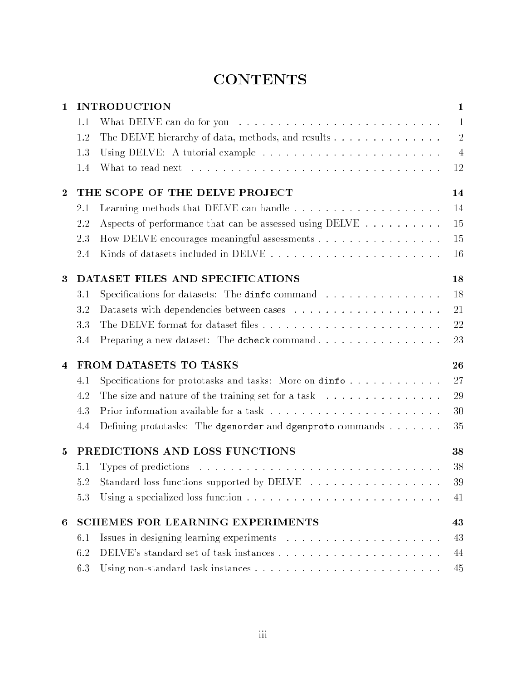# **CONTENTS**

| $\mathbf{1}$   |                                         | <b>INTRODUCTION</b>                                                                                    | $\mathbf{1}$   |  |
|----------------|-----------------------------------------|--------------------------------------------------------------------------------------------------------|----------------|--|
|                | 1.1                                     |                                                                                                        | $\mathbf{1}$   |  |
|                | 1.2                                     | The DELVE hierarchy of data, methods, and results                                                      | $\overline{2}$ |  |
|                | 1.3                                     |                                                                                                        | $\overline{4}$ |  |
|                | 1.4                                     |                                                                                                        | 12             |  |
| $\bf{2}$       |                                         | THE SCOPE OF THE DELVE PROJECT                                                                         | 14             |  |
|                | 2.1                                     |                                                                                                        | 14             |  |
|                | 2.2                                     | Aspects of performance that can be assessed using DELVE                                                | 15             |  |
|                | 2.3                                     | How DELVE encourages meaningful assessments                                                            | 15             |  |
|                | 2.4                                     |                                                                                                        | 16             |  |
| 3              |                                         | DATASET FILES AND SPECIFICATIONS                                                                       | 18             |  |
|                | 3.1                                     | Specifications for datasets: The dinfo command                                                         | 18             |  |
|                | 3.2                                     |                                                                                                        | 21             |  |
|                | 3.3                                     |                                                                                                        | 22             |  |
|                | 3.4                                     | Preparing a new dataset: The dcheck command                                                            | 23             |  |
| $\overline{4}$ | FROM DATASETS TO TASKS<br>26            |                                                                                                        |                |  |
|                | 4.1                                     | Specifications for prototasks and tasks: More on $\text{dim} f \circ \ldots \circ \ldots \circ \ldots$ | 27             |  |
|                | 4.2                                     | The size and nature of the training set for a task $\ldots \ldots \ldots \ldots \ldots$                | 29             |  |
|                | 4.3                                     |                                                                                                        | 30             |  |
|                | 4.4                                     | Defining prototasks: The dgenorder and dgenproto commands                                              | 35             |  |
| $\mathbf{5}$   | PREDICTIONS AND LOSS FUNCTIONS<br>38    |                                                                                                        |                |  |
|                | 5.1                                     |                                                                                                        | 38             |  |
|                |                                         | 5.2 Standard loss functions supported by DELVE                                                         | 39             |  |
|                | 5.3                                     | Using a specialized loss function $\ldots \ldots \ldots \ldots \ldots \ldots \ldots \ldots$            | 41             |  |
| 6              | <b>SCHEMES FOR LEARNING EXPERIMENTS</b> |                                                                                                        |                |  |
|                | 6.1                                     |                                                                                                        | 43             |  |
|                | 6.2                                     |                                                                                                        | 44             |  |
|                | 6.3                                     |                                                                                                        | 45             |  |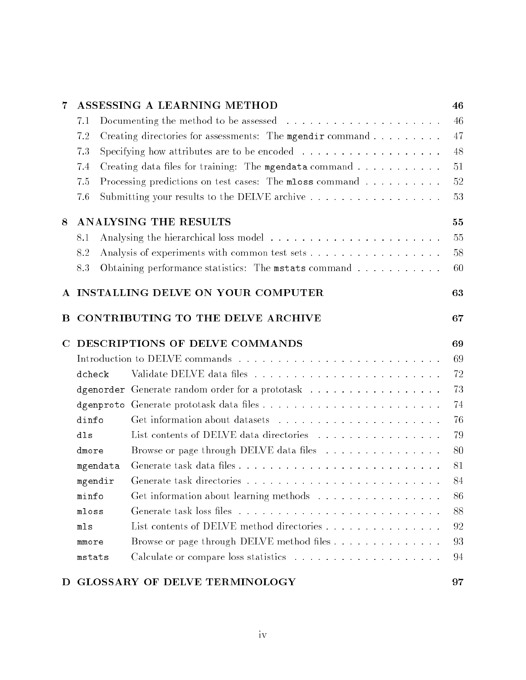| $\overline{7}$ |                                | ASSESSING A LEARNING METHOD                                                              | 46 |
|----------------|--------------------------------|------------------------------------------------------------------------------------------|----|
|                | 7.1                            | Documenting the method to be assessed $\ldots \ldots \ldots \ldots \ldots \ldots \ldots$ | 46 |
|                | 7.2                            | Creating directories for assessments: The mgendir command                                | 47 |
|                | 7.3                            | Specifying how attributes are to be encoded $\ldots \ldots \ldots \ldots \ldots$         | 48 |
|                | 7.4                            | Creating data files for training: The mgendata command                                   | 51 |
|                | 7.5                            | Processing predictions on test cases: The mloss command                                  | 52 |
|                | 7.6                            | Submitting your results to the DELVE archive                                             | 53 |
| 8              |                                | <b>ANALYSING THE RESULTS</b>                                                             | 55 |
|                | 8.1                            |                                                                                          | 55 |
|                | 8.2                            | Analysis of experiments with common test sets                                            | 58 |
|                | 8.3                            | Obtaining performance statistics: The mstats command                                     | 60 |
|                |                                | A INSTALLING DELVE ON YOUR COMPUTER                                                      | 63 |
| В              |                                | CONTRIBUTING TO THE DELVE ARCHIVE                                                        | 67 |
| $\mathbf C$    | DESCRIPTIONS OF DELVE COMMANDS |                                                                                          |    |
|                |                                |                                                                                          |    |
|                | dcheck                         |                                                                                          | 72 |
|                |                                | dgenorder Generate random order for a prototask                                          | 73 |
|                |                                |                                                                                          | 74 |
|                | dinfo                          |                                                                                          | 76 |
|                | dls                            | List contents of DELVE data directories                                                  | 79 |
|                | dmore                          | Browse or page through DELVE data files                                                  | 80 |
|                | mgendata                       |                                                                                          | 81 |
|                | mgendir                        |                                                                                          | 84 |
|                | minfo                          | Get information about learning methods                                                   | 86 |
|                | mloss                          |                                                                                          | 88 |
|                | mls                            | List contents of DELVE method directories                                                | 92 |
|                | mmore                          | Browse or page through DELVE method files                                                | 93 |
|                | mstats                         |                                                                                          | 94 |
|                |                                |                                                                                          |    |

# D GLOSSARY OF DELVE TERMINOLOGY 97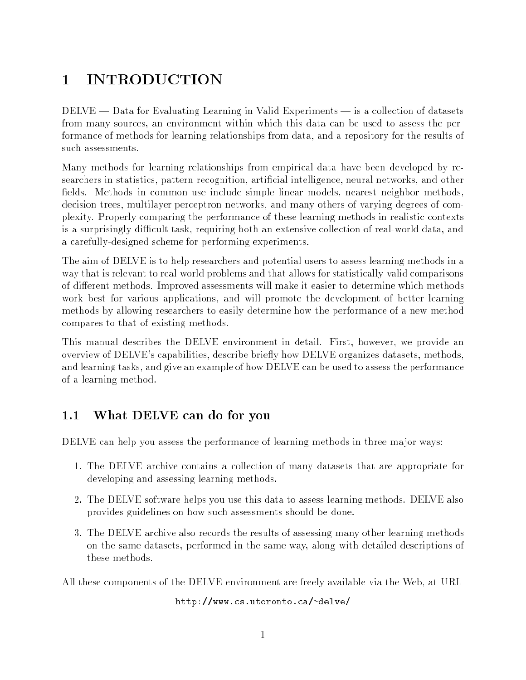# 1 INTRODUCTION

 $DELVE$  — Data for Evaluating Learning in Valid Experiments — is a collection of datasets from many sources, an environment within which this data can be used to assess the performance of methods for learning relationships from data, and a repository for the results of such assessments.

Many methods for learning relationships from empirical data have been developed by researchers in statistics, pattern recognition, artificial intelligence, neural networks, and other fields. Methods in common use include simple linear models, nearest neighbor methods, decision trees, multilayer perceptron networks, and many others of varying degrees of complexity. Properly comparing the performance of these learning methods in realistic contexts is a surprisingly difficult task, requiring both an extensive collection of real-world data, and a carefully-designed scheme for performing experiments.

The aim of DELVE is to help researchers and potential users to assess learning methods in a way that is relevant to real-world problems and that allows for statistically-valid comparisons of different methods. Improved assessments will make it easier to determine which methods work best for various applications, and will promote the development of better learning methods by allowing researchers to easily determine how the performance of a new method compares to that of existing methods.

This manual describes the DELVE environment in detail. First, however, we provide an overview of DELVE's capabilities, describe briefly how DELVE organizes datasets, methods, and learning tasks, and give an example of how DELVE can be used to assess the performance of a learning method.

# 1.1 What DELVE can do for you

DELVE can help you assess the performance of learning methods in three major ways:

- 1. The DELVE archive contains a collection of many datasets that are appropriate for developing and assessing learning methods.
- 2. The DELVE software helps you use this data to assess learning methods. DELVE also provides guidelines on how such assessments should be done.
- 3. The DELVE archive also records the results of assessing many other learning methods on the same datasets, performed in the same way, along with detailed descriptions of these methods.

All these components of the DELVE environment are freely available via the Web, at URL

http://www.cs.utoronto.ca/~delve/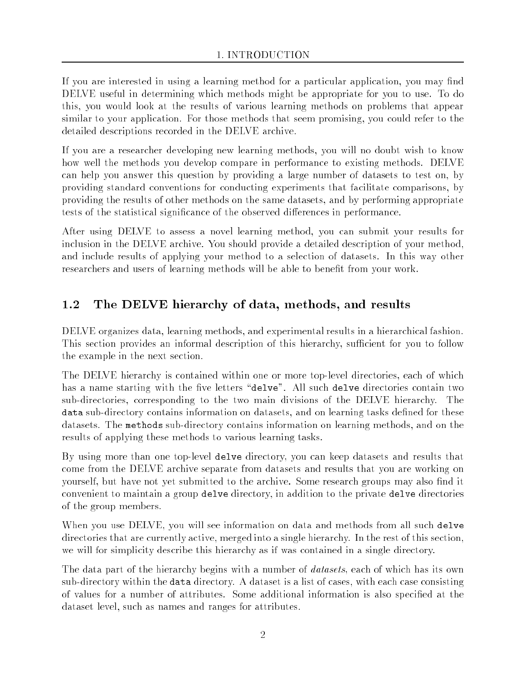If you are interested in using a learning method for a particular application, you may find DELVE useful in determining which methods might be appropriate for you to use. To do this, you would look at the results of various learning methods on problems that appear similar to your application. For those methods that seem promising, you could refer to the detailed descriptions recorded in the DELVE archive.

If you are a researcher developing new learning methods, you will no doubt wish to know how well the methods you develop compare in performance to existing methods. DELVE can help you answer this question by providing a large number of datasets to test on, by providing standard conventions for conducting experiments that facilitate comparisons, by providing the results of other methods on the same datasets, and by performing appropriate tests of the statistical significance of the observed differences in performance.

After using DELVE to assess a novel learning method, you can submit your results for inclusion in the DELVE archive. You should provide a detailed description of your method, and include results of applying your method to a selection of datasets. In this way other researchers and users of learning methods will be able to benefit from your work.

#### $1.2$ The DELVE hierarchy of data, methods, and results

DELVE organizes data, learning methods, and experimental results in a hierarchical fashion. This section provides an informal description of this hierarchy, sufficient for you to follow the example in the next section.

The DELVE hierarchy is contained within one or more top-level directories, each of which has a name starting with the five letters "delve". All such delve directories contain two sub-directories, corresponding to the two main divisions of the DELVE hierarchy. The data sub-directory contains information on datasets, and on learning tasks defined for these datasets. The methods sub-directory contains information on learning methods, and on the results of applying these methods to various learning tasks.

By using more than one top-level delve directory, you can keep datasets and results that come from the DELVE archive separate from datasets and results that you are working on yourself, but have not yet submitted to the archive. Some research groups may also find it convenient to maintain a group delve directory, in addition to the private delve directories of the group members.

When you use DELVE, you will see information on data and methods from all such delve directories that are currently active, merged into a single hierarchy. In the rest of this section, we will for simplicity describe this hierarchy as if was contained in a single directory.

The data part of the hierarchy begins with a number of *datasets*, each of which has its own sub-directory within the data directory. A dataset is a list of cases, with each case consisting of values for a number of attributes. Some additional information is also specied at the dataset level, such as names and ranges for attributes.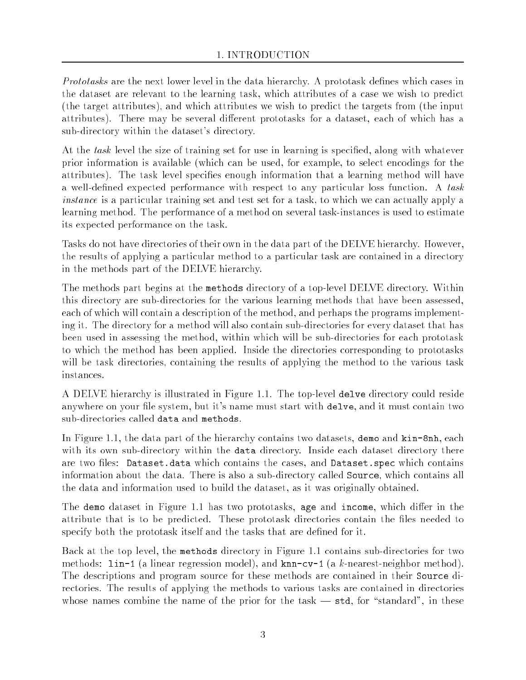Prototasks are the next lower level in the data hierarchy. A prototask defines which cases in the dataset are relevant to the learning task, which attributes of a case we wish to predict (the target attributes), and which attributes we wish to predict the targets from (the input attributes). There may be several different prototasks for a dataset, each of which has a sub-directory within the dataset's directory.

At the task level the size of training set for use in learning is specified, along with whatever prior information is available (which can be used, for example, to select encodings for the attributes). The task level species enough information that a learning method will have a well-defined expected performance with respect to any particular loss function. A task instance is a particular training set and test set for a task, to which we can actually apply a learning method. The performance of a method on several task-instances is used to estimate its expected performance on the task.

Tasks do not have directories of their own in the data part of the DELVE hierarchy. However, the results of applying a particular method to a particular task are contained in a directory in the methods part of the DELVE hierarchy.

The methods part begins at the methods directory of a top-level DELVE directory. Within this directory are sub-directories for the various learning methods that have been assessed, each of which will contain a description of the method, and perhaps the programs implementing it. The directory for a method will also contain sub-directories for every dataset that has been used in assessing the method, within which will be sub-directories for each prototask to which the method has been applied. Inside the directories corresponding to prototasks will be task directories, containing the results of applying the method to the various task

A DELVE hierarchy is illustrated in Figure 1.1. The top-level delve directory could reside anywhere on your file system, but it's name must start with delve, and it must contain two sub-directories called data and methods.

In Figure 1.1, the data part of the hierarchy contains two datasets, demo and kin-8nh, each with its own sub-directory within the **data** directory. Inside each dataset directory there are two files: Dataset.data which contains the cases, and Dataset.spec which contains information about the data. There is also a sub-directory called Source, which contains all the data and information used to build the dataset, as it was originally obtained.

The demo dataset in Figure 1.1 has two prototasks, age and income, which differ in the attribute that is to be predicted. These prototask directories contain the files needed to specify both the prototask itself and the tasks that are defined for it.

Back at the top level, the methods directory in Figure 1.1 contains sub-directories for two methods:  $\text{lin-1}$  (a linear regression model), and knn-cv-1 (a k-nearest-neighbor method). The descriptions and program source for these methods are contained in their Source directories. The results of applying the methods to various tasks are contained in directories whose names combine the name of the prior for the task  $-$  std, for "standard", in these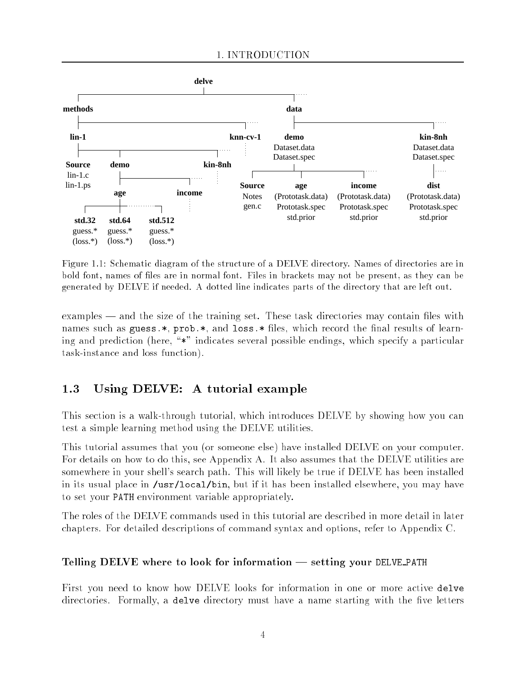

Figure 1.1: Schematic diagram of the structure of a DELVE directory. Names of directories are in bold font, names of les are in normal font. Files in brackets may not be present, as they can be generated by DELVE if needed. A dotted line indicates parts of the directory that are left out.

examples — and the size of the training set. These task directories may contain files with names such as guess. $*$ , prob. $*$ , and loss. $*$  files, which record the final results of learning and prediction (here,  $*$ " indicates several possible endings, which specify a particular task-instance and loss function).

## 1.3 Using DELVE: A tutorial example

This section is a walk-through tutorial, which introduces DELVE by showing how you can test a simple learning method using the DELVE utilities.

This tutorial assumes that you (or someone else) have installed DELVE on your computer. For details on how to do this, see Appendix A. It also assumes that the DELVE utilities are somewhere in your shell's search path. This will likely be true if DELVE has been installed in its usual place in /usr/local/bin, but if it has been installed elsewhere, you may have to set your PATH environment variable appropriately.

The roles of the DELVE commands used in this tutorial are described in more detail in later chapters. For detailed descriptions of command syntax and options, refer to Appendix C.

## Telling DELVE where to look for information  $-$  setting your DELVE PATH

First you need to know how DELVE looks for information in one or more active delve directories. Formally, a delve directory must have a name starting with the five letters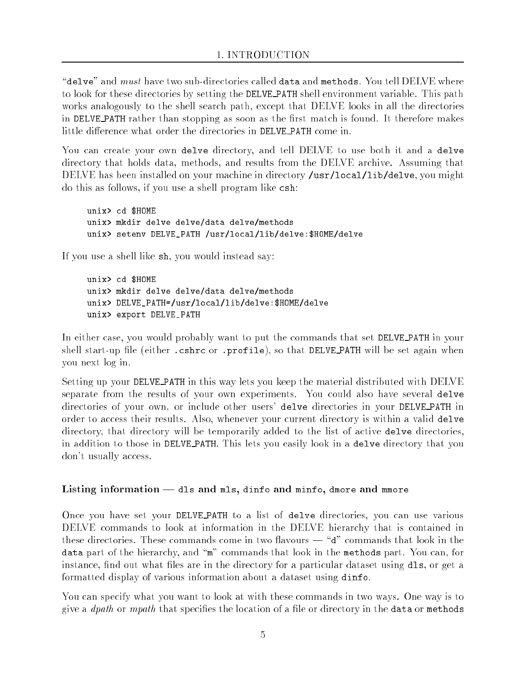"delve" and  $must$  have two sub-directories called data and methods. You tell  $DEIVE$  where to look for these directories by setting the DELVE PATH shell environment variable. This path works analogously to the shell search path, except that DELVE looks in all the directories in DELVE PATH rather than stopping as soon as the first match is found. It therefore makes little difference what order the directories in DELVE PATH come in.

You can create your own delve directory, and tell DELVE to use both it and a delve directory that holds data, methods, and results from the DELVE archive. Assuming that DELVE has been installed on your machine in directory /usr/local/lib/delve, you might do this as follows, if you use a shell program like csh:

unix> cd \$HOME unix> mkdir delve delve/data delve/methods unix> setenv DELVE\_PATH /usr/local/lib/delve:\$HOME/delve

If you use a shell like sh, you would instead say:

unix> cd \$HOME unix> mkdir delve delve/data delve/methods unix> mkdir delve delve/data delve/methods unix> DELVE\_PATH=/usr/local/lib/delve:\$HOME/delve unix> export DELVE\_PATH

In either case, you would probably want to put the commands that set DELVE PATH in your shell start-up file (either .cshrc or .profile), so that DELVE PATH will be set again when you next log in.

Setting up your DELVE PATH in this way lets you keep the material distributed with DELVE separate from the results of your own experiments. You could also have several delve directories of your own, or include other users' delve directories in your DELVE PATH in order to access their results. Also, whenever your current directory is within a valid delve directory, that directory will be temporarily added to the list of active delve directories, in addition to those in DELVE PATH. This lets you easily look in a delve directory that you don't usually access.

## Listing information - dls and mls, dinfo and minfo, dmore and mmore

Once you have set your DELVE PATH to <sup>a</sup> list of delve directories, you can use various DELVE commands to look at information in the DELVE hierarchy that is contained in these directories. These commands come in two flavours  $-$  " $d$ " commands that look in the data part of the hierarchy, and "m" commands that look in the methods part. You can, for instance, find out what files are in the directory for a particular dataset using dls, or get a formatted display of various information about a dataset using dinfo.

You can specify what you want to look at with these commands in two ways. One way is to give a  $\eta$  dpath or mpath that specifies the location of a file or directory in the data or methods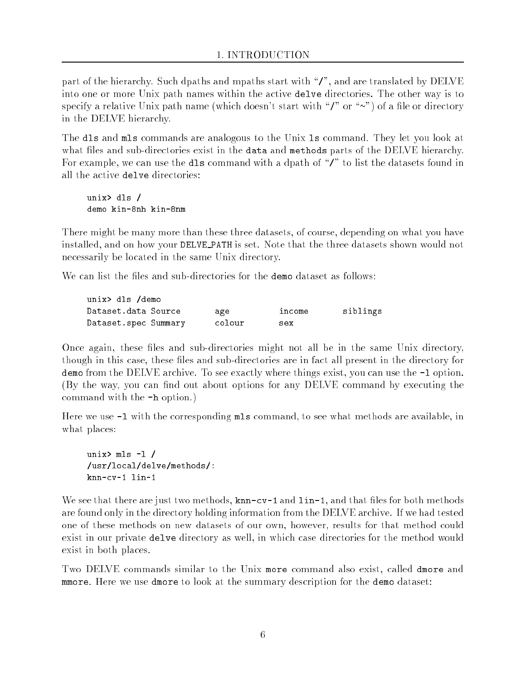part of the hierarchy. Such dpaths and mpaths start with "/", and are translated by DELVE into one or more Unix path names within the active delve directories. The other way is to specify a relative Unix path name (which doesn't start with " $\prime$ " or " $\sim$ ") of a file or directory in the DELVE hierarchy.

The dls and mls commands are analogous to the Unix ls command. They let you look at what files and sub-directories exist in the data and methods parts of the DELVE hierarchy. For example, we can use the dls command with a dpath of " $\prime$ " to list the datasets found in all the active delve directories:

unix $>$  dls /  $\mathcal{L}$  defined by definition of  $\mathcal{L}$ 

There might be many more than these three datasets, of course, depending on what you have installed, and on how your DELVE PATH is set. Note that the three datasets shown would not necessarily be located in the same Unix directory.

We can list the files and sub-directories for the **demo** dataset as follows:

| unix> dls /demo      |        |        |          |
|----------------------|--------|--------|----------|
| Dataset.data Source  | age    | income | siblings |
| Dataset.spec Summary | colour | sex    |          |

Once again, these files and sub-directories might not all be in the same Unix directory, though in this case, these files and sub-directories are in fact all present in the directory for demo from the DELVE archive. To see exactly where things exist, you can use the  $-1$  option. (By the way, you can find out about options for any DELVE command by executing the command with the -h option.)

Here we use  $-1$  with the corresponding mls command, to see what methods are available, in what places:

unix $>$  mls  $-1$  / /usr/local/delve/methods/: /usr/local/delve/methods/: knn-cv-1 lin-1

We see that there are just two methods,  $km - cv - 1$  and  $lin -1$ , and that files for both methods are found only in the directory holding information from the DELVE archive. If we had tested one of these methods on new datasets of our own, however, results for that method could exist in our private delve directory as well, in which case directories for the method would exist in both places.

Two DELVE commands similar to the Unix more command also exist, called dmore and mmore. Here we use dmore to look at the summary description for the demo dataset: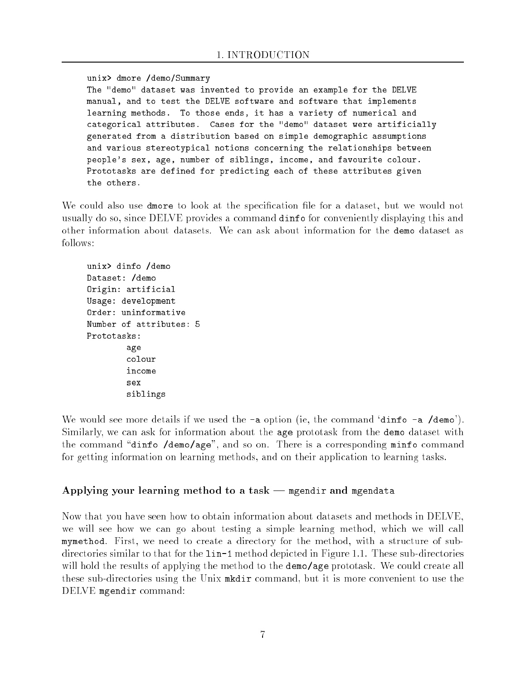unix> dmore /demo/Summary The "demo" dataset was invented to provide an example for the DELVE manual, and to test the DELVE software and software that implements learning methods. To those ends, it has a variety of numerical and categorical attributes. Cases for the "demo" dataset were artificially generated from a distribution based on simple demographic assumptions and various stereotypical notions concerning the relationships between people's sex, age, number of siblings, income, and favourite colour. Prototasks are defined for predicting each of these attributes given

We could also use dmore to look at the specification file for a dataset, but we would not usually do so, since DELVE provides a command dinfo for conveniently displaying this and other information about datasets. We can ask about information for the demo dataset as follows:

```
unix> dinfo /demo
unix> dinfo /demo
Dataset: /demo
Origin: artificial
Usage: development
Order: uninformative
Number of attributes: 5
Prototasks:
        age
        colour
        income
        sex
        siblings
```
We would see more details if we used the  $-a$  option (ie, the command 'dinfo  $-a$  /demo'). Similarly, we can ask for information about the age prototask from the demo dataset with the command "dinfo /demo/age", and so on. There is a corresponding minfo command for getting information on learning methods, and on their application to learning tasks.

## Applying your learning method to a task  $-$  mgendir and mgendata

Now that you have seen how to obtain information about datasets and methods in DELVE, we will see how we can go about testing a simple learning method, which we will call mymethod. First, we need to create a directory for the method, with a structure of subdirectories similar to that for the  $lin-1$  method depicted in Figure 1.1. These sub-directories will hold the results of applying the method to the demo/age prototask. We could create all these sub-directories using the Unix mkdir command, but it is more convenient to use the DELVE mgendir command: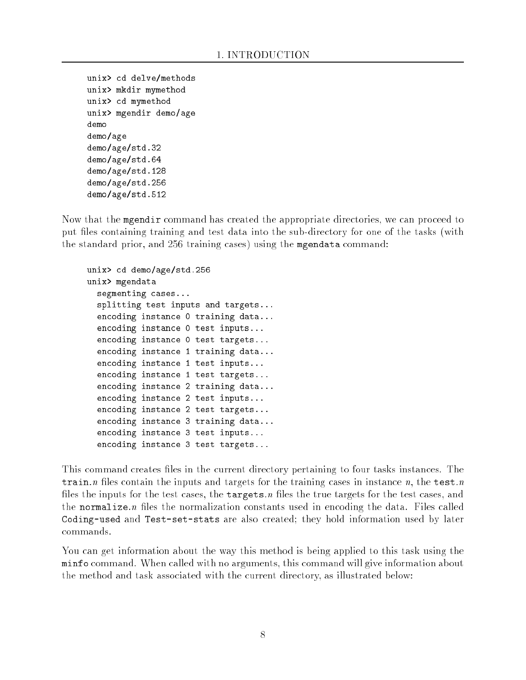```
unix> cd delve/methods
----- -- --- --- --- --- --
unix> mkdir mymethod
unix> cd mymethod
unix> mgendir demo/age
demo
demo/age
demo/age/std.32
demo/age/std.64
demo/age/std.128
demo/age/std.256
demo/age/std.512
```
Now that the mgendir command has created the appropriate directories, we can proceed to put files containing training and test data into the sub-directory for one of the tasks (with the standard prior, and 256 training cases) using the mgendata command:

```
unix> cd demo/age/std.256
unix> mgendata
  segmenting cases...
  splitting test inputs and targets...
  encoding instance 0 training data...
  encoding instance 0 test inputs...
  encoding instance 0 test targets...
  encoding instance 1 training data...
  encoding instance 1 test inputs...
  encoding instance 1 test targets...
  encoding instance 2 training data...
  encoding instance 2 test inputs...
  encoding instance 2 test targets...
  encoding instance 3 training data...
  encoding instance 3 test inputs...
  encoding instance 3 test targets...
```
This command creates files in the current directory pertaining to four tasks instances. The train.n files contain the inputs and targets for the training cases in instance n, the test.n files the inputs for the test cases, the targets.n files the true targets for the test cases, and the normalize.  $n$  files the normalization constants used in encoding the data. Files called Coding-used and Test-set-stats are also created; they hold information used by later commands.

You can get information about the way this method is being applied to this task using the minfo command. When called with no arguments, this command will give information about the method and task associated with the current directory, as illustrated below: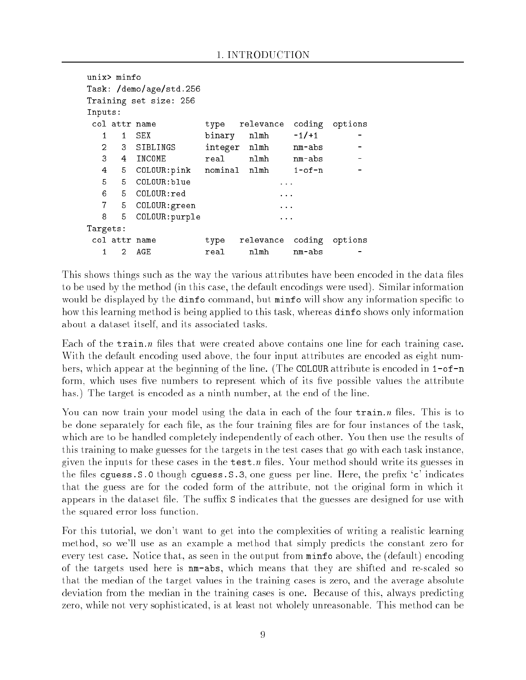```
unix> minfo
Task: /demo/age/std.256
Training set size: 256
Inputs:
 col attr name type relevance coding options
   \mathbf{1}\mathbf{1}SEX
                                        -1/+1\overline{a}1 1 SEX binary nlmh -1/+1 -
   2 3 SIBLINGS integer nlmh nm-abs
                                                     \overline{\phantom{a}}\overline{a}4
      5
         COLOUR: pink nominal nlmh 1-of-n
                               nlmh
                                                     \overline{a}5
      5
   6
      6 5 COLOUR:red ...
   7 5 COLOUR:green ...
      5
   8 5 COLOUR: purple ...
Targets:
 col attr name type relevance coding options
   \mathbf{1}\overline{2}AGE
```
This shows things such as the way the various attributes have been encoded in the data files to be used by the method (in this case, the default encodings were used). Similar information would be displayed by the dinfo command, but minfo will show any information specific to how this learning method is being applied to this task, whereas dinfo shows only information about a dataset itself, and its associated tasks.

Each of the  $train.n$  files that were created above contains one line for each training case. With the default encoding used above, the four input attributes are encoded as eight numbers, which appear at the beginning of the line. (The COLOUR attribute is encoded in 1-of-n form, which uses five numbers to represent which of its five possible values the attribute has.) The target is encoded as a ninth number, at the end of the line.

You can now train your model using the data in each of the four  $train.n$  files. This is to be done separately for each file, as the four training files are for four instances of the task, which are to be handled completely independently of each other. You then use the results of this training to make guesses for the targets in the test cases that go with each task instance, given the inputs for these cases in the  $test.n$  files. Your method should write its guesses in the files cguess. S.0 though cguess. S.3, one guess per line. Here, the prefix  $c'$  indicates that the guess are for the coded form of the attribute, not the original form in which it appears in the dataset file. The suffix S indicates that the guesses are designed for use with the squared error loss function.

For this tutorial, we don't want to get into the complexities of writing a realistic learning method, so we'll use as an example a method that simply predicts the constant zero for every test case. Notice that, as seen in the output from minfo above, the (default) encoding of the targets used here is nm-abs, which means that they are shifted and re-scaled so that the median of the target values in the training cases is zero, and the average absolute deviation from the median in the training cases is one. Because of this, always predicting zero, while not very sophisticated, is at least not wholely unreasonable. This method can be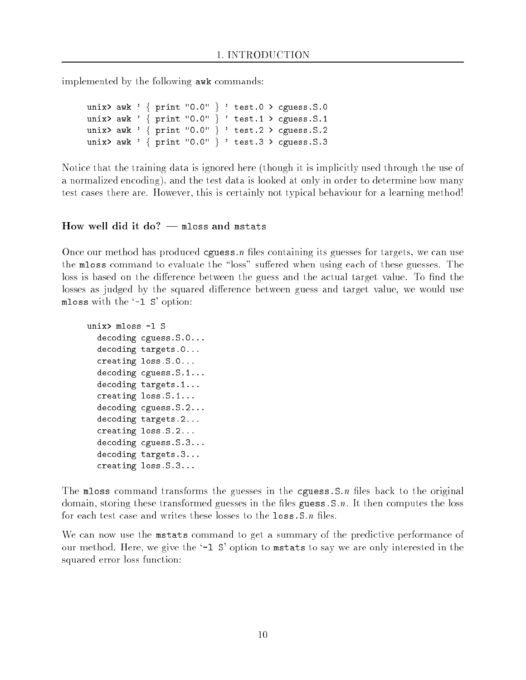implemented by the following awk commands:

unix> awk ' { print "0.0" } ' test.0 > cguess.S.0 unix> awk ' { print "0.0" } ' test.1 > cguess.S.1 unix> awk ' { print "0.0" } ' test.2 > cguess.S.2 unix> awk ' { print "0.0" } ' test.3 > cguess.S.3

Notice that the training data is ignored here (though it is implicitly used through the use of a normalized encoding), and the test data is looked at only in order to determine how many test cases there are. However, this is certainly not typical behaviour for a learning method!

#### How well did it do?  $-$  mloss and mstats

Once our method has produced  $g$ uess.n files containing its guesses for targets, we can use the mloss command to evaluate the "loss" suffered when using each of these guesses. The loss is based on the difference between the guess and the actual target value. To find the losses as judged by the squared difference between guess and target value, we would use mloss with the `-l S' option:

```
unix> mloss -l S
  decoding cguess.S.0...
  decoding targets.0...
  creating loss.S.0...
  decoding cguess.S.1...
  decoding targets.1...
  creating loss.S.1...
  decoding cguess.S.2...
  decoding targets.2...
  creating loss.S.2...
  decoding cguess.S.3...
  decoding targets.3...
  creating loss.S.3...
```
The mloss command transforms the guesses in the cguess. S.n files back to the original domain, storing these transformed guesses in the files guess.  $S.n$ . It then computes the loss for each test case and writes these losses to the  $\texttt{loss.S.n}$  files.

We can now use the mstats command to get a summary of the predictive performance of our method. Here, we give the '-1 S' option to mstats to say we are only interested in the squared error loss function: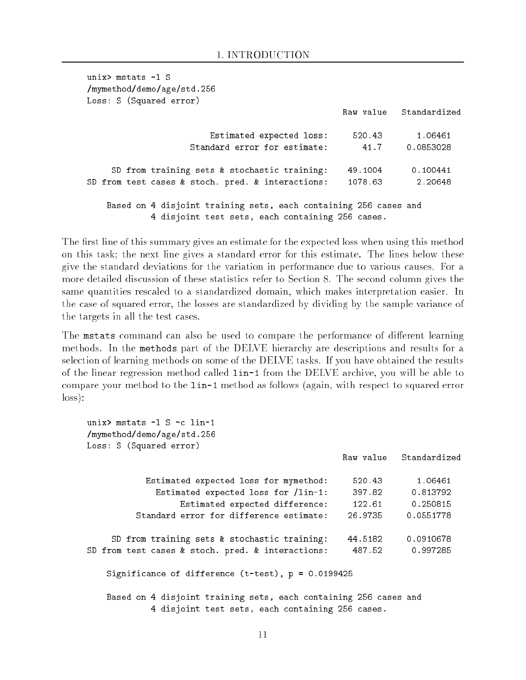| unix $>$ mstats $-1$ S                                                                                               |         |                        |
|----------------------------------------------------------------------------------------------------------------------|---------|------------------------|
| /mymethod/demo/age/std.256                                                                                           |         |                        |
| Loss: S (Squared error)                                                                                              |         |                        |
|                                                                                                                      |         | Raw value Standardized |
| Estimated expected loss:                                                                                             | 520.43  | 1.06461                |
| Standard error for estimate:                                                                                         | 41.7    | 0.0853028              |
| SD from training sets & stochastic training:                                                                         | 49.1004 | 0.100441               |
| SD from test cases & stoch. pred. & interactions:                                                                    | 1078.63 | 2.20648                |
| Based on 4 disjoint training sets, each containing 256 cases and<br>4 disjoint test sets, each containing 256 cases. |         |                        |

The first line of this summary gives an estimate for the expected loss when using this method on this task; the next line gives a standard error for this estimate. The lines below these give the standard deviations for the variation in performance due to various causes. For a more detailed discussion of these statistics refer to Section 8. The second column gives the same quantities rescaled to a standardized domain, which makes interpretation easier. In the case of squared error, the losses are standardized by dividing by the sample variance of the targets in all the test cases.

The mstats command can also be used to compare the performance of different learning methods. In the methods part of the DELVE hierarchy are descriptions and results for a selection of learning methods on some of the DELVE tasks. If you have obtained the results of the linear regression method called lin-1 from the DELVE archive, you will be able to compare your method to the lin-1 method as follows (again, with respect to squared error loss):

| unix $>$ mstats $-1$ S $-c$ lin-1<br>/mymethod/demo/age/std.256<br>Loss: S (Squared error)                           |         |                        |
|----------------------------------------------------------------------------------------------------------------------|---------|------------------------|
|                                                                                                                      |         | Raw value Standardized |
| Estimated expected loss for mymethod:                                                                                | 520.43  | 1.06461                |
| Estimated expected loss for /lin-1:                                                                                  | 397.82  | 0.813792               |
| Estimated expected difference:                                                                                       | 122.61  | 0.250815               |
| Standard error for difference estimate:                                                                              | 26.9735 | 0.0551778              |
| SD from training sets & stochastic training:                                                                         | 44.5182 | 0.0910678              |
| SD from test cases & stoch. pred. & interactions:                                                                    | 487.52  | 0.997285               |
| Significance of difference $(t-test)$ , $p = 0.0199425$                                                              |         |                        |
| Based on 4 disjoint training sets, each containing 256 cases and<br>4 disjoint test sets, each containing 256 cases. |         |                        |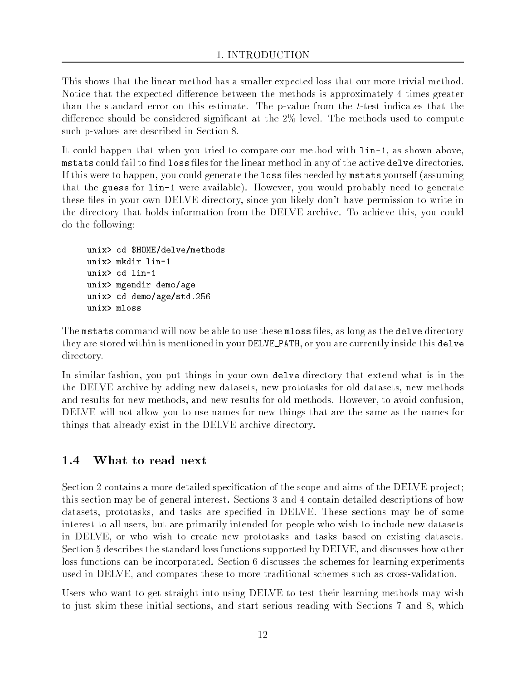This shows that the linear method has a smaller expected loss that our more trivial method. Notice that the expected difference between the methods is approximately 4 times greater than the standard error on this estimate. The p-value from the t-test indicates that the difference should be considered significant at the  $2\%$  level. The methods used to compute such p-values are described in Section 8.

It could happen that when you tried to compare our method with lin-1, as shown above, mstats could fail to find loss files for the linear method in any of the active delve directories. If this were to happen, you could generate the loss files needed by mstats yourself (assuming that the guess for lin-1 were available). However, you would probably need to generate these files in your own DELVE directory, since you likely don't have permission to write in the directory that holds information from the DELVE archive. To achieve this, you could do the following:

```
unix> cd $HOME/delve/methods
unix> mkdir lin-1
unix> cd lin-1
unix> mgendir demo/age
unix> cd demo/age/std.256
unix> mloss
```
The mstats command will now be able to use these mloss files, as long as the delve directory they are stored within is mentioned in your DELVE PATH, or you are currently inside this delve directory.

In similar fashion, you put things in your own delve directory that extend what is in the the DELVE archive by adding new datasets, new prototasks for old datasets, new methods and results for new methods, and new results for old methods. However, to avoid confusion, DELVE will not allow you to use names for new things that are the same as the names for things that already exist in the DELVE archive directory.

## $1.4$

Section 2 contains a more detailed specification of the scope and aims of the DELVE project; this section may be of general interest. Sections 3 and 4 contain detailed descriptions of how datasets, prototasks, and tasks are specied in DELVE. These sections may be of some interest to all users, but are primarily intended for people who wish to include new datasets in DELVE, or who wish to create new prototasks and tasks based on existing datasets. Section 5 describes the standard loss functions supported by DELVE, and discusses how other loss functions can be incorporated. Section 6 discusses the schemes for learning experiments used in DELVE, and compares these to more traditional schemes such as cross-validation.

Users who want to get straight into using DELVE to test their learning methods may wish to just skim these initial sections, and start serious reading with Sections 7 and 8, which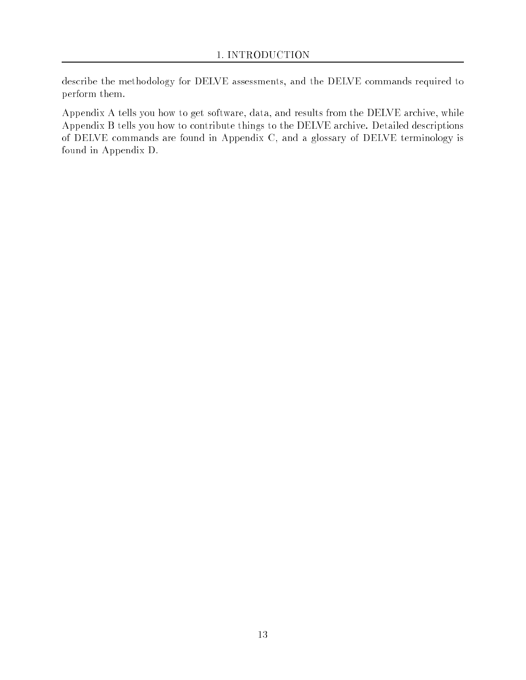describe the methodology for DELVE assessments, and the DELVE commands required to perform them.

Appendix A tells you how to get software, data, and results from the DELVE archive, while Appendix B tells you how to contribute things to the DELVE archive. Detailed descriptions of DELVE commands are found in Appendix C, and a glossary of DELVE terminology is found in Appendix D.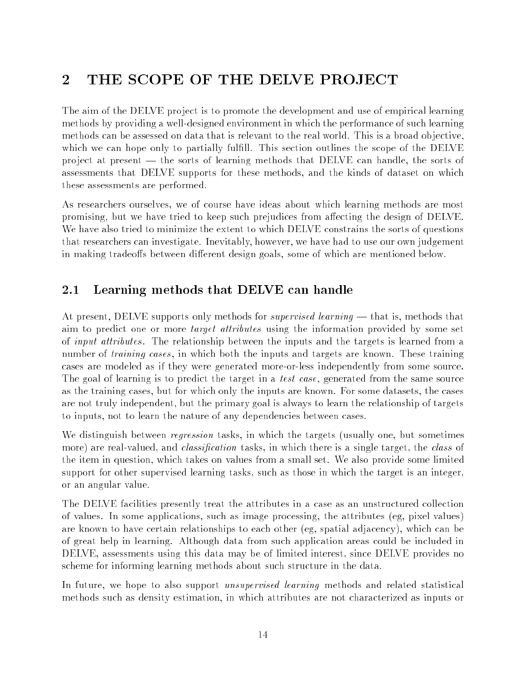# 2 THE SCOPE OF THE DELVE PROJECT

The aim of the DELVE project is to promote the development and use of empirical learning methods by providing a well-designed environment in which the performance of such learning methods can be assessed on data that is relevant to the real world. This is a broad objective, which we can hope only to partially fulfill. This section outlines the scope of the DELVE project at present — the sorts of learning methods that DELVE can handle, the sorts of assessments that DELVE supports for these methods, and the kinds of dataset on which these assessments are performed.

As researchers ourselves, we of course have ideas about which learning methods are most promising, but we have tried to keep such prejudices from affecting the design of DELVE. We have also tried to minimize the extent to which DELVE constrains the sorts of questions that researchers can investigate. Inevitably, however, we have had to use our own judgement in making tradeoffs between different design goals, some of which are mentioned below.

#### 2.1 Learning methods that DELVE can handle

At present, DELVE supports only methods for *supervised learning* — that is, methods that aim to predict one or more target attributes using the information provided by some set of *input attributes*. The relationship between the inputs and the targets is learned from a number of *training cases*, in which both the inputs and targets are known. These training cases are modeled as if they were generated more-or-less independently from some source. The goal of learning is to predict the target in a *test case*, generated from the same source as the training cases, but for which only the inputs are known. For some datasets, the cases are not truly independent, but the primary goal is always to learn the relationship of targets to inputs, not to learn the nature of any dependencies between cases.

We distinguish between *regression* tasks, in which the targets (usually one, but sometimes more) are real-valued, and *classification* tasks, in which there is a single target, the *class* of the item in question, which takes on values from a small set. We also provide some limited support for other supervised learning tasks, such as those in which the target is an integer, or an angular value.

The DELVE facilities presently treat the attributes in a case as an unstructured collection of values. In some applications, such as image processing, the attributes (eg, pixel values) are known to have certain relationships to each other (eg, spatial adjacency), which can be of great help in learning. Although data from such application areas could be included in DELVE, assessments using this data may be of limited interest, since DELVE provides no scheme for informing learning methods about such structure in the data.

In future, we hope to also support *unsupervised learning* methods and related statistical methods such as density estimation, in which attributes are not characterized as inputs or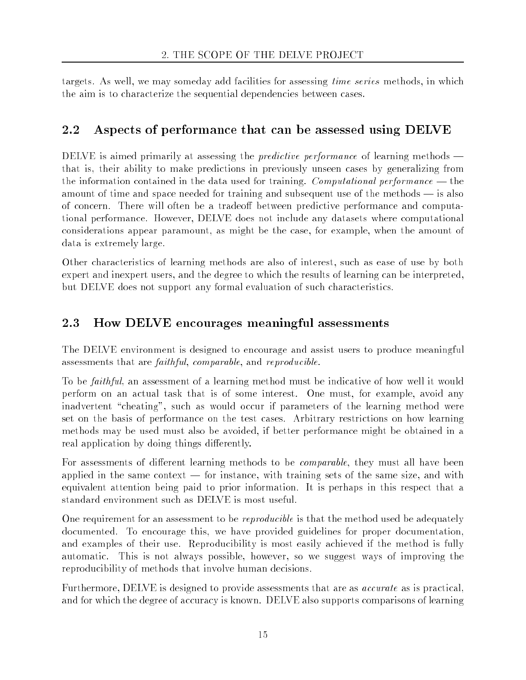targets. As well, we may someday add facilities for assessing time series methods, in which the aim is to characterize the sequential dependencies between cases.

#### 2.2 Aspects of performance that can be assessed using DELVE

DELVE is aimed primarily at assessing the *predictive performance* of learning methods  $$ that is, their ability to make predictions in previously unseen cases by generalizing from the information contained in the data used for training. Computational performance  $-$  the amount of time and space needed for training and subsequent use of the methods  $-$  is also of concern. There will often be a tradeoff between predictive performance and computational performance. However, DELVE does not include any datasets where computational considerations appear paramount, as might be the case, for example, when the amount of data is extremely large.

Other characteristics of learning methods are also of interest, such as ease of use by both expert and inexpert users, and the degree to which the results of learning can be interpreted, but DELVE does not support any formal evaluation of such characteristics.

# 2.3 How DELVE encourages meaningful assessments

The DELVE environment is designed to encourage and assist users to produce meaningful assessments that are faithful, comparable, and reproducible.

To be faithful, an assessment of a learning method must be indicative of how well it would perform on an actual task that is of some interest. One must, for example, avoid any inadvertent "cheating", such as would occur if parameters of the learning method were set on the basis of performance on the test cases. Arbitrary restrictions on how learning methods may be used must also be avoided, if better performance might be obtained in a real application by doing things differently.

For assessments of different learning methods to be *comparable*, they must all have been applied in the same context  $-$  for instance, with training sets of the same size, and with equivalent attention being paid to prior information. It is perhaps in this respect that a standard environment such as DELVE is most useful.

One requirement for an assessment to be *reproducible* is that the method used be adequately documented. To encourage this, we have provided guidelines for proper documentation, and examples of their use. Reproducibility is most easily achieved if the method is fully automatic. This is not always possible, however, so we suggest ways of improving the reproducibility of methods that involve human decisions.

Furthermore, DELVE is designed to provide assessments that are as *accurate* as is practical, and for which the degree of accuracy is known. DELVE also supports comparisons of learning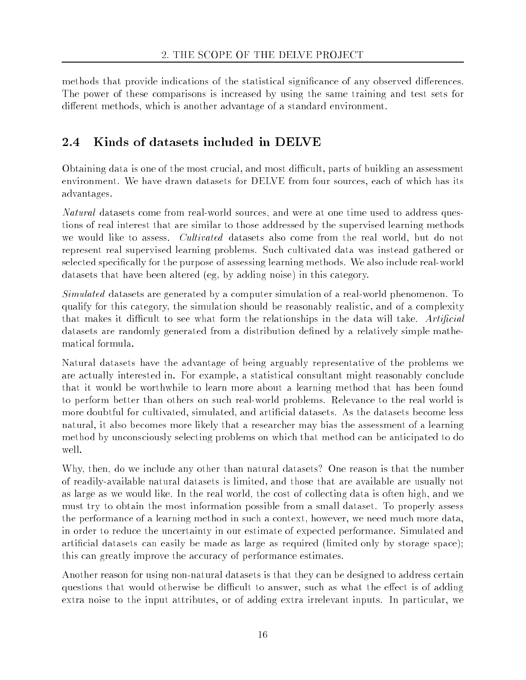methods that provide indications of the statistical significance of any observed differences. The power of these comparisons is increased by using the same training and test sets for different methods, which is another advantage of a standard environment.

# 2.4 Kinds of datasets included in DELVE

Obtaining data is one of the most crucial, and most difficult, parts of building an assessment environment. We have drawn datasets for DELVE from four sources, each of which has its advantages.

Natural datasets come from real-world sources, and were at one time used to address questions of real interest that are similar to those addressed by the supervised learning methods we would like to assess. Cultivated datasets also come from the real world, but do not represent real supervised learning problems. Such cultivated data was instead gathered or selected specifically for the purpose of assessing learning methods. We also include real-world datasets that have been altered (eg, by adding noise) in this category.

Simulated datasets are generated by a computer simulation of a real-world phenomenon. To qualify for this category, the simulation should be reasonably realistic, and of a complexity that makes it difficult to see what form the relationships in the data will take. Artificial datasets are randomly generated from a distribution defined by a relatively simple mathematical formula.

Natural datasets have the advantage of being arguably representative of the problems we are actually interested in. For example, a statistical consultant might reasonably conclude that it would be worthwhile to learn more about a learning method that has been found to perform better than others on such real-world problems. Relevance to the real world is more doubtful for cultivated, simulated, and articial datasets. As the datasets become less natural, it also becomes more likely that a researcher may bias the assessment of a learning method by unconsciously selecting problems on which that method can be anticipated to do well.

Why, then, do we include any other than natural datasets? One reason is that the number of readily-available natural datasets is limited, and those that are available are usually not as large as we would like. In the real world, the cost of collecting data is often high, and we must try to obtain the most information possible from a small dataset. To properly assess the performance of a learning method in such a context, however, we need much more data, in order to reduce the uncertainty in our estimate of expected performance. Simulated and articial datasets can easily be made as large as required (limited only by storage space); this can greatly improve the accuracy of performance estimates.

Another reason for using non-natural datasets is that they can be designed to address certain questions that would otherwise be difficult to answer, such as what the effect is of adding extra noise to the input attributes, or of adding extra irrelevant inputs. In particular, we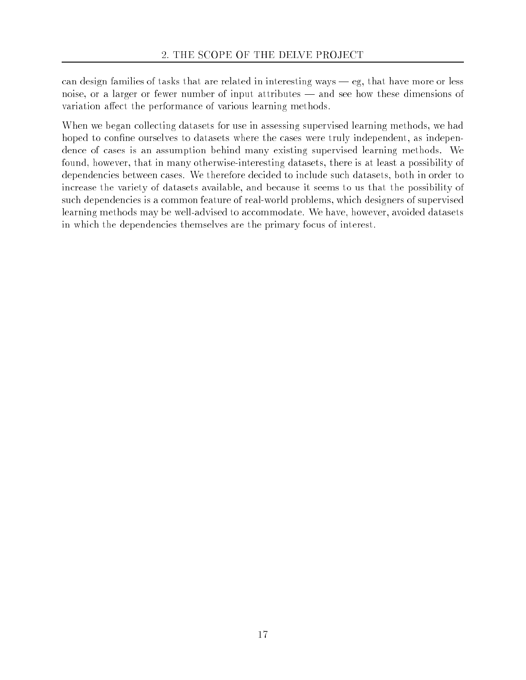can design families of tasks that are related in interesting ways  $-$  eg, that have more or less noise, or a larger or fewer number of input attributes — and see how these dimensions of variation affect the performance of various learning methods.

When we began collecting datasets for use in assessing supervised learning methods, we had hoped to confine ourselves to datasets where the cases were truly independent, as independence of cases is an assumption behind many existing supervised learning methods. We found, however, that in many otherwise-interesting datasets, there is at least a possibility of dependencies between cases. We therefore decided to include such datasets, both in order to increase the variety of datasets available, and because it seems to us that the possibility of such dependencies is a common feature of real-world problems, which designers of supervised learning methods may be well-advised to accommodate. We have, however, avoided datasets in which the dependencies themselves are the primary focus of interest.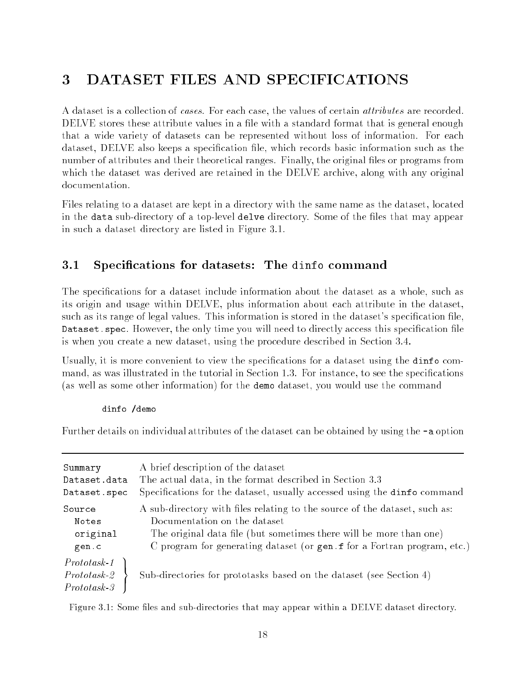# 3 DATASET FILES AND SPECIFICATIONS

A dataset is a collection of *cases*. For each case, the values of certain *attributes* are recorded. DELVE stores these attribute values in a file with a standard format that is general enough that a wide variety of datasets can be represented without loss of information. For each dataset, DELVE also keeps a specification file, which records basic information such as the number of attributes and their theoretical ranges. Finally, the original files or programs from which the dataset was derived are retained in the DELVE archive, along with any original documentation.

Files relating to a dataset are kept in a directory with the same name as the dataset, located in the data sub-directory of a top-level delve directory. Some of the files that may appear in such a dataset directory are listed in Figure 3.1.

## 3.1 Specications for datasets: The dinfo command

The specifications for a dataset include information about the dataset as a whole, such as its origin and usage within DELVE, plus information about each attribute in the dataset, such as its range of legal values. This information is stored in the dataset's specification file, Dataset. spec. However, the only time you will need to directly access this specification file is when you create a new dataset, using the procedure described in Section 3.4.

Usually, it is more convenient to view the specifications for a dataset using the dinfo command, as was illustrated in the tutorial in Section 1.3. For instance, to see the specifications (as well as some other information) for the demo dataset, you would use the command

#### dinfo /demo dinfo /demography /demography /demography /demography /demography /demography /demography /demography /demography /demography /demography /demography /demography /demography /demography /demography /demography /demography

Further details on individual attributes of the dataset can be obtained by using the -a option

| Summary                            | A brief description of the dataset                                         |
|------------------------------------|----------------------------------------------------------------------------|
| Dataset.data                       | The actual data, in the format described in Section 3.3                    |
| Dataset.spec                       | Specifications for the dataset, usually accessed using the dinfo command   |
| Source                             | A sub-directory with files relating to the source of the dataset, such as: |
| Notes                              | Documentation on the dataset                                               |
| original                           | The original data file (but sometimes there will be more than one)         |
| gen.c                              | C program for generating dataset (or gen.f for a Fortran program, etc.)    |
| $Prototsk-1$<br>Protots<br>Protots | Sub-directories for prototasks based on the dataset (see Section 4)        |

Figure 3.1: Some files and sub-directories that may appear within a DELVE dataset directory.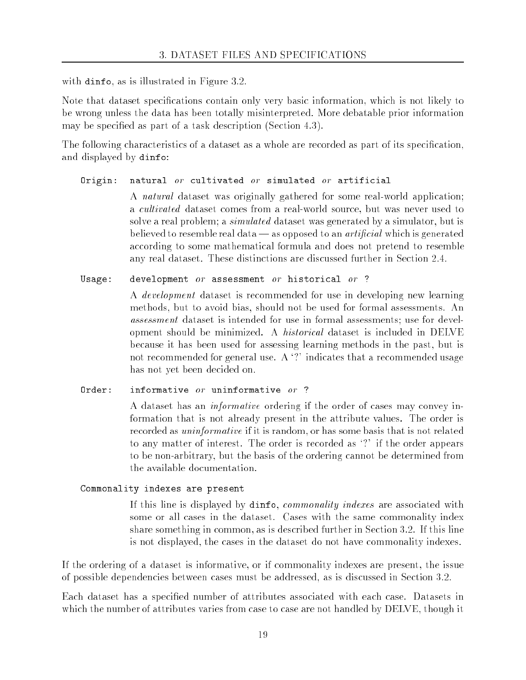with dinfo, as is illustrated in Figure 3.2.

Note that dataset specifications contain only very basic information, which is not likely to be wrong unless the data has been totally misinterpreted. More debatable prior information may be specied as part of a task description (Section 4.3).

The following characteristics of a dataset as a whole are recorded as part of its specication, and displayed by dinfo:

## Origin: natural  $or$  cultivated  $or$  simulated  $or$  artificial

A natural dataset was originally gathered for some real-world application; a cultivated dataset comes from a real-world source, but was never used to solve a real problem; a *simulated* dataset was generated by a simulator, but is believed to resemble real data — as opposed to an *artificial* which is generated according to some mathematical formula and does not pretend to resemble any real dataset. These distinctions are discussed further in Section 2.4.

### Usage: development or assessment or historical or ?

A development dataset is recommended for use in developing new learning methods, but to avoid bias, should not be used for formal assessments. An assessment dataset is intended for use in formal assessments; use for development should be minimized. A historical dataset is included in DELVE because it has been used for assessing learning methods in the past, but is not recommended for general use. A '?' indicates that a recommended usage has not yet been decided on.

### $Order:$

A dataset has an informative ordering if the order of cases may convey information that is not already present in the attribute values. The order is recorded as uninformative if it is random, or has some basis that is not related to any matter of interest. The order is recorded as `?' if the order appears to be non-arbitrary, but the basis of the ordering cannot be determined from the available documentation.

## Commonality indexes are present

If this line is displayed by dinfo, *commonality indexes* are associated with some or all cases in the dataset. Cases with the same commonality index share something in common, as is described further in Section 3.2. If this line is not displayed, the cases in the dataset do not have commonality indexes.

If the ordering of a dataset is informative, or if commonality indexes are present, the issue of possible dependencies between cases must be addressed, as is discussed in Section 3.2.

Each dataset has a specified number of attributes associated with each case. Datasets in which the number of attributes varies from case to case are not handled by DELVE, though it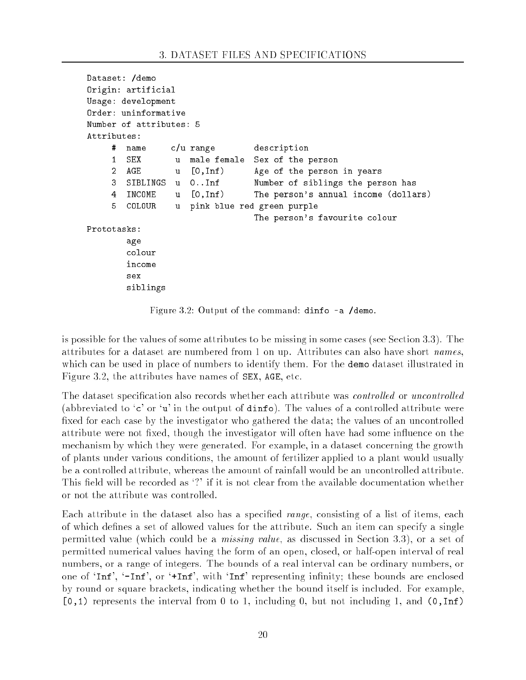```
Dataset: /demo
Dataset: /demo
Origin: artificial
Usage: development
Order: uninformative
Number of attributes: 5
Attributes:
     # name c/u range description
       SEX u male female Sex of the person
     \mathbf{1}2<sup>1</sup>AGE u [0,Inf) Age of the person in years
    3 SIBLINGS u 0..Inf Number of siblings the person has
                 \mathbf{u}4 INCOME u [0,Inf) The person's annual income (dollars)
     5
       COLOUR
                 11pink blue red green purple
                                 The person's favourite colour
       age
        colour
        income
        SAX
        siblings
```
Figure 3.2: Output of the command: dinfo -a /demo.

is possible for the values of some attributes to be missing in some cases (see Section 3.3). The attributes for a dataset are numbered from 1 on up. Attributes can also have short names, which can be used in place of numbers to identify them. For the demo dataset illustrated in Figure 3.2, the attributes have names of SEX, AGE, etc.

The dataset specification also records whether each attribute was *controlled* or *uncontrolled* (abbreviated to 'c' or 'u' in the output of  $\text{dinfo}$ ). The values of a controlled attribute were fixed for each case by the investigator who gathered the data; the values of an uncontrolled attribute were not fixed, though the investigator will often have had some influence on the mechanism by which they were generated. For example, in a dataset concerning the growth of plants under various conditions, the amount of fertilizer applied to a plant would usually be a controlled attribute, whereas the amount of rainfall would be an uncontrolled attribute. This field will be recorded as '?' if it is not clear from the available documentation whether or not the attribute was controlled.

Each attribute in the dataset also has a specified *range*, consisting of a list of items, each of which defines a set of allowed values for the attribute. Such an item can specify a single permitted value (which could be a missing value, as discussed in Section 3.3), or a set of permitted numerical values having the form of an open, closed, or half-open interval of real numbers, or a range of integers. The bounds of a real interval can be ordinary numbers, or one of 'Inf', '-Inf', or '+Inf', with 'Inf' representing infinity; these bounds are enclosed by round or square brackets, indicating whether the bound itself is included. For example,  $[0,1)$  represents the interval from 0 to 1, including 0, but not including 1, and  $(0, \text{Inf})$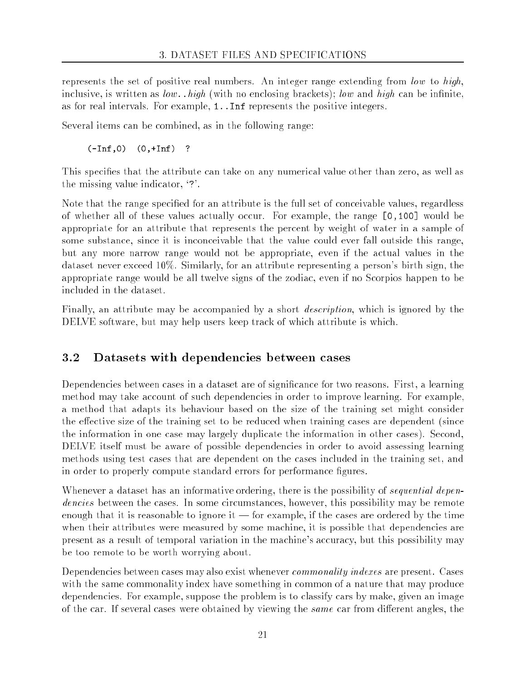represents the set of positive real numbers. An integer range extending from low to high, inclusive, is written as  $low.$  high (with no enclosing brackets); low and high can be infinite, as for real intervals. For example, 1..Inf represents the positive integers.

Several items can be combined, as in the following range:

(-Inf,0) (0,+Inf) ?

This specifies that the attribute can take on any numerical value other than zero, as well as the missing value indicator, `?'.

Note that the range specified for an attribute is the full set of conceivable values, regardless of whether all of these values actually occur. For example, the range [0,100] would be appropriate for an attribute that represents the percent by weight of water in a sample of some substance, since it is inconceivable that the value could ever fall outside this range, but any more narrow range would not be appropriate, even if the actual values in the dataset never exceed 10%. Similarly, for an attribute representing a person's birth sign, the appropriate range would be all twelve signs of the zodiac, even if no Scorpios happen to be included in the dataset.

Finally, an attribute may be accompanied by a short description, which is ignored by the DELVE software, but may help users keep track of which attribute is which.

#### 3.2 Datasets with dependencies between cases

Dependencies between cases in a dataset are of significance for two reasons. First, a learning method may take account of such dependencies in order to improve learning. For example, a method that adapts its behaviour based on the size of the training set might consider the effective size of the training set to be reduced when training cases are dependent (since the information in one case may largely duplicate the information in other cases). Second, DELVE itself must be aware of possible dependencies in order to avoid assessing learning methods using test cases that are dependent on the cases included in the training set, and in order to properly compute standard errors for performance figures.

Whenever a dataset has an informative ordering, there is the possibility of *sequential depen*dencies between the cases. In some circumstances, however, this possibility may be remote enough that it is reasonable to ignore it  $-$  for example, if the cases are ordered by the time when their attributes were measured by some machine, it is possible that dependencies are present as a result of temporal variation in the machine's accuracy, but this possibility may be too remote to be worth worrying about.

Dependencies between cases may also exist whenever *commonality indexes* are present. Cases with the same commonality index have something in common of a nature that may produce dependencies. For example, suppose the problem is to classify cars by make, given an image of the car. If several cases were obtained by viewing the same car from different angles, the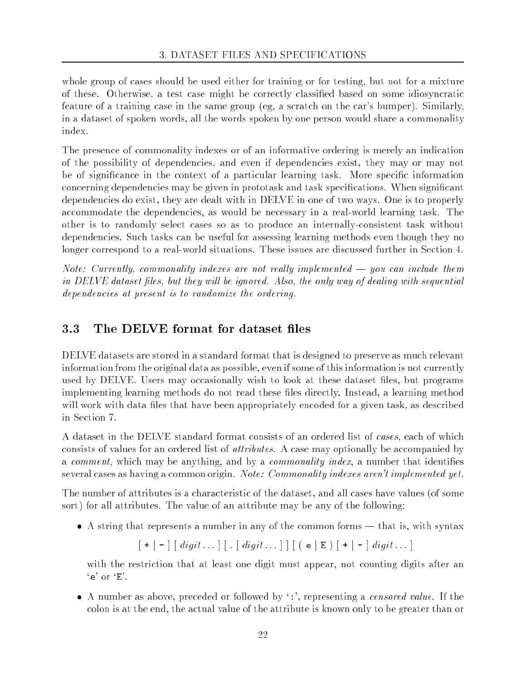whole group of cases should be used either for training or for testing, but not for a mixture of these. Otherwise, a test case might be correctly classied based on some idiosyncratic feature of a training case in the same group (eg, a scratch on the car's bumper). Similarly, in a dataset of spoken words, all the words spoken by one person would share a commonality index.

The presence of commonality indexes or of an informative ordering is merely an indication of the possibility of dependencies, and even if dependencies exist, they may or may not be of significance in the context of a particular learning task. More specific information concerning dependencies may be given in prototask and task specications. When signicant dependencies do exist, they are dealt with in DELVE in one of two ways. One is to properly accommodate the dependencies, as would be necessary in a real-world learning task. The other is to randomly select cases so as to produce an internally-consistent task without dependencies. Such tasks can be useful for assessing learning methods even though they no longer correspond to a real-world situations. These issues are discussed further in Section 4.

Note: Currently, commonality indexes are not really implemented  $-$  you can include them in DELVE dataset files, but they will be ignored. Also, the only way of dealing with sequential dependencies at present is to randomize the ordering.

#### $3.3$ The DELVE format for dataset files

DELVE datasets are stored in a standard format that is designed to preserve as much relevant information from the original data as possible, even if some of this information is not currently used by DELVE. Users may occasionally wish to look at these dataset files, but programs implementing learning methods do not read these files directly. Instead, a learning method will work with data files that have been appropriately encoded for a given task, as described in Section 7.

A dataset in the DELVE standard format consists of an ordered list of cases, each of which consists of values for an ordered list of attributes. A case may optionally be accompanied by a *comment*, which may be anything, and by a *commonality index*, a number that identifies several cases as having a common origin. Note: Commonality indexes aren't implemented yet.

The number of attributes is a characteristic of the dataset, and all cases have values (of some sort) for all attributes. The value of an attribute may be any of the following:

• A string that represents a number in any of the common forms — that is, with syntax

 $[ + | - ] [ \text{ digit} \dots ] [ \ . \ [ \text{ digit} \dots ] ] ] [ ( e | E ) [ + | - ] \text{ digit} \dots ]$ 

with the restriction that at least one digit must appear, not counting digits after an  $'e'$  or  $'E'$ .

 $\bullet$  A number as above, preceded or followed by  $\cdot$ :', representing a *censored value*. If the colon is at the end, the actual value of the attribute is known only to be greater than or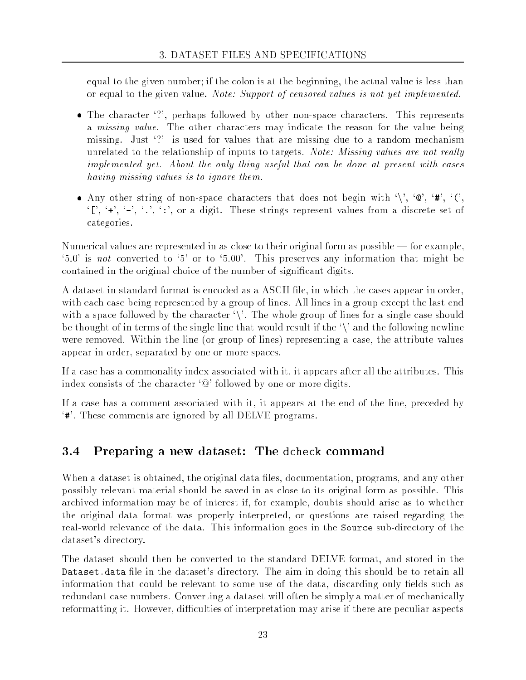equal to the given number; if the colon is at the beginning, the actual value is less than or equal to the given value. Note: Support of censored values is not yet implemented.

- The character '?', perhaps followed by other non-space characters. This represents a *missing value*. The other characters may indicate the reason for the value being missing. Just `?' is used for values that are missing due to a random mechanism unrelated to the relationship of inputs to targets. Note: Missing values are not really implemented yet. About the only thing useful that can be done at present with cases having missing values is to ignore them.
- Any other string of non-space characters that does not begin with '\', ' $\mathbb{Q}'$ ', '#', ' $\langle$ ',  $'$ [', '+', '-', '.', ':', or a digit. These strings represent values from a discrete set of categories.

Numerical values are represented in as close to their original form as possible  $-$  for example,  $\cdot 5.0'$  is not converted to  $\cdot 5'$  or to  $\cdot 5.00'$ . This preserves any information that might be contained in the original choice of the number of signicant digits.

A dataset in standard format is encoded as a ASCII file, in which the cases appear in order, with each case being represented by a group of lines. All lines in a group except the last end with a space followed by the character  $\backslash$ . The whole group of lines for a single case should be thought of in terms of the single line that would result if the  $\Diamond$  and the following newline were removed. Within the line (or group of lines) representing a case, the attribute values appear in order, separated by one or more spaces.

If a case has a commonality index associated with it, it appears after all the attributes. This index consists of the character '@' followed by one or more digits.

If a case has a comment associated with it, it appears at the end of the line, preceded by `#'. These comments are ignored by all DELVE programs.

# 3.4 Preparing a new dataset: The dcheck command

When a dataset is obtained, the original data files, documentation, programs, and any other possibly relevant material should be saved in as close to its original form as possible. This archived information may be of interest if, for example, doubts should arise as to whether the original data format was properly interpreted, or questions are raised regarding the real-world relevance of the data. This information goes in the Source sub-directory of the dataset's directory.

The dataset should then be converted to the standard DELVE format, and stored in the Dataset.data file in the dataset's directory. The aim in doing this should be to retain all information that could be relevant to some use of the data, discarding only fields such as redundant case numbers. Converting a dataset will often be simply a matter of mechanically reformatting it. However, difficulties of interpretation may arise if there are peculiar aspects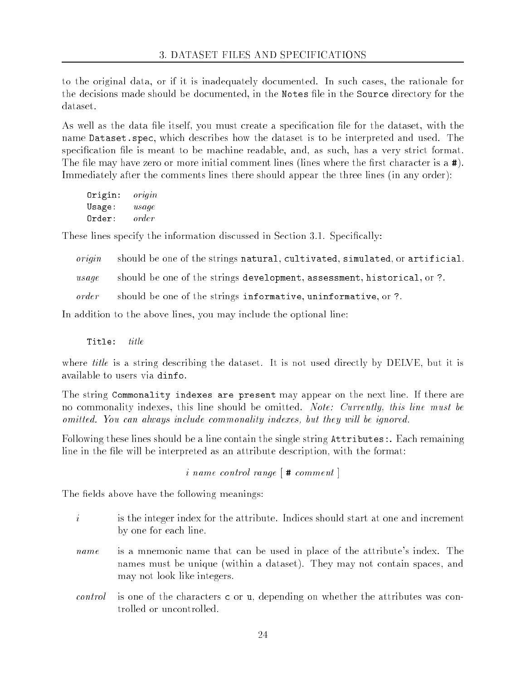to the original data, or if it is inadequately documented. In such cases, the rationale for the decisions made should be documented, in the Notes file in the Source directory for the dataset.

As well as the data file itself, you must create a specification file for the dataset, with the name Dataset.spec, which describes how the dataset is to be interpreted and used. The specification file is meant to be machine readable, and, as such, has a very strict format. The file may have zero or more initial comment lines (lines where the first character is  $\alpha \neq 0$ ). Immediately after the comments lines there should appear the three lines (in any order):

| Origin: | $\it{organ}$ |
|---------|--------------|
| Usage:  | usage        |
| Order:  | order        |

These lines specify the information discussed in Section 3.1. Specifically:

origin should be one of the strings natural, cultivated, simulated, or artificial.

usage should be one of the strings development, assessment, historical, or ?.

order should be one of the strings informative, uninformative, or ?.

In addition to the above lines, you may include the optional line:

Title: title

where *title* is a string describing the dataset. It is not used directly by DELVE, but it is available to users via dinfo.

The string Commonality indexes are present may appear on the next line. If there are no commonality indexes, this line should be omitted. Note: Currently, this line must be omitted. You can always include commonality indexes, but they will be ignored.

Following these lines should be a line contain the single string Attributes:. Each remaining line in the file will be interpreted as an attribute description, with the format:

i name control range  $\lceil \# \text{ comment} \rceil$ 

The fields above have the following meanings:

- $\dot{i}$ is the integer index for the attribute. Indices should start at one and increment by one for each line.
- name is a mnemonic name that can be used in place of the attribute's index. The names must be unique (within a dataset). They may not contain spaces, and may not look like integers.
- is one of the characters  $\epsilon$  or u, depending on whether the attributes was concontrol trolled or uncontrolled.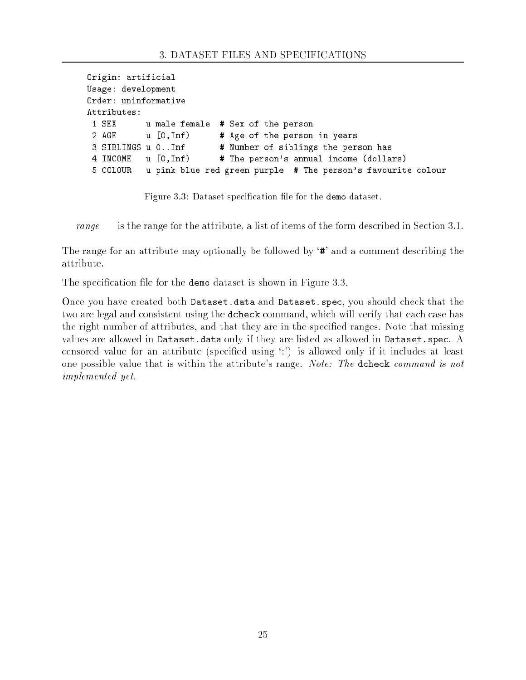```
Origin: artificial
Usage: development
Order: uninformative
Attributes:
 1 SEX u male female # Sex of the person
 2 AGE u [0, Inf) # Age of the person in years
 3 SIBLINGS u 0..Inf # Number of siblings the person has
4 INCOME u [0,Inf) # The person's annual income (dollars)
 5 COLOUR u pink blue red green purple # The person's favourite colour
```
Figure 3.3: Dataset specification file for the demo dataset.

range is the range for the attribute, a list of items of the form described in Section 3.1.

The range for an attribute may optionally be followed by '**#'** and a comment describing the attribute.

The specification file for the demo dataset is shown in Figure 3.3.

Once you have created both Dataset.data and Dataset.spec, you should check that the two are legal and consistent using the dcheck command, which will verify that each case has the right number of attributes, and that they are in the specied ranges. Note that missing values are allowed in Dataset.data only if they are listed as allowed in Dataset.spec. A censored value for an attribute (specied using `:') is allowed only if it includes at least one possible value that is within the attribute's range. Note: The dcheck command is not implemented yet.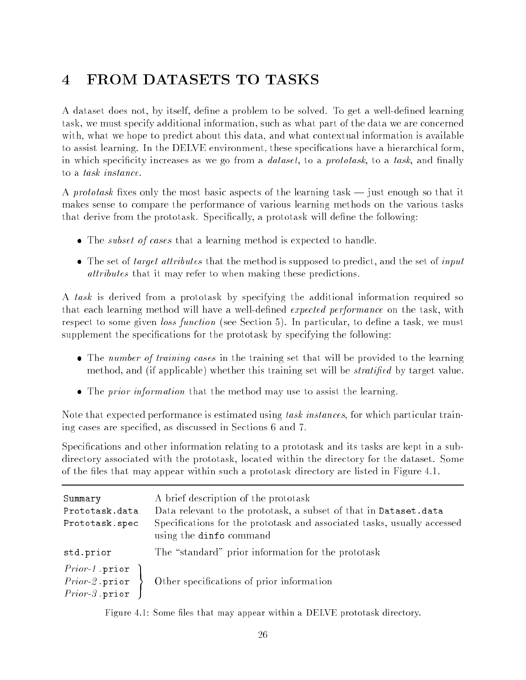# 4 FROM DATASETS TO TASKS

A dataset does not, by itself, define a problem to be solved. To get a well-defined learning task, we must specify additional information, such as what part of the data we are concerned with, what we hope to predict about this data, and what contextual information is available to assist learning. In the DELVE environment, these specications have a hierarchical form, in which specificity increases as we go from a *dataset*, to a *prototask*, to a task, and finally to a task instance.

A prototask fixes only the most basic aspects of the learning task  $-$  just enough so that it makes sense to compare the performance of various learning methods on the various tasks that derive from the prototask. Specifically, a prototask will define the following:

- The *subset of cases* that a learning method is expected to handle.
- The set of *target attributes* that the method is supposed to predict, and the set of *input* attributes that it may refer to when making these predictions.

A task is derived from a prototask by specifying the additional information required so that each learning method will have a well-defined *expected performance* on the task, with respect to some given *loss function* (see Section 5). In particular, to define a task, we must supplement the specifications for the prototask by specifying the following:

- The number of training cases in the training set that will be provided to the learning method, and (if applicable) whether this training set will be *stratified* by target value.
- The *prior information* that the method may use to assist the learning.

Note that expected performance is estimated using task instances, for which particular training cases are specied, as discussed in Sections 6 and 7.

Specifications and other information relating to a prototask and its tasks are kept in a subdirectory associated with the prototask, located within the directory for the dataset. Some of the files that may appear within such a prototask directory are listed in Figure 4.1.

| Summary<br>Prototask.data<br>Prototask.spec                    | A brief description of the prototask<br>Data relevant to the prototask, a subset of that in Dataset.data<br>Specifications for the prototask and associated tasks, usually accessed<br>using the dinfo command |
|----------------------------------------------------------------|----------------------------------------------------------------------------------------------------------------------------------------------------------------------------------------------------------------|
| std.prior                                                      | The "standard" prior information for the prototask                                                                                                                                                             |
| $Prior-1$ .prior<br>$Prior-2.\text{prior}$<br>$Prior-3. prior$ | Other specifications of prior information                                                                                                                                                                      |

Figure 4.1: Some files that may appear within a DELVE prototask directory.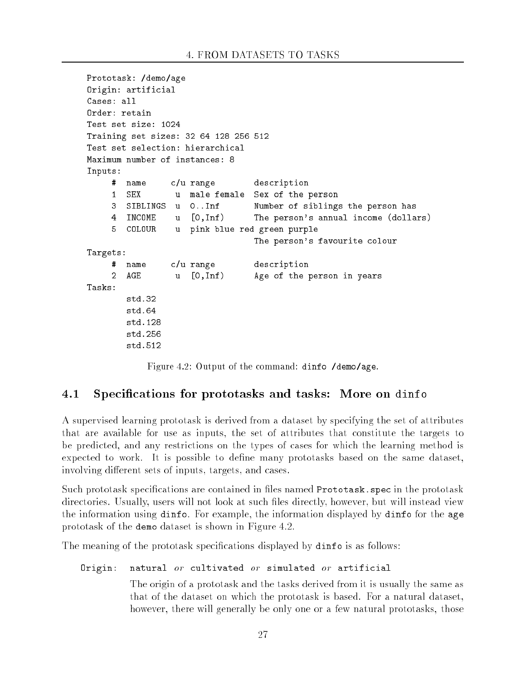```
Prototask: /demo/age
Origin: artificial
Cases: all
Order: retain
Test set size: 1024
Training set sizes: 32 64 128 256 512
Test set selection: hierarchical
Maximum number of instances: 8
Inputs:
    # name c/u range description
    1 SEX u male female Sex of the person
                   0.. Inf
    3
       SIBLINGS u
                               Number of siblings the person has
    4 INCOME u [0,Inf) The person's annual income (dollars)
    5
       5 COLOUR u pink blue red green purple
                               The person's favourite colour
Targets:
    # name c/u range description
    2 AGEu [0,Inf) Age of the person in years
Tasks:
       std.32
       std.64
       std.128
       std.512
```
Figure 4.2: Output of the command: dinfo /demo/age.

#### $4.1$ Specifications for prototasks and tasks: More on dinfo

A supervised learning prototask is derived from a dataset by specifying the set of attributes that are available for use as inputs, the set of attributes that constitute the targets to be predicted, and any restrictions on the types of cases for which the learning method is expected to work. It is possible to define many prototasks based on the same dataset, involving different sets of inputs, targets, and cases.

Such prototask specifications are contained in files named Prototask. spec in the prototask directories. Usually, users will not look at such files directly, however, but will instead view the information using dinfo. For example, the information displayed by dinfo for the age prototask of the demo dataset is shown in Figure 4.2.

The meaning of the prototask specifications displayed by **dinfo** is as follows:

### Origin: natural  $or$  cultivated  $or$  simulated  $or$  artificial

The origin of a prototask and the tasks derived from it is usually the same as that of the dataset on which the prototask is based. For a natural dataset, however, there will generally be only one or a few natural prototasks, those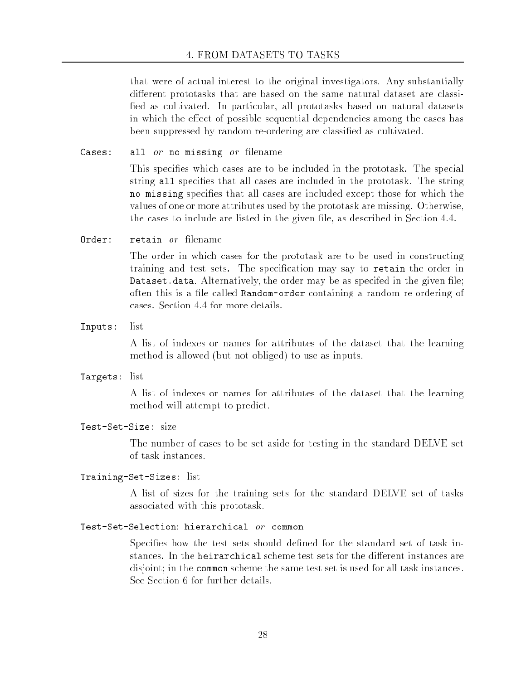that were of actual interest to the original investigators. Any substantially different prototasks that are based on the same natural dataset are classified as cultivated. In particular, all prototasks based on natural datasets in which the effect of possible sequential dependencies among the cases has been suppressed by random re-ordering are classied as cultivated.

Cases: all  $or$  no missing  $or$  filename

This species which cases are to be included in the prototask. The special string all specifies that all cases are included in the prototask. The string no missing specifies that all cases are included except those for which the values of one or more attributes used by the prototask are missing. Otherwise, the cases to include are listed in the given file, as described in Section 4.4.

 $Order:$ retain or filename

> The order in which cases for the prototask are to be used in constructing training and test sets. The specication may say to retain the order in Dataset.data. Alternatively, the order may be as specifed in the given file; often this is a file called Random-order containing a random re-ordering of cases. Section 4.4 for more details.

Inputs: list

A list of indexes or names for attributes of the dataset that the learning method is allowed (but not obliged) to use as inputs.

Targets: list

A list of indexes or names for attributes of the dataset that the learning method will attempt to predict.

Test-Set-Size: size

The number of cases to be set aside for testing in the standard DELVE set of task instances.

## Training-Set-Sizes: list

A list of sizes for the training sets for the standard DELVE set of tasks associated with this prototask.

## Test-Set-Selection hierarchical or common

Specifies how the test sets should defined for the standard set of task instances. In the heirarchical scheme test sets for the different instances are disjoint; in the common scheme the same test set is used for all task instances. See Section 6 for further details.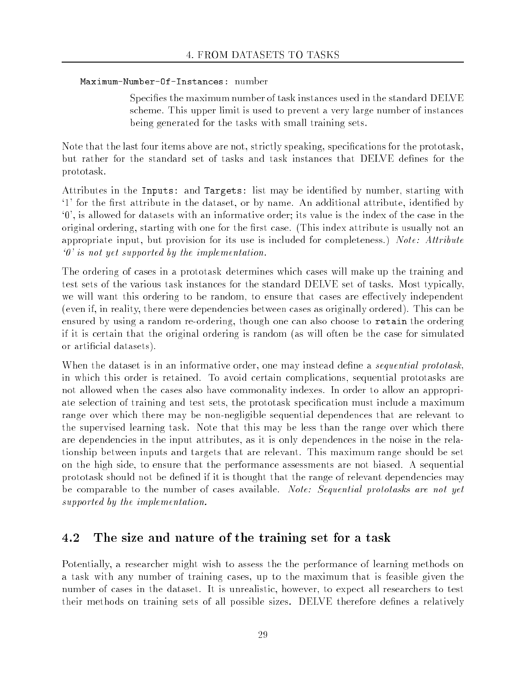### Maximum-Number-Of-Instances: number

Specifies the maximum number of task instances used in the standard DELVE scheme. This upper limit is used to prevent a very large number of instances being generated for the tasks with small training sets.

Note that the last four items above are not, strictly speaking, specifications for the prototask, but rather for the standard set of tasks and task instances that DELVE defines for the prototask.

Attributes in the Inputs: and Targets: list may be identied by number, starting with <sup>1</sup> for the first attribute in the dataset, or by name. An additional attribute, identified by `0', is allowed for datasets with an informative order; its value is the index of the case in the original ordering, starting with one for the first case. (This index attribute is usually not an appropriate input, but provision for its use is included for completeness.) Note: Attribute `0' is not yet supported by the implementation.

The ordering of cases in a prototask determines which cases will make up the training and test sets of the various task instances for the standard DELVE set of tasks. Most typically, we will want this ordering to be random, to ensure that cases are effectively independent (even if, in reality, there were dependencies between cases as originally ordered). This can be ensured by using a random re-ordering, though one can also choose to retain the ordering if it is certain that the original ordering is random (as will often be the case for simulated or articial datasets).

When the dataset is in an informative order, one may instead define a *sequential prototask*, in which this order is retained. To avoid certain complications, sequential prototasks are not allowed when the cases also have commonality indexes. In order to allow an appropriate selection of training and test sets, the prototask specication must include a maximum range over which there may be non-negligible sequential dependences that are relevant to the supervised learning task. Note that this may be less than the range over which there are dependencies in the input attributes, as it is only dependences in the noise in the relationship between inputs and targets that are relevant. This maximum range should be set on the high side, to ensure that the performance assessments are not biased. A sequential prototask should not be defined if it is thought that the range of relevant dependencies may be comparable to the number of cases available. Note: Sequential prototasks are not yet supported by the implementation.

# 4.2 The size and nature of the training set for a task

Potentially, a researcher might wish to assess the the performance of learning methods on a task with any number of training cases, up to the maximum that is feasible given the number of cases in the dataset. It is unrealistic, however, to expect all researchers to test their methods on training sets of all possible sizes. DELVE therefore defines a relatively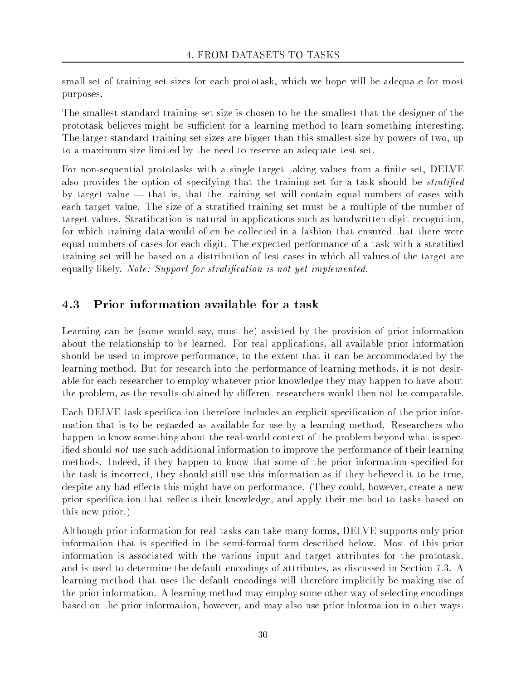small set of training set sizes for each prototask, which we hope will be adequate for most purposes.

The smallest standard training set size is chosen to be the smallest that the designer of the prototask believes might be sufficient for a learning method to learn something interesting. The larger standard training set sizes are bigger than this smallest size by powers of two, up to a maximum size limited by the need to reserve an adequate test set.

For non-sequential prototasks with a single target taking values from a finite set, DELVE also provides the option of specifying that the training set for a task should be *stratified* by target value  $-$  that is, that the training set will contain equal numbers of cases with each target value. The size of a stratified training set must be a multiple of the number of target values. Stratication is natural in applications such as handwritten digit recognition, for which training data would often be collected in a fashion that ensured that there were equal numbers of cases for each digit. The expected performance of a task with a stratied training set will be based on a distribution of test cases in which all values of the target are equally likely. Note: Support for stratification is not yet implemented.

#### 4.3 Prior information available for a task

Learning can be (some would say, must be) assisted by the provision of prior information about the relationship to be learned. For real applications, all available prior information should be used to improve performance, to the extent that it can be accommodated by the learning method. But for research into the performance of learning methods, it is not desirable for each researcher to employ whatever prior knowledge they may happen to have about the problem, as the results obtained by different researchers would then not be comparable.

Each DELVE task specification therefore includes an explicit specification of the prior information that is to be regarded as available for use by a learning method. Researchers who happen to know something about the real-world context of the problem beyond what is specified should not use such additional information to improve the performance of their learning methods. Indeed, if they happen to know that some of the prior information specified for the task is incorrect, they should still use this information as if they believed it to be true, despite any bad effects this might have on performance. (They could, however, create a new prior specification that reflects their knowledge, and apply their method to tasks based on this new prior.)

Although prior information for real tasks can take many forms, DELVE supports only prior information that is specied in the semi-formal form described below. Most of this prior information is associated with the various input and target attributes for the prototask, and is used to determine the default encodings of attributes, as discussed in Section 7.3. A learning method that uses the default encodings will therefore implicitly be making use of the prior information. A learning method may employ some other way of selecting encodings based on the prior information, however, and may also use prior information in other ways.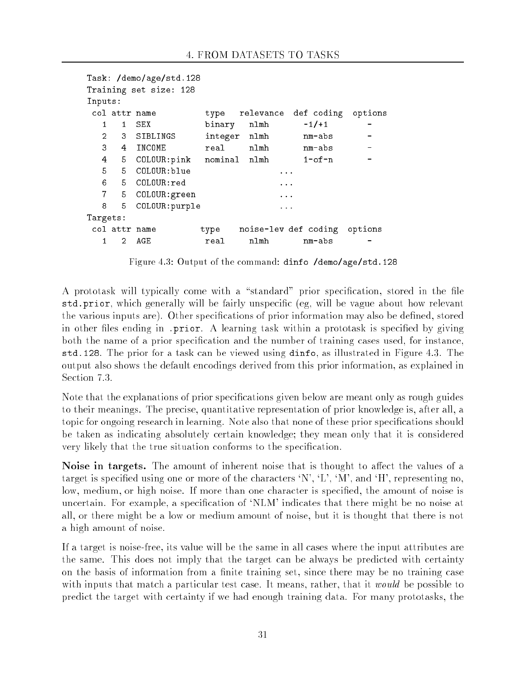```
Task: /demo/age/std.128
Training set size: 128
Inputs:
 col attr name type relevance def coding options
   1 1 Sex binary names and the sex binary news and the sex of the sex of the sex of the sex of the sex of the se
   2 3 SIBLINGS integer nlmh mm-abs
   4
      5 COLOUR: pink nominal nlmh 1-of-n
   5 5 COLOUR:blue ...
   6 5 COLOUR:red ...
   7 5 COLOUR: green ...
   8
       5
          COLOUR: purple
                                      \sim \sim \simTargets:
 col attr name type noise-lev def coding options
   \mathbf{1}\overline{2}AGE
                                nlmh
                                           nm - abs
```
Figure 4.3: Output of the command: dinfo /demo/age/std.128

A prototask will typically come with a "standard" prior specification, stored in the file std.prior, which generally will be fairly unspecific (eg, will be vague about how relevant the various inputs are). Other specifications of prior information may also be defined, stored in other files ending in .prior. A learning task within a prototask is specified by giving both the name of a prior specication and the number of training cases used, for instance, std.128. The prior for a task can be viewed using dinfo, as illustrated in Figure 4.3. The output also shows the default encodings derived from this prior information, as explained in Section 7.3.

Note that the explanations of prior specifications given below are meant only as rough guides to their meanings. The precise, quantitative representation of prior knowledge is, after all, a topic for ongoing research in learning. Note also that none of these prior specications should be taken as indicating absolutely certain knowledge; they mean only that it is considered very likely that the true situation conforms to the specication.

Noise in targets. The amount of inherent noise that is thought to affect the values of a target is specified using one or more of the characters  $\langle N', L', M', \text{and } H',$  representing no, low, medium, or high noise. If more than one character is specified, the amount of noise is uncertain. For example, a specification of 'NLM' indicates that there might be no noise at all, or there might be a low or medium amount of noise, but it is thought that there is not a high amount of noise.

If a target is noise-free, its value will be the same in all cases where the input attributes are the same. This does not imply that the target can be always be predicted with certainty on the basis of information from a finite training set, since there may be no training case with inputs that match a particular test case. It means, rather, that it would be possible to predict the target with certainty if we had enough training data. For many prototasks, the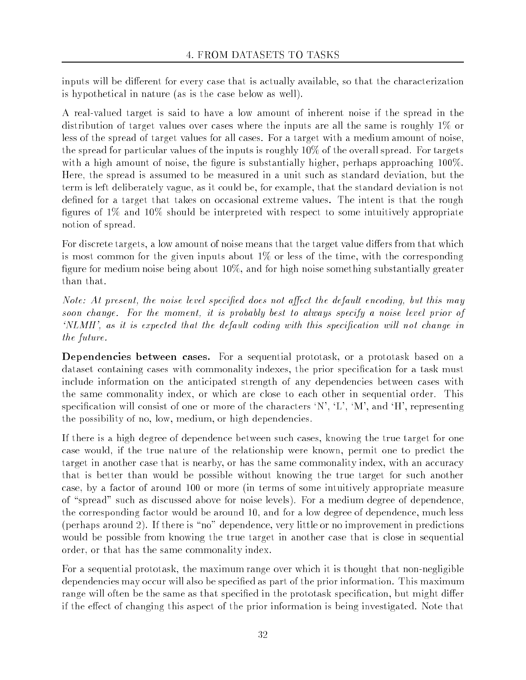inputs will be different for every case that is actually available, so that the characterization is hypothetical in nature (as is the case below as well).

A real-valued target is said to have a low amount of inherent noise if the spread in the distribution of target values over cases where the inputs are all the same is roughly 1% or less of the spread of target values for all cases. For a target with a medium amount of noise, the spread for particular values of the inputs is roughly 10% of the overall spread. For targets with a high amount of noise, the figure is substantially higher, perhaps approaching  $100\%$ . Here, the spread is assumed to be measured in a unit such as standard deviation, but the term is left deliberately vague, as it could be, for example, that the standard deviation is not defined for a target that takes on occasional extreme values. The intent is that the rough figures of  $1\%$  and  $10\%$  should be interpreted with respect to some intuitively appropriate notion of spread.

For discrete targets, a low amount of noise means that the target value differs from that which is most common for the given inputs about  $1\%$  or less of the time, with the corresponding figure for medium noise being about  $10\%$ , and for high noise something substantially greater than that.

Note: At present, the noise level specified does not affect the default encoding, but this may soon change. For the moment, it is probably best to always specify a noise level prior of `NLMH', as it is expected that the default coding with this specication will not change in the future.

Dependencies between cases. For a sequential prototask, or a prototask based on a dataset containing cases with commonality indexes, the prior specication for a task must include information on the anticipated strength of any dependencies between cases with the same commonality index, or which are close to each other in sequential order. This specification will consist of one or more of the characters  $'N', 'L', 'M',$  and  $'H'$ , representing the possibility of no, low, medium, or high dependencies.

If there is a high degree of dependence between such cases, knowing the true target for one case would, if the true nature of the relationship were known, permit one to predict the target in another case that is nearby, or has the same commonality index, with an accuracy that is better than would be possible without knowing the true target for such another case, by a factor of around 100 or more (in terms of some intuitively appropriate measure of "spread" such as discussed above for noise levels). For a medium degree of dependence, the corresponding factor would be around 10, and for a low degree of dependence, much less (perhaps around 2). If there is "no" dependence, very little or no improvement in predictions would be possible from knowing the true target in another case that is close in sequential order, or that has the same commonality index.

For a sequential prototask, the maximum range over which it is thought that non-negligible dependencies may occur will also be specified as part of the prior information. This maximum range will often be the same as that specified in the prototask specification, but might differ if the effect of changing this aspect of the prior information is being investigated. Note that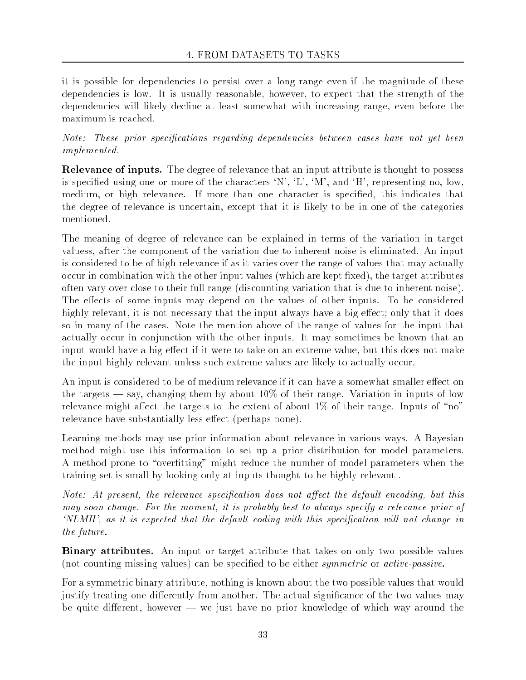it is possible for dependencies to persist over a long range even if the magnitude of these dependencies is low. It is usually reasonable, however, to expect that the strength of the dependencies will likely decline at least somewhat with increasing range, even before the maximum is reached.

Note: These prior specications regarding dependencies between cases have not yet been implemented.

Relevance of inputs. The degree of relevance that an input attribute is thought to possess is specified using one or more of the characters  $'N'$ ,  $'L'$ ,  $'M'$ , and  $'H'$ , representing no, low, medium, or high relevance. If more than one character is specied, this indicates that the degree of relevance is uncertain, except that it is likely to be in one of the categories

The meaning of degree of relevance can be explained in terms of the variation in target valuess, after the component of the variation due to inherent noise is eliminated. An input is considered to be of high relevance if as it varies over the range of values that may actually occur in combination with the other input values (which are kept fixed), the target attributes often vary over close to their full range (discounting variation that is due to inherent noise). The effects of some inputs may depend on the values of other inputs. To be considered highly relevant, it is not necessary that the input always have a big effect; only that it does so in many of the cases. Note the mention above of the range of values for the input that actually occur in conjunction with the other inputs. It may sometimes be known that an input would have a big effect if it were to take on an extreme value, but this does not make the input highly relevant unless such extreme values are likely to actually occur.

An input is considered to be of medium relevance if it can have a somewhat smaller effect on the targets  $\sim$  say, changing them by about 10% of their range. Variation in inputs of low relevance might affect the targets to the extent of about  $1\%$  of their range. Inputs of "no" relevance have substantially less effect (perhaps none).

Learning methods may use prior information about relevance in various ways. A Bayesian method might use this information to set up a prior distribution for model parameters. A method prone to "overfitting" might reduce the number of model parameters when the training set is small by looking only at inputs thought to be highly relevant .

Note: At present, the relevance specification does not affect the default encoding, but this may soon change. For the moment, it is probably best to always specify a relevance prior of `NLMH', as it is expected that the default coding with this specication will not change in the future.

Binary attributes. An input or target attribute that takes on only two possible values (not counting missing values) can be specified to be either *symmetric* or *active-passive*.

For a symmetric binary attribute, nothing is known about the two possible values that would justify treating one differently from another. The actual significance of the two values may be quite different, however  $-$  we just have no prior knowledge of which way around the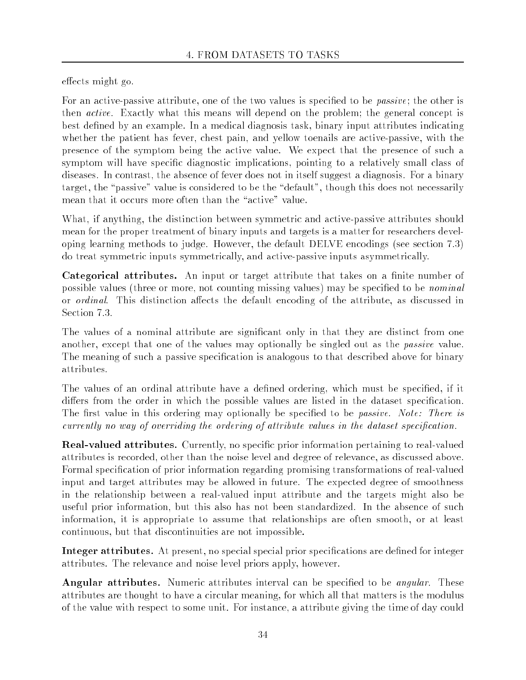effects might go.

For an active-passive attribute, one of the two values is specified to be *passive*; the other is then active. Exactly what this means will depend on the problem; the general concept is best defined by an example. In a medical diagnosis task, binary input attributes indicating whether the patient has fever, chest pain, and yellow toenails are active-passive, with the presence of the symptom being the active value. We expect that the presence of such a symptom will have specific diagnostic implications, pointing to a relatively small class of diseases. In contrast, the absence of fever does not in itself suggest a diagnosis. For a binary target, the "passive" value is considered to be the "default", though this does not necessarily mean that it occurs more often than the "active" value.

What, if anything, the distinction between symmetric and active-passive attributes should mean for the proper treatment of binary inputs and targets is a matter for researchers developing learning methods to judge. However, the default DELVE encodings (see section 7.3) do treat symmetric inputs symmetrically, and active-passive inputs asymmetrically.

Categorical attributes. An input or target attribute that takes on a finite number of possible values (three or more, not counting missing values) may be specified to be *nominal* or *ordinal*. This distinction affects the default encoding of the attribute, as discussed in Section 7.3.

The values of a nominal attribute are signicant only in that they are distinct from one another, except that one of the values may optionally be singled out as the *passive* value. The meaning of such a passive specification is analogous to that described above for binary attributes.

The values of an ordinal attribute have a defined ordering, which must be specified, if it differs from the order in which the possible values are listed in the dataset specification. The first value in this ordering may optionally be specified to be *passive. Note: There is* currently no way of overriding the ordering of attribute values in the dataset specication.

**Real-valued attributes.** Currently, no specific prior information pertaining to real-valued attributes is recorded, other than the noise level and degree of relevance, as discussed above. Formal specication of prior information regarding promising transformations of real-valued input and target attributes may be allowed in future. The expected degree of smoothness in the relationship between a real-valued input attribute and the targets might also be useful prior information, but this also has not been standardized. In the absence of such information, it is appropriate to assume that relationships are often smooth, or at least continuous, but that discontinuities are not impossible.

Integer attributes. At present, no special special prior specifications are defined for integer attributes. The relevance and noise level priors apply, however.

**Angular attributes.** Numeric attributes interval can be specified to be *angular*. These attributes are thought to have a circular meaning, for which all that matters is the modulus of the value with respect to some unit. For instance, a attribute giving the time of day could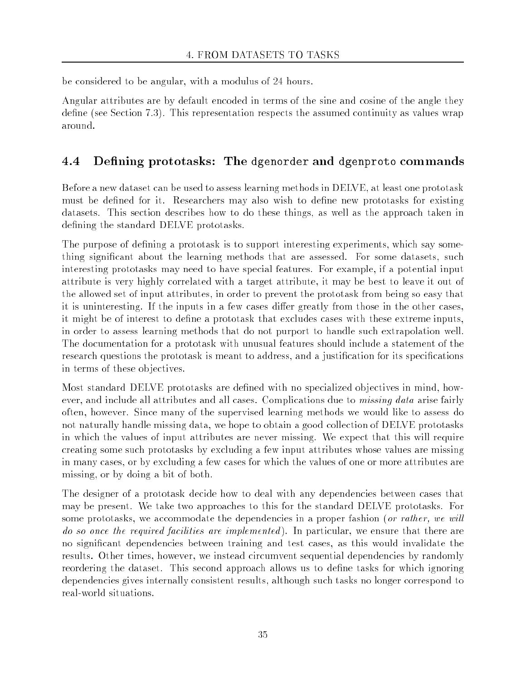be considered to be angular, with a modulus of 24 hours.

Angular attributes are by default encoded in terms of the sine and cosine of the angle they define (see Section 7.3). This representation respects the assumed continuity as values wrap around.

## 4.4 Defining prototasks: The dgenorder and dgenproto commands

Before a new dataset can be used to assess learning methods in DELVE, at least one prototask must be defined for it. Researchers may also wish to define new prototasks for existing datasets. This section describes how to do these things, as well as the approach taken in defining the standard DELVE prototasks.

The purpose of defining a prototask is to support interesting experiments, which say something signicant about the learning methods that are assessed. For some datasets, such interesting prototasks may need to have special features. For example, if a potential input attribute is very highly correlated with a target attribute, it may be best to leave it out of the allowed set of input attributes, in order to prevent the prototask from being so easy that it is uninteresting. If the inputs in a few cases differ greatly from those in the other cases, it might be of interest to define a prototask that excludes cases with these extreme inputs, in order to assess learning methods that do not purport to handle such extrapolation well. The documentation for a prototask with unusual features should include a statement of the research questions the prototask is meant to address, and a justification for its specifications in terms of these objectives.

Most standard DELVE prototasks are dened with no specialized ob jectives in mind, however, and include all attributes and all cases. Complications due to *missing data* arise fairly often, however. Since many of the supervised learning methods we would like to assess do not naturally handle missing data, we hope to obtain a good collection of DELVE prototasks in which the values of input attributes are never missing. We expect that this will require creating some such prototasks by excluding a few input attributes whose values are missing in many cases, or by excluding a few cases for which the values of one or more attributes are missing, or by doing a bit of both.

The designer of a prototask decide how to deal with any dependencies between cases that may be present. We take two approaches to this for the standard DELVE prototasks. For some prototasks, we accommodate the dependencies in a proper fashion (or rather, we will do so once the required facilities are implemented). In particular, we ensure that there are no signicant dependencies between training and test cases, as this would invalidate the results. Other times, however, we instead circumvent sequential dependencies by randomly reordering the dataset. This second approach allows us to define tasks for which ignoring dependencies gives internally consistent results, although such tasks no longer correspond to real-world situations.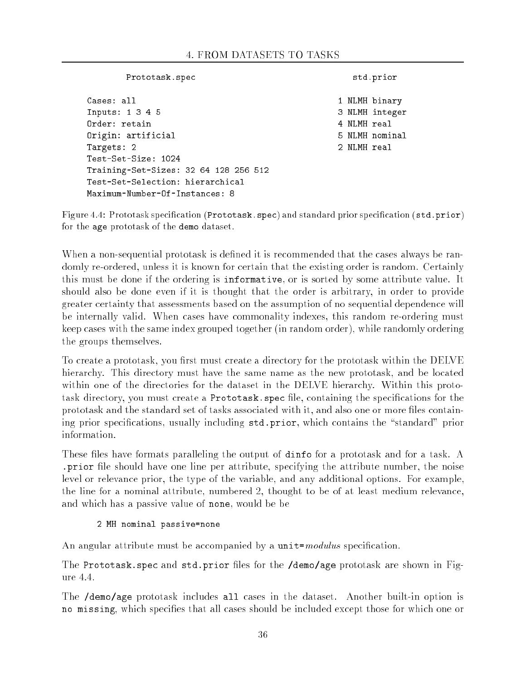| Prototask.spec                        |  | std.prior   |                |  |
|---------------------------------------|--|-------------|----------------|--|
| Cases: all                            |  |             | 1 NLMH binary  |  |
| Inputs: 1 3 4 5                       |  |             | 3 NLMH integer |  |
| Order: retain                         |  | 4 NLMH real |                |  |
| Origin: artificial                    |  |             | 5 NLMH nominal |  |
| Targets: 2                            |  | 2 NLMH real |                |  |
| Test-Set-Size: 1024                   |  |             |                |  |
| Training-Set-Sizes: 32 64 128 256 512 |  |             |                |  |
| Test-Set-Selection: hierarchical      |  |             |                |  |
| Maximum-Number-Of-Instances: 8        |  |             |                |  |

Figure 4.4: Prototask specification (Prototask. spec) and standard prior specification (std.prior) for the age prototask of the demo dataset.

When a non-sequential prototask is defined it is recommended that the cases always be randomly re-ordered, unless it is known for certain that the existing order is random. Certainly this must be done if the ordering is informative, or is sorted by some attribute value. It should also be done even if it is thought that the order is arbitrary, in order to provide greater certainty that assessments based on the assumption of no sequential dependence will be internally valid. When cases have commonality indexes, this random re-ordering must keep cases with the same index grouped together (in random order), while randomly ordering the groups themselves.

To create a prototask, you first must create a directory for the prototask within the DELVE hierarchy. This directory must have the same name as the new prototask, and be located within one of the directories for the dataset in the DELVE hierarchy. Within this prototask directory, you must create a Prototask. spec file, containing the specifications for the prototask and the standard set of tasks associated with it, and also one or more files containing prior specifications, usually including std.prior, which contains the "standard" prior information.

These files have formats paralleling the output of dinfo for a prototask and for a task. A prior file should have one line per attribute, specifying the attribute number, the noise level or relevance prior, the type of the variable, and any additional options. For example, the line for a nominal attribute, numbered 2, thought to be of at least medium relevance, and which has a passive value of none, would be be

### 2 MH nominal passive=none

An angular attribute must be accompanied by a  $unit = modulus$  specification.

The Prototask spec and std.prior files for the /demo/age prototask are shown in Figure 4.4.

The /demo/age prototask includes all cases in the dataset. Another built-in option is no missing, which species that all cases should be included except those for which one or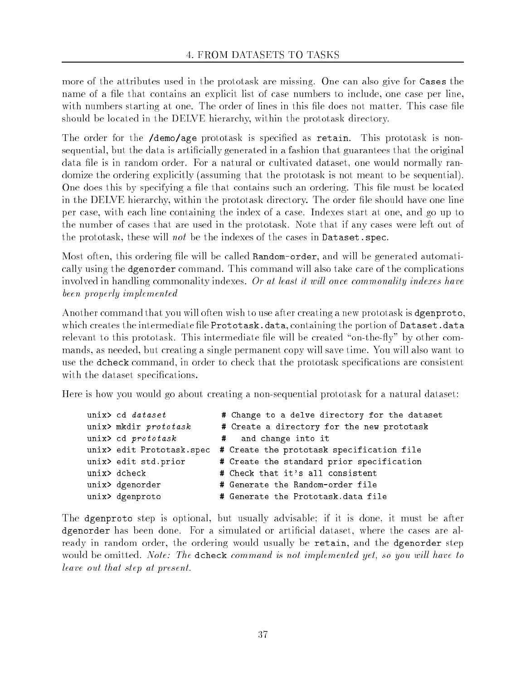more of the attributes used in the prototask are missing. One can also give for Cases the name of a file that contains an explicit list of case numbers to include, one case per line, with numbers starting at one. The order of lines in this file does not matter. This case file should be located in the DELVE hierarchy, within the prototask directory.

The order for the /demo/age prototask is specified as retain. This prototask is nonsequential, but the data is artificially generated in a fashion that guarantees that the original data file is in random order. For a natural or cultivated dataset, one would normally randomize the ordering explicitly (assuming that the prototask is not meant to be sequential). One does this by specifying a file that contains such an ordering. This file must be located in the DELVE hierarchy, within the prototask directory. The order file should have one line per case, with each line containing the index of a case. Indexes start at one, and go up to the number of cases that are used in the prototask. Note that if any cases were left out of the prototask, these will not be the indexes of the cases in Dataset.spec.

Most often, this ordering file will be called Random-order, and will be generated automatically using the dgenorder command. This command will also take care of the complications involved in handling commonality indexes. Or at least it will once commonality indexes have been properly implemented

Another command that you will often wish to use after creating a new prototask is dgenproto, which creates the intermediate file Prototask.data, containing the portion of Dataset.data relevant to this prototask. This intermediate file will be created "on-the-fly" by other commands, as needed, but creating a single permanent copy will save time. You will also want to use the dcheck command, in order to check that the prototask specifications are consistent with the dataset specifications.

Here is how you would go about creating a non-sequential prototask for a natural dataset:

| unix> cd dataset          | # Change to a delve directory for the dataset |
|---------------------------|-----------------------------------------------|
| unix> mkdir prototask     | # Create a directory for the new prototask    |
| unix> cd prototask        | # and change into it                          |
| unix> edit Prototask.spec | # Create the prototask specification file     |
| unix> edit std.prior      | # Create the standard prior specification     |
| unix> dcheck              | # Check that it's all consistent              |
| unix> dgenorder           | # Generate the Random-order file              |
| unix> dgenproto           | # Generate the Prototask.data file            |

The dgenproto step is optional, but usually advisable; if it is done, it must be after dgenorder has been done. For a simulated or articial dataset, where the cases are already in random order, the ordering would usually be retain, and the dgenorder step would be omitted. Note: The dcheck command is not implemented yet, so you will have to leave out that step at present.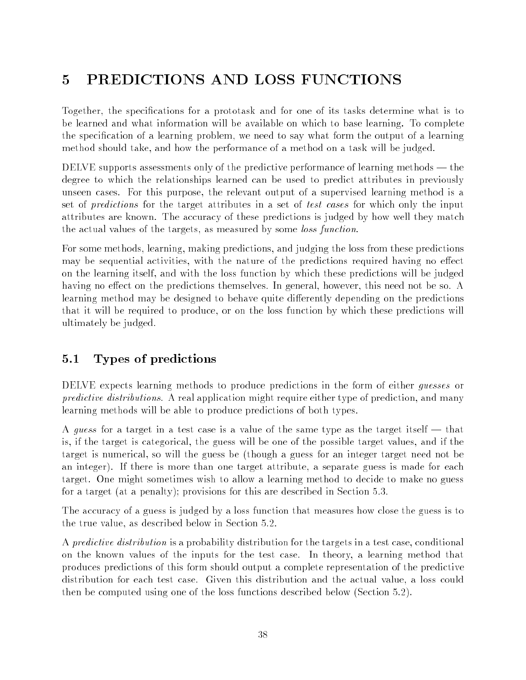# 5 PREDICTIONS AND LOSS FUNCTIONS

Together, the specifications for a prototask and for one of its tasks determine what is to be learned and what information will be available on which to base learning. To complete the specication of a learning problem, we need to say what form the output of a learning method should take, and how the performance of a method on a task will be judged.

DELVE supports assessments only of the predictive performance of learning methods — the degree to which the relationships learned can be used to predict attributes in previously unseen cases. For this purpose, the relevant output of a supervised learning method is a set of *predictions* for the target attributes in a set of test cases for which only the input attributes are known. The accuracy of these predictions is judged by how well they match the actual values of the targets, as measured by some *loss function*.

For some methods, learning, making predictions, and judging the loss from these predictions may be sequential activities, with the nature of the predictions required having no effect on the learning itself, and with the loss function by which these predictions will be judged having no effect on the predictions themselves. In general, however, this need not be so. A learning method may be designed to behave quite differently depending on the predictions that it will be required to produce, or on the loss function by which these predictions will ultimately be judged.

## 5.1 Types of predictions

DELVE expects learning methods to produce predictions in the form of either *quesses* or predictive distributions. A real application might require either type of prediction, and many learning methods will be able to produce predictions of both types.

A guess for a target in a test case is a value of the same type as the target itself  $-$  that is, if the target is categorical, the guess will be one of the possible target values, and if the target is numerical, so will the guess be (though a guess for an integer target need not be an integer). If there is more than one target attribute, a separate guess is made for each target. One might sometimes wish to allow a learning method to decide to make no guess for a target (at a penalty); provisions for this are described in Section 5.3.

The accuracy of a guess is judged by a loss function that measures how close the guess is to the true value, as described below in Section 5.2.

A *predictive distribution* is a probability distribution for the targets in a test case, conditional on the known values of the inputs for the test case. In theory, a learning method that produces predictions of this form should output a complete representation of the predictive distribution for each test case. Given this distribution and the actual value, a loss could then be computed using one of the loss functions described below (Section 5.2).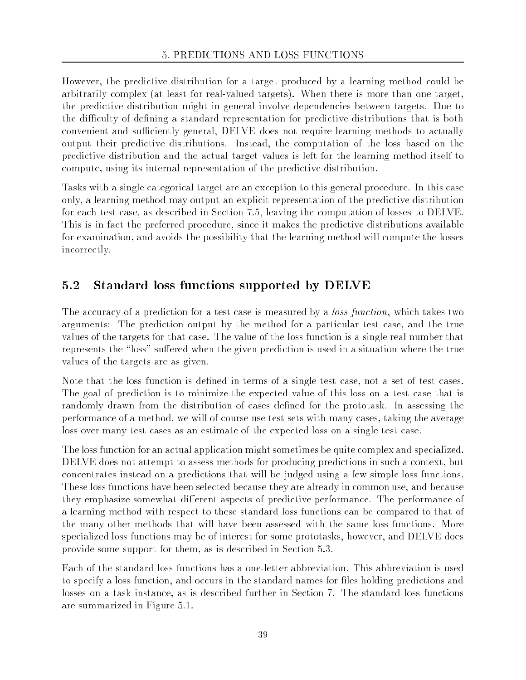However, the predictive distribution for a target produced by a learning method could be arbitrarily complex (at least for real-valued targets). When there is more than one target, the predictive distribution might in general involve dependencies between targets. Due to the difficulty of defining a standard representation for predictive distributions that is both convenient and sufficiently general, DELVE does not require learning methods to actually output their predictive distributions. Instead, the computation of the loss based on the predictive distribution and the actual target values is left for the learning method itself to compute, using its internal representation of the predictive distribution.

Tasks with a single categorical target are an exception to this general procedure. In this case only, a learning method may output an explicit representation of the predictive distribution for each test case, as described in Section 7.5, leaving the computation of losses to DELVE. This is in fact the preferred procedure, since it makes the predictive distributions available for examination, and avoids the possibility that the learning method will compute the losses incorrectly.

#### $5.2$ Standard loss functions supported by DELVE

The accuracy of a prediction for a test case is measured by a *loss function*, which takes two arguments: The prediction output by the method for a particular test case, and the true values of the targets for that case. The value of the loss function is a single real number that represents the "loss" suffered when the given prediction is used in a situation where the true values of the targets are as given.

Note that the loss function is defined in terms of a single test case, not a set of test cases. The goal of prediction is to minimize the expected value of this loss on a test case that is randomly drawn from the distribution of cases defined for the prototask. In assessing the performance of a method, we will of course use test sets with many cases, taking the average loss over many test cases as an estimate of the expected loss on a single test case.

The loss function for an actual application might sometimes be quite complex and specialized. DELVE does not attempt to assess methods for producing predictions in such a context, but concentrates instead on a predictions that will be judged using a few simple loss functions. These loss functions have been selected because they are already in common use, and because they emphasize somewhat different aspects of predictive performance. The performance of a learning method with respect to these standard loss functions can be compared to that of the many other methods that will have been assessed with the same loss functions. More specialized loss functions may be of interest for some prototasks, however, and DELVE does provide some support for them, as is described in Section 5.3.

Each of the standard loss functions has a one-letter abbreviation. This abbreviation is used to specify a loss function, and occurs in the standard names for les holding predictions and losses on a task instance, as is described further in Section 7. The standard loss functions are summarized in Figure 5.1.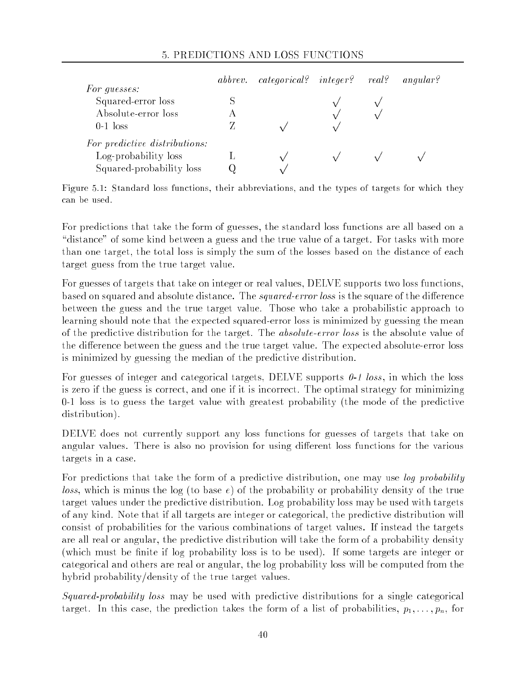### 5. PREDICTIONS AND LOSS FUNCTIONS

| For quesses:                  | abbrev. categorical? integer? real? |  | angular? |
|-------------------------------|-------------------------------------|--|----------|
| Squared-error loss            |                                     |  |          |
| Absolute-error loss           |                                     |  |          |
| $0-1$ loss                    |                                     |  |          |
| For predictive distributions: |                                     |  |          |
| Log-probability loss          |                                     |  |          |
| Squared-probability loss      |                                     |  |          |

Figure 5.1: Standard loss functions, their abbreviations, and the types of targets for which they

For predictions that take the form of guesses, the standard loss functions are all based on a "distance" of some kind between a guess and the true value of a target. For tasks with more than one target, the total loss is simply the sum of the losses based on the distance of each target guess from the true target value.

For guesses of targets that take on integer or real values, DELVE supports two loss functions, based on squared and absolute distance. The *squared-error loss* is the square of the difference between the guess and the true target value. Those who take a probabilistic approach to learning should note that the expected squared-error loss is minimized by guessing the mean of the predictive distribution for the target. The absolute-error loss is the absolute value of the difference between the guess and the true target value. The expected absolute-error loss is minimized by guessing the median of the predictive distribution.

For guesses of integer and categorical targets, DELVE supports  $0-1$  loss, in which the loss is zero if the guess is correct, and one if it is incorrect. The optimal strategy for minimizing 0-1 loss is to guess the target value with greatest probability (the mode of the predictive distribution).

DELVE does not currently support any loss functions for guesses of targets that take on angular values. There is also no provision for using different loss functions for the various targets in a case.

For predictions that take the form of a predictive distribution, one may use *log probability* loss, which is minus the log (to base  $e$ ) of the probability or probability density of the true target values under the predictive distribution. Log probability loss may be used with targets of any kind. Note that if all targets are integer or categorical, the predictive distribution will consist of probabilities for the various combinations of target values. If instead the targets are all real or angular, the predictive distribution will take the form of a probability density (which must be finite if log probability loss is to be used). If some targets are integer or categorical and others are real or angular, the log probability loss will be computed from the hybrid probability/density of the true target values.

Squared-probability loss may be used with predictive distributions for a single categorical target. In this case, the prediction takes the form of a list of probabilities,  $p_1, \ldots, p_n$ , for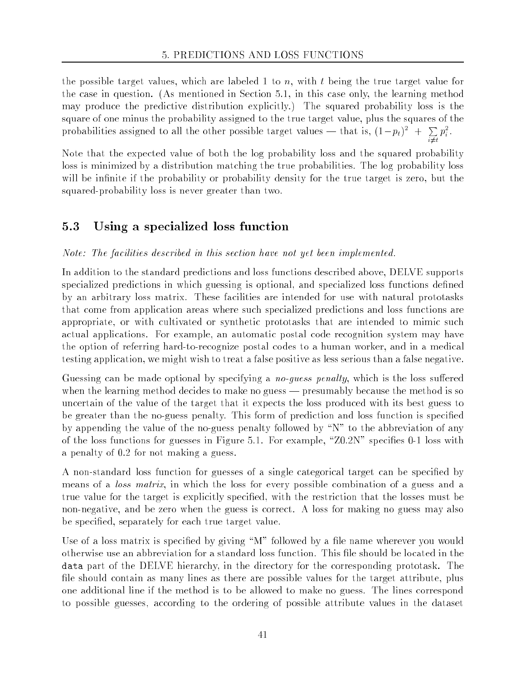the possible target values, which are labeled 1 to n, with t being the true target value for the case in question. (As mentioned in Section 5.1, in this case only, the learning method may produce the predictive distribution explicitly.) The squared probability loss is the square of one minus the probability assigned to the true target value, plus the squares of the probabilities assigned to all the other possible target values — that is,  $(1-p_t)^{-}$  + **Property**  $p_i^-$  .

Note that the expected value of both the log probability loss and the squared probability loss is minimized by a distribution matching the true probabilities. The log probability loss will be infinite if the probability or probability density for the true target is zero, but the squared-probability loss is never greater than two.

 $\cdot$   $\cdot$ 

#### 5.3 Using a specialized loss function

Note: The facilities described in this section have not yet been implemented.

In addition to the standard predictions and loss functions described above, DELVE supports specialized predictions in which guessing is optional, and specialized loss functions defined by an arbitrary loss matrix. These facilities are intended for use with natural prototasks that come from application areas where such specialized predictions and loss functions are appropriate, or with cultivated or synthetic prototasks that are intended to mimic such actual applications. For example, an automatic postal code recognition system may have the option of referring hard-to-recognize postal codes to a human worker, and in a medical testing application, we might wish to treat a false positive as less serious than a false negative.

Guessing can be made optional by specifying a *no-quess penalty*, which is the loss suffered when the learning method decides to make no guess — presumably because the method is so uncertain of the value of the target that it expects the loss produced with its best guess to be greater than the no-guess penalty. This form of prediction and loss function is specied by appending the value of the no-guess penalty followed by \N" to the abbreviation of any of the loss functions for guesses in Figure 5.1. For example, " $Z0.2N$ " specifies 0-1 loss with a penalty of 0.2 for not making a guess.

A non-standard loss function for guesses of a single categorical target can be specified by means of a *loss matrix*, in which the loss for every possible combination of a guess and a true value for the target is explicitly specied, with the restriction that the losses must be non-negative, and be zero when the guess is correct. A loss for making no guess may also be specied, separately for each true target value.

Use of a loss matrix is specified by giving " $M$ " followed by a file name wherever you would otherwise use an abbreviation for a standard loss function. This le should be located in the data part of the DELVE hierarchy, in the directory for the corresponding prototask. The file should contain as many lines as there are possible values for the target attribute, plus one additional line if the method is to be allowed to make no guess. The lines correspond to possible guesses, according to the ordering of possible attribute values in the dataset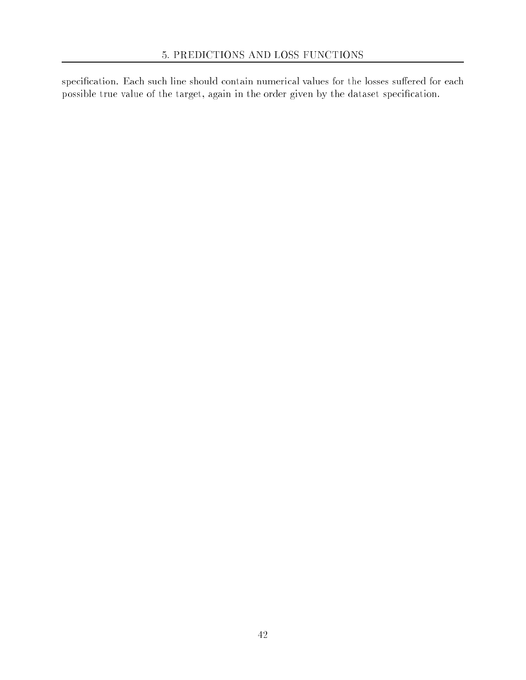specification. Each such line should contain numerical values for the losses suffered for each possible true value of the target, again in the order given by the dataset specification.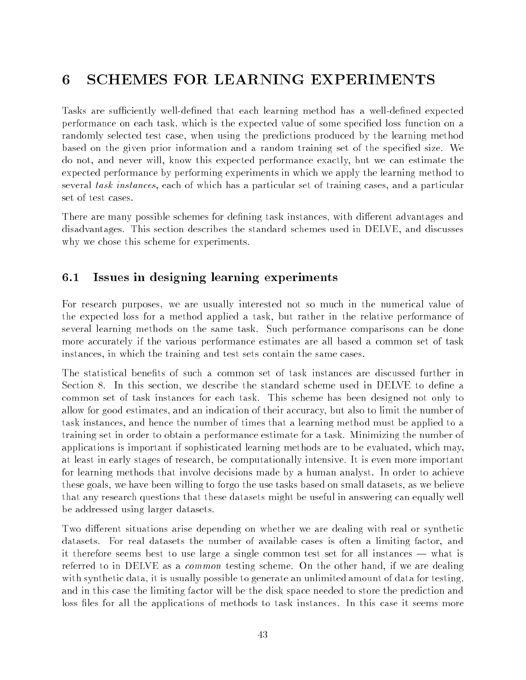# 6 SCHEMES FOR LEARNING EXPERIMENTS

Tasks are sufficiently well-defined that each learning method has a well-defined expected performance on each task, which is the expected value of some specified loss function on a randomly selected test case, when using the predictions produced by the learning method based on the given prior information and a random training set of the specified size. We do not, and never will, know this expected performance exactly, but we can estimate the expected performance by performing experiments in which we apply the learning method to several task instances, each of which has a particular set of training cases, and a particular set of test cases.

There are many possible schemes for defining task instances, with different advantages and disadvantages. This section describes the standard schemes used in DELVE, and discusses why we chose this scheme for experiments.

## 6.1 Issues in designing learning experiments

For research purposes, we are usually interested not so much in the numerical value of the expected loss for a method applied a task, but rather in the relative performance of several learning methods on the same task. Such performance comparisons can be done more accurately if the various performance estimates are all based a common set of task instances, in which the training and test sets contain the same cases.

The statistical benefits of such a common set of task instances are discussed further in Section 8. In this section, we describe the standard scheme used in DELVE to define a common set of task instances for each task. This scheme has been designed not only to allow for good estimates, and an indication of their accuracy, but also to limit the number of task instances, and hence the number of times that a learning method must be applied to a training set in order to obtain a performance estimate for a task. Minimizing the number of applications is important if sophisticated learning methods are to be evaluated, which may, at least in early stages of research, be computationally intensive. It is even more important for learning methods that involve decisions made by a human analyst. In order to achieve these goals, we have been willing to forgo the use tasks based on small datasets, as we believe that any research questions that these datasets might be useful in answering can equally well be addressed using larger datasets.

Two different situations arise depending on whether we are dealing with real or synthetic datasets. For real datasets the number of available cases is often a limiting factor, and it therefore seems best to use large a single common test set for all instances  $-$  what is referred to in DELVE as a common testing scheme. On the other hand, if we are dealing with synthetic data, it is usually possible to generate an unlimited amount of data for testing, and in this case the limiting factor will be the disk space needed to store the prediction and loss files for all the applications of methods to task instances. In this case it seems more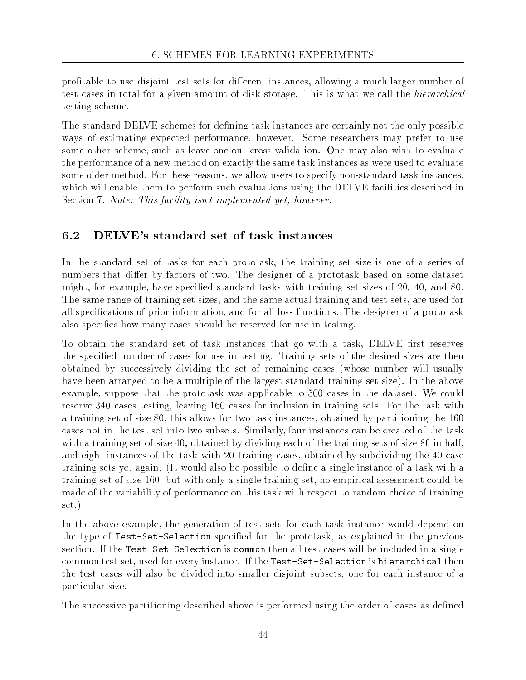profitable to use disjoint test sets for different instances, allowing a much larger number of test cases in total for a given amount of disk storage. This is what we call the hierarchical testing scheme.

The standard DELVE schemes for defining task instances are certainly not the only possible ways of estimating expected performance, however. Some researchers may prefer to use some other scheme, such as leave-one-out cross-validation. One may also wish to evaluate the performance of a new method on exactly the same task instances as were used to evaluate some older method. For these reasons, we allow users to specify non-standard task instances, which will enable them to perform such evaluations using the DELVE facilities described in Section 7. Note: This facility isn't implemented yet, however.

## 6.2 DELVE's standard set of task instances

In the standard set of tasks for each prototask, the training set size is one of a series of numbers that differ by factors of two. The designer of a prototask based on some dataset might, for example, have specied standard tasks with training set sizes of 20, 40, and 80. The same range of training set sizes, and the same actual training and test sets, are used for all specications of prior information, and for all loss functions. The designer of a prototask also specifies how many cases should be reserved for use in testing.

To obtain the standard set of task instances that go with a task, DELVE first reserves the specied number of cases for use in testing. Training sets of the desired sizes are then obtained by successively dividing the set of remaining cases (whose number will usually have been arranged to be a multiple of the largest standard training set size). In the above example, suppose that the prototask was applicable to 500 cases in the dataset. We could reserve 340 cases testing, leaving 160 cases for inclusion in training sets. For the task with a training set of size 80, this allows for two task instances, obtained by partitioning the 160 cases not in the test set into two subsets. Similarly, four instances can be created of the task with a training set of size 40, obtained by dividing each of the training sets of size 80 in half, and eight instances of the task with 20 training cases, obtained by subdividing the 40-case training sets yet again. (It would also be possible to define a single instance of a task with a training set of size 160, but with only a single training set, no empirical assessment could be made of the variability of performance on this task with respect to random choice of training set.)

In the above example, the generation of test sets for each task instance would depend on the type of Test-Set-Selection specified for the prototask, as explained in the previous section. If the Test-Set-Selection is common then all test cases will be included in a single common test set, used for every instance. If the Test-Set-Selection is hierarchical then the test cases will also be divided into smaller disjoint subsets, one for each instance of a particular size.

The successive partitioning described above is performed using the order of cases as defined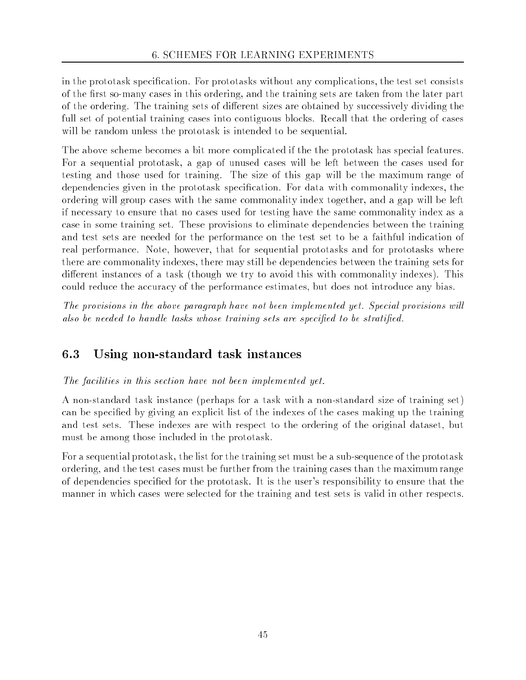in the prototask specication. For prototasks without any complications, the test set consists of the first so-many cases in this ordering, and the training sets are taken from the later part of the ordering. The training sets of different sizes are obtained by successively dividing the full set of potential training cases into contiguous blocks. Recall that the ordering of cases will be random unless the prototask is intended to be sequential.

The above scheme becomes a bit more complicated if the the prototask has special features. For a sequential prototask, a gap of unused cases will be left between the cases used for testing and those used for training. The size of this gap will be the maximum range of dependencies given in the prototask specification. For data with commonality indexes, the ordering will group cases with the same commonality index together, and a gap will be left if necessary to ensure that no cases used for testing have the same commonality index as a case in some training set. These provisions to eliminate dependencies between the training and test sets are needed for the performance on the test set to be a faithful indication of real performance. Note, however, that for sequential prototasks and for prototasks where there are commonality indexes, there may still be dependencies between the training sets for different instances of a task (though we try to avoid this with commonality indexes). This could reduce the accuracy of the performance estimates, but does not introduce any bias.

The provisions in the above paragraph have not been implemented yet. Special provisions will also be needed to handle tasks whose training sets are specified to be stratified.

## 6.3 Using non-standard task instances

### The facilities in this section have not been implemented yet.

A non-standard task instance (perhaps for a task with a non-standard size of training set) can be specied by giving an explicit list of the indexes of the cases making up the training and test sets. These indexes are with respect to the ordering of the original dataset, but must be among those included in the prototask.

For a sequential prototask, the list for the training set must be a sub-sequence of the prototask ordering, and the test cases must be further from the training cases than the maximum range of dependencies specied for the prototask. It is the user's responsibility to ensure that the manner in which cases were selected for the training and test sets is valid in other respects.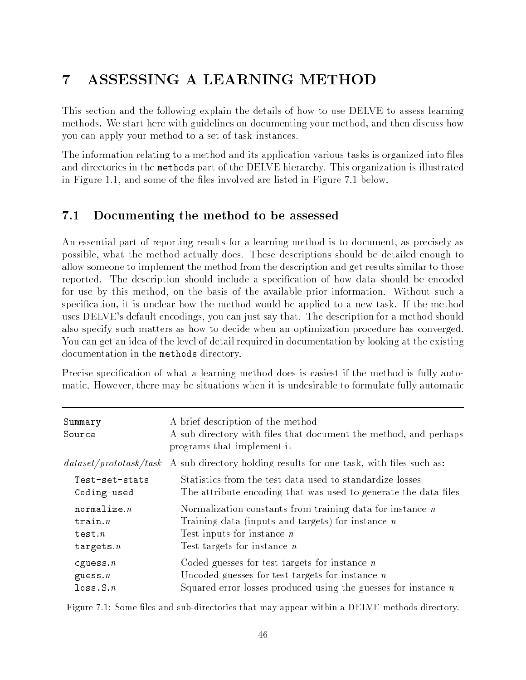# 7 ASSESSING A LEARNING METHOD

This section and the following explain the details of how to use DELVE to assess learning methods. We start here with guidelines on documenting your method, and then discuss how you can apply your method to a set of task instances.

The information relating to a method and its application various tasks is organized into files and directories in the methods part of the DELVE hierarchy. This organization is illustrated in Figure 1.1, and some of the files involved are listed in Figure 7.1 below.

#### $7.1$ Documenting the method to be assessed

An essential part of reporting results for a learning method is to document, as precisely as possible, what the method actually does. These descriptions should be detailed enough to allow someone to implement the method from the description and get results similar to those reported. The description should include a specification of how data should be encoded for use by this method, on the basis of the available prior information. Without such a specification, it is unclear how the method would be applied to a new task. If the method uses DELVE's default encodings, you can just say that. The description for a method should also specify such matters as how to decide when an optimization procedure has converged. You can get an idea of the level of detail required in documentation by looking at the existing documentation in the methods directory.

Precise specification of what a learning method does is easiest if the method is fully automatic. However, there may be situations when it is undesirable to formulate fully automatic

| Summary<br>Source       | A brief description of the method<br>A sub-directory with files that document the method, and perhaps<br>programs that implement it |
|-------------------------|-------------------------------------------------------------------------------------------------------------------------------------|
| dataset/proto task/task | A sub-directory holding results for one task, with files such as:                                                                   |
| Test-set-stats          | Statistics from the test data used to standardize losses                                                                            |
| Coding-used             | The attribute encoding that was used to generate the data files                                                                     |
| normalize $n$           | Normalization constants from training data for instance $n$                                                                         |
| train.n                 | Training data (inputs and targets) for instance $n$                                                                                 |
| test.n                  | Test inputs for instance $n$                                                                                                        |
| targets. $n$            | Test targets for instance $n$                                                                                                       |
| $c$ guess. $n$          | Coded guesses for test targets for instance $n$                                                                                     |
| guess $n$               | Uncoded guesses for test targets for instance $n$                                                                                   |
| loss.S.n                | Squared error losses produced using the guesses for instance $n$                                                                    |

Figure 7.1: Some files and sub-directories that may appear within a DELVE methods directory.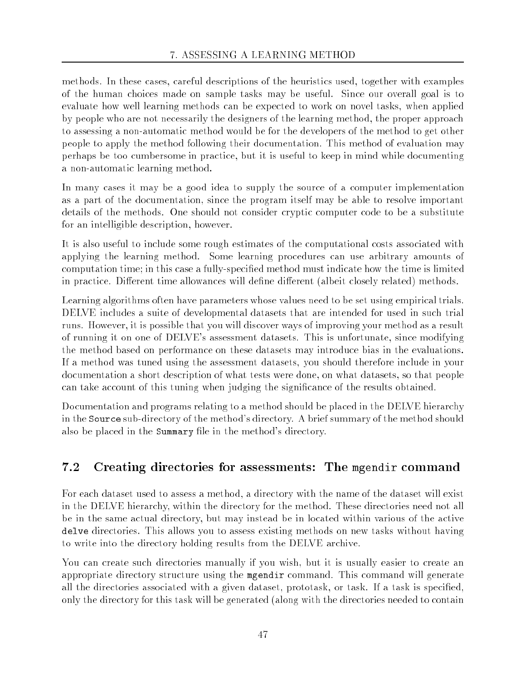methods. In these cases, careful descriptions of the heuristics used, together with examples of the human choices made on sample tasks may be useful. Since our overall goal is to evaluate how well learning methods can be expected to work on novel tasks, when applied by people who are not necessarily the designers of the learning method, the proper approach to assessing a non-automatic method would be for the developers of the method to get other people to apply the method following their documentation. This method of evaluation may perhaps be too cumbersome in practice, but it is useful to keep in mind while documenting a non-automatic learning method.

In many cases it may be a good idea to supply the source of a computer implementation as a part of the documentation, since the program itself may be able to resolve important details of the methods. One should not consider cryptic computer code to be a substitute for an intelligible description, however.

It is also useful to include some rough estimates of the computational costs associated with applying the learning method. Some learning procedures can use arbitrary amounts of computation time; in this case a fully-specied method must indicate how the time is limited in practice. Different time allowances will define different (albeit closely related) methods.

Learning algorithms often have parameters whose values need to be set using empirical trials. DELVE includes a suite of developmental datasets that are intended for used in such trial runs. However, it is possible that you will discover ways of improving your method as a result of running it on one of DELVE's assessment datasets. This is unfortunate, since modifying the method based on performance on these datasets may introduce bias in the evaluations. If a method was tuned using the assessment datasets, you should therefore include in your documentation a short description of what tests were done, on what datasets, so that people can take account of this tuning when judging the signicance of the results obtained.

Documentation and programs relating to a method should be placed in the DELVE hierarchy in the Source sub-directory of the method's directory. A brief summary of the method should also be placed in the Summary file in the method's directory.

## 7.2 Creating directories for assessments: The mgendir command

For each dataset used to assess a method, a directory with the name of the dataset will exist in the DELVE hierarchy, within the directory for the method. These directories need not all be in the same actual directory, but may instead be in located within various of the active delve directories. This allows you to assess existing methods on new tasks without having to write into the directory holding results from the DELVE archive.

You can create such directories manually if you wish, but it is usually easier to create an appropriate directory structure using the mgendir command. This command will generate all the directories associated with a given dataset, prototask, or task. If a task is specified, only the directory for this task will be generated (along with the directories needed to contain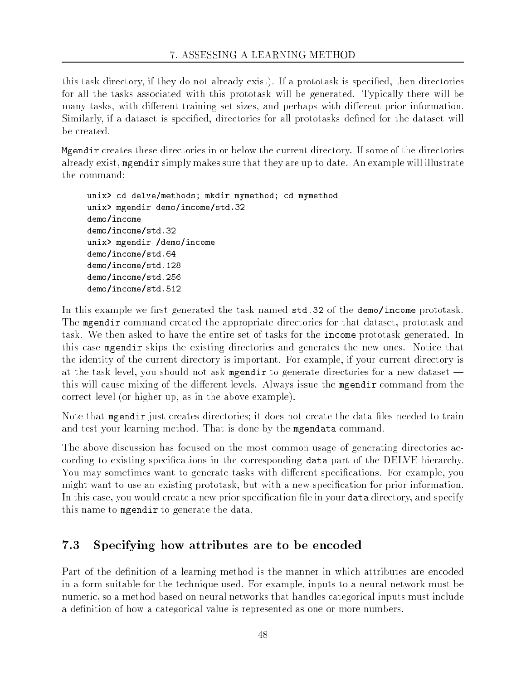this task directory, if they do not already exist). If a prototask is specified, then directories for all the tasks associated with this prototask will be generated. Typically there will be many tasks, with different training set sizes, and perhaps with different prior information. Similarly, if a dataset is specified, directories for all prototasks defined for the dataset will be created.

Mgendir creates these directories in or below the current directory. If some of the directories already exist, mgendir simply makes sure that they are up to date. An example will illustrate the command:

```
unix> cd delve/methods; mkdir mymethod; cd mymethod
unix> mgendir demo/income/std.32
demo/income
demo/income/std.32
unix> mgendir /demo/income
demo/income/std.64
demo/income/std.128
demo/income/std.256
demo/income/std.512
```
demo/income/std.512

In this example we first generated the task named std.32 of the demo/income prototask. The mgendir command created the appropriate directories for that dataset, prototask and task. We then asked to have the entire set of tasks for the income prototask generated. In this case mgendir skips the existing directories and generates the new ones. Notice that the identity of the current directory is important. For example, if your current directory is at the task level, you should not ask mgendir to generate directories for a new dataset this will cause mixing of the different levels. Always issue the mgendir command from the correct level (or higher up, as in the above example).

Note that mergendix just creates directories; it does not create the data files needed to train and test your learning method. That is done by the mgendata command.

The above discussion has focused on the most common usage of generating directories according to existing specications in the corresponding data part of the DELVE hierarchy. You may sometimes want to generate tasks with different specifications. For example, you might want to use an existing prototask, but with a new specification for prior information. In this case, you would create a new prior specification file in your data directory, and specify this name to mgendir to generate the data.

#### 7.3 Specifying how attributes are to be encoded

Part of the definition of a learning method is the manner in which attributes are encoded in a form suitable for the technique used. For example, inputs to a neural network must be numeric, so a method based on neural networks that handles categorical inputs must include a definition of how a categorical value is represented as one or more numbers.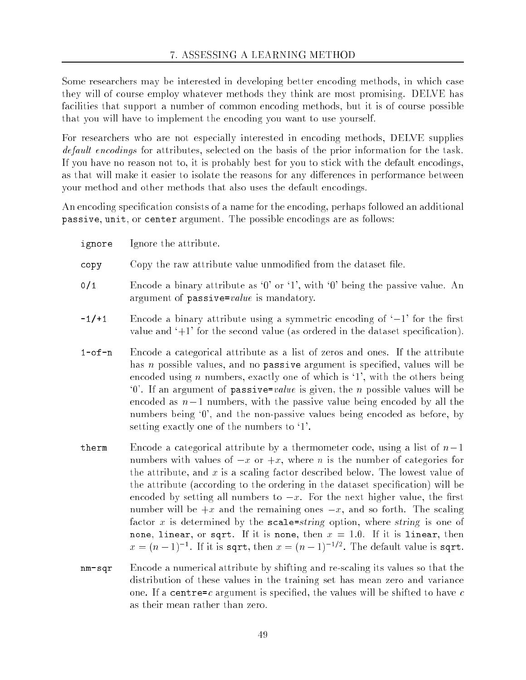Some researchers may be interested in developing better encoding methods, in which case they will of course employ whatever methods they think are most promising. DELVE has facilities that support a number of common encoding methods, but it is of course possible that you will have to implement the encoding you want to use yourself.

For researchers who are not especially interested in encoding methods, DELVE supplies default encodings for attributes, selected on the basis of the prior information for the task. If you have no reason not to, it is probably best for you to stick with the default encodings, as that will make it easier to isolate the reasons for any differences in performance between your method and other methods that also uses the default encodings.

An encoding specification consists of a name for the encoding, perhaps followed an additional passive, unit, or center argument. The possible encodings are as follows:

- ignore Ignore the attribute.
- copy Copy the raw attribute value unmodified from the dataset file.
- 0/1 Encode a binary attribute as `0' or `1', with `0' being the passive value. An argument of passive= $value$  is mandatory.
- $-1/11$  Encode a binary attribute using a symmetric encoding of  $-1'$  for the first value and  $+1$  for the second value (as ordered in the dataset specification).
- 1-of-n Encode a categorical attribute as a list of zeros and ones. If the attribute has n possible values, and no **passive** argument is specified, values will be encoded using *n* numbers, exactly one of which is  $\mathbf{1}'$ , with the others being  $\dot{0}$ . If an argument of passive=value is given, the n possible values will be encoded as  $n-1$  numbers, with the passive value being encoded by all the numbers being '0', and the non-passive values being encoded as before, by setting exactly one of the numbers to `1'.
- therm Encode a categorical attribute by a thermometer code, using a list of  $n-1$ numbers with values of  $-x$  or  $+x$ , where n is the number of categories for the attribute, and  $x$  is a scaling factor described below. The lowest value of the attribute (according to the ordering in the dataset specication) will be encoded by setting all numbers to  $-x$ . For the next higher value, the first number will be  $+x$  and the remaining ones  $-x$ , and so forth. The scaling factor x is determined by the  $scale=string$  option, where string is one of none, linear, or sqrt. If it is none, then  $x = 1.0$ . If it is linear, then  $x = (n-1)^{-1}$ . If it is sqrt, then  $x = (n-1)^{-1}$  . The default value is sqrt.
- nm-sqr Encode a numerical attribute by shifting and re-scaling its values so that the distribution of these values in the training set has mean zero and variance one. If a centre=c argument is specified, the values will be shifted to have  $c$ as their mean rather than zero.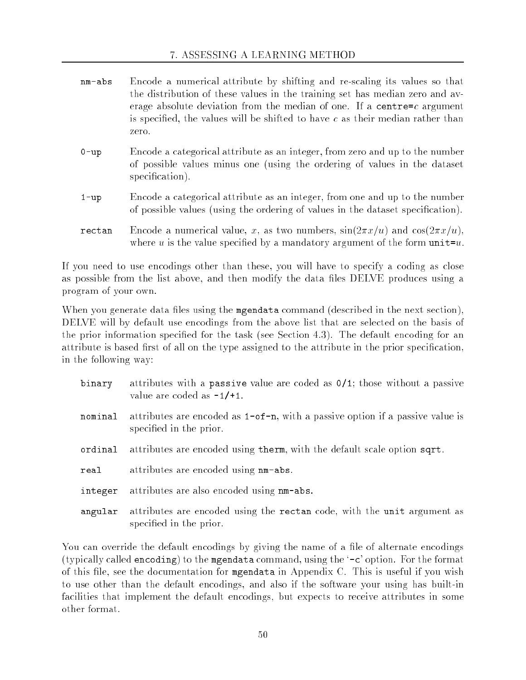| nm-abs   | Encode a numerical attribute by shifting and re-scaling its values so that<br>the distribution of these values in the training set has median zero and av-<br>erage absolute deviation from the median of one. If a centre= $c$ argument<br>is specified, the values will be shifted to have $c$ as their median rather than<br>zero. |
|----------|---------------------------------------------------------------------------------------------------------------------------------------------------------------------------------------------------------------------------------------------------------------------------------------------------------------------------------------|
| $0 - up$ | Encode a categorical attribute as an integer, from zero and up to the number<br>of possible values minus one (using the ordering of values in the dataset<br>specification).                                                                                                                                                          |

- 1-up Encode a categorical attribute as an integer, from one and up to the number of possible values (using the ordering of values in the dataset specication).
- **rectan** Encode a numerical value, x, as two numbers,  $sin(2\pi x/u)$  and  $cos(2\pi x/u)$ , where u is the value specified by a mandatory argument of the form  $unit=u$ .

If you need to use encodings other than these, you will have to specify a coding as close as possible from the list above, and then modify the data files DELVE produces using a program of your own.

When you generate data files using the mgendata command (described in the next section), DELVE will by default use encodings from the above list that are selected on the basis of the prior information specified for the task (see Section 4.3). The default encoding for an attribute is based first of all on the type assigned to the attribute in the prior specification, in the following way:

| binary  | attributes with a passive value are coded as $0/1$ ; those without a passive<br>value are coded as $-1/+1$ . |
|---------|--------------------------------------------------------------------------------------------------------------|
| nominal | attributes are encoded as $1$ -of-n, with a passive option if a passive value is<br>specified in the prior.  |
| ordinal | attributes are encoded using therm, with the default scale option sqrt.                                      |
| real    | attributes are encoded using nm-abs.                                                                         |
| integer | attributes are also encoded using nm-abs.                                                                    |
| angular | attributes are encoded using the rectan code, with the unit argument as<br>specified in the prior.           |

You can override the default encodings by giving the name of a file of alternate encodings (typically called encoding) to the mgendata command, using the `-c' option. For the format of this file, see the documentation for mgendata in Appendix C. This is useful if you wish to use other than the default encodings, and also if the software your using has built-in facilities that implement the default encodings, but expects to receive attributes in some other format.

special contracts in the prior of the prior of the prior of the prior of the prior of the prior of the prior o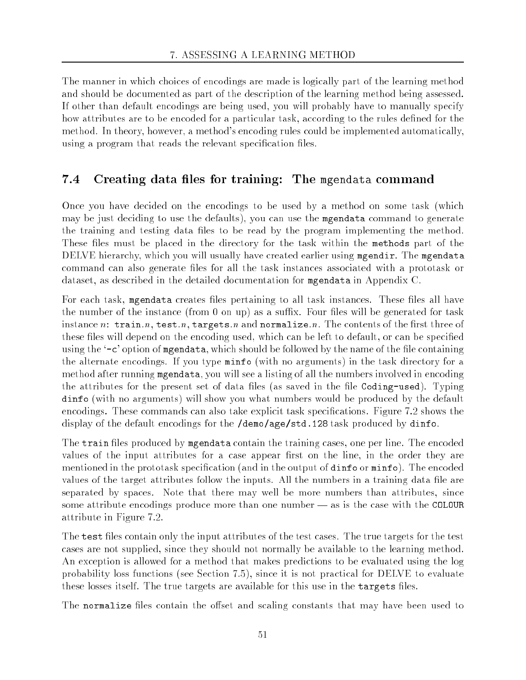The manner in which choices of encodings are made is logically part of the learning method and should be documented as part of the description of the learning method being assessed. If other than default encodings are being used, you will probably have to manually specify how attributes are to be encoded for a particular task, according to the rules defined for the method. In theory, however, a method's encoding rules could be implemented automatically, using a program that reads the relevant specification files.

## 7.4 Creating data files for training: The mgendata command

Once you have decided on the encodings to be used by a method on some task (which may be just deciding to use the defaults), you can use the mgendata command to generate the training and testing data files to be read by the program implementing the method. These files must be placed in the directory for the task within the methods part of the DELVE hierarchy, which you will usually have created earlier using mgendir. The mgendata command can also generate files for all the task instances associated with a prototask or dataset, as described in the detailed documentation for mgendata in Appendix C.

For each task, mgendata creates files pertaining to all task instances. These files all have the number of the instance (from 0 on up) as a suffix. Four files will be generated for task instance n: train.n, test.n, targets.n and normalize.n. The contents of the first three of these files will depend on the encoding used, which can be left to default, or can be specified using the '-c' option of mgendata, which should be followed by the name of the file containing the alternate encodings. If you type minfo (with no arguments) in the task directory for a method after running mgendata, you will see a listing of all the numbers involved in encoding the attributes for the present set of data files (as saved in the file Coding-used). Typing dinfo (with no arguments) will show you what numbers would be produced by the default encodings. These commands can also take explicit task specifications. Figure 7.2 shows the display of the default encodings for the /demo/age/std.128 task produced by dinfo.

The train files produced by mgendata contain the training cases, one per line. The encoded values of the input attributes for a case appear first on the line, in the order they are mentioned in the prototask specification (and in the output of dinfo or minfo). The encoded values of the target attributes follow the inputs. All the numbers in a training data file are separated by spaces. Note that there may well be more numbers than attributes, since some attribute encodings produce more than one number  $-$  as is the case with the COLOUR attribute in Figure 7.2.

The test files contain only the input attributes of the test cases. The true targets for the test cases are not supplied, since they should not normally be available to the learning method. An exception is allowed for a method that makes predictions to be evaluated using the log probability loss functions (see Section 7.5), since it is not practical for DELVE to evaluate these losses itself. The true targets are available for this use in the targets files.

The normalize files contain the offset and scaling constants that may have been used to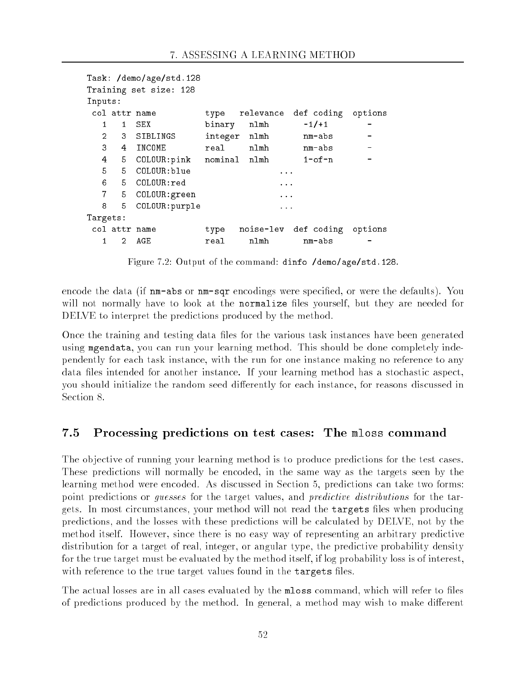```
Task: /demo/age/std.128
Training set size: 128
Inputs:
 col attr name type relevance def coding options
   1 1 Sex binary names and the sex binary news and the sex of the sex of the sex of the sex of the sex of the se
   2 3 SIBLINGS integer nlmh mm-abs
      5 COLOUR: pink nominal nlmh 1-of-n
   4
   5 5 COLOUR:blue ...
   6 5 COLOUR:red ...
   7 5 COLOUR: green ...
   8
       5
          COLOUR: purple
                                      \sim \sim \simTargets:
 col attr name type noise-lev def coding options
   \mathbf{1}\overline{2}AGE
                       real
                                nlmh
                                           nm - abs
```
Figure 7.2: Output of the command: dinfo /demo/age/std.128.

encode the data (if  $nm = abs$  or  $nm = sqr$  encodings were specified, or were the defaults). You will not normally have to look at the normalize files yourself, but they are needed for DELVE to interpret the predictions produced by the method.

Once the training and testing data files for the various task instances have been generated using mgendata, you can run your learning method. This should be done completely independently for each task instance, with the run for one instance making no reference to any data files intended for another instance. If your learning method has a stochastic aspect, you should initialize the random seed differently for each instance, for reasons discussed in Section 8.

#### $7.5$ Processing predictions on test cases: The mloss command

The objective of running your learning method is to produce predictions for the test cases. These predictions will normally be encoded, in the same way as the targets seen by the learning method were encoded. As discussed in Section 5, predictions can take two forms: point predictions or guesses for the target values, and predictive distributions for the targets. In most circumstances, your method will not read the targets files when producing predictions, and the losses with these predictions will be calculated by DELVE, not by the method itself. However, since there is no easy way of representing an arbitrary predictive distribution for a target of real, integer, or angular type, the predictive probability density for the true target must be evaluated by the method itself, if log probability loss is of interest, with reference to the true target values found in the targets files.

The actual losses are in all cases evaluated by the mloss command, which will refer to files of predictions produced by the method. In general, a method may wish to make different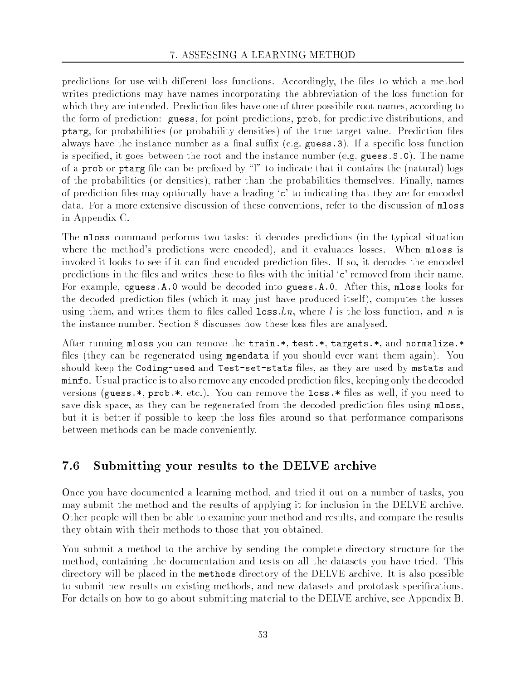predictions for use with different loss functions. Accordingly, the files to which a method writes predictions may have names incorporating the abbreviation of the loss function for which they are intended. Prediction files have one of three possibile root names, according to the form of prediction: guess, for point predictions, prob, for predictive distributions, and ptarg, for probabilities (or probability densities) of the true target value. Prediction les always have the instance number as a final suffix (e.g. guess. 3). If a specific loss function is specied, it goes between the root and the instance number (e.g. guess.S.0). The name of a prob or ptarg file can be prefixed by " $\mathbf{l}$ " to indicate that it contains the (natural) logs of the probabilities (or densities), rather than the probabilities themselves. Finally, names of prediction files may optionally have a leading 'c' to indicating that they are for encoded data. For a more extensive discussion of these conventions, refer to the discussion of mloss in Appendix C.

The mloss command performs two tasks: it decodes predictions (in the typical situation where the method's predictions were encoded), and it evaluates losses. When mloss is invoked it looks to see if it can find encoded prediction files. If so, it decodes the encoded predictions in the files and writes these to files with the initial 'c' removed from their name. For example, cguess.A.0 would be decoded into guess.A.0. After this, mloss looks for the decoded prediction files (which it may just have produced itself), computes the losses using them, and writes them to files called  $\texttt{loss}.\ln$ , where l is the loss function, and n is the instance number. Section 8 discusses how these loss files are analysed.

After running mloss you can remove the train.\*, test.\*, targets.\*, and normalize.\* files (they can be regenerated using mgendata if you should ever want them again). You should keep the Coding-used and Test-set-stats files, as they are used by mstats and minfo. Usual practice is to also remove any encoded prediction les, keeping only the decoded versions (guess.\*, prob.\*, etc.). You can remove the  $loss.*$  files as well, if you need to save disk space, as they can be regenerated from the decoded prediction files using mloss, but it is better if possible to keep the loss files around so that performance comparisons between methods can be made conveniently.

#### 7.6 Submitting your results to the DELVE archive

Once you have documented a learning method, and tried it out on a number of tasks, you may submit the method and the results of applying it for inclusion in the DELVE archive. Other people will then be able to examine your method and results, and compare the results they obtain with their methods to those that you obtained.

You submit a method to the archive by sending the complete directory structure for the method, containing the documentation and tests on all the datasets you have tried. This directory will be placed in the methods directory of the DELVE archive. It is also possible to submit new results on existing methods, and new datasets and prototask specifications. For details on how to go about submitting material to the DELVE archive, see Appendix B.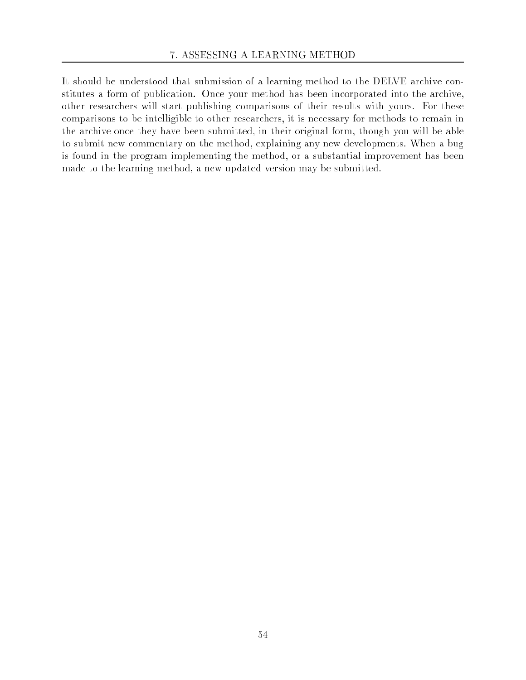It should be understood that submission of a learning method to the DELVE archive constitutes a form of publication. Once your method has been incorporated into the archive, other researchers will start publishing comparisons of their results with yours. For these comparisons to be intelligible to other researchers, it is necessary for methods to remain in the archive once they have been submitted, in their original form, though you will be able to submit new commentary on the method, explaining any new developments. When a bug is found in the program implementing the method, or a substantial improvement has been made to the learning method, a new updated version may be submitted.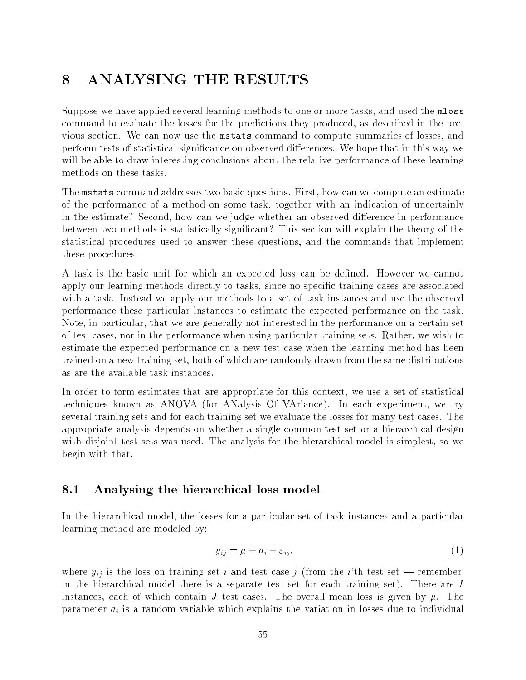# 8 ANALYSING THE RESULTS

Suppose we have applied several learning methods to one or more tasks, and used the mloss command to evaluate the losses for the predictions they produced, as described in the previous section. We can now use the mstats command to compute summaries of losses, and perform tests of statistical significance on observed differences. We hope that in this way we will be able to draw interesting conclusions about the relative performance of these learning methods on these tasks.

The mstats command addresses two basic questions. First, how can we compute an estimate of the performance of a method on some task, together with an indication of uncertainly in the estimate? Second, how can we judge whether an observed difference in performance between two methods is statistically signicant? This section will explain the theory of the statistical procedures used to answer these questions, and the commands that implement these procedures.

A task is the basic unit for which an expected loss can be dened. However we cannot apply our learning methods directly to tasks, since no specific training cases are associated with a task. Instead we apply our methods to a set of task instances and use the observed performance these particular instances to estimate the expected performance on the task. Note, in particular, that we are generally not interested in the performance on a certain set of test cases, nor in the performance when using particular training sets. Rather, we wish to estimate the expected performance on a new test case when the learning method has been trained on a new training set, both of which are randomly drawn from the same distributions as are the available task instances.

In order to form estimates that are appropriate for this context, we use a set of statistical techniques known as ANOVA (for ANalysis Of VAriance). In each experiment, we try several training sets and for each training set we evaluate the losses for many test cases. The appropriate analysis depends on whether a single common test set or a hierarchical design with disjoint test sets was used. The analysis for the hierarchical model is simplest, so we begin with that.

#### 8.1 8.1 Analysing the hierarchical loss model

In the hierarchical model, the losses for a particular set of task instances and a particular learning method are modeled by:

$$
y_{ij} = \mu + a_i + \varepsilon_{ij},\tag{1}
$$

where  $y_{ij}$  is the loss on training set i and test case j (from the i'th test set – remember, in the hierarchical model there is a separate test set for each training set). There are <sup>I</sup> instances, each of which contain J test cases. The overall mean loss is given by  $\mu$ . The parameter  $a_i$  is a random variable which explains the variation in losses due to individual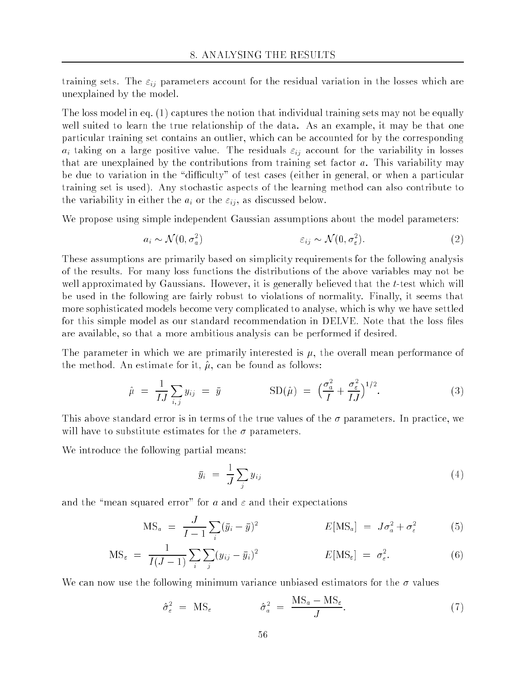training sets. The  $\varepsilon_{ij}$  parameters account for the residual variation in the losses which are unexplained by the model.

The loss model in eq. (1) captures the notion that individual training sets may not be equally well suited to learn the true relationship of the data. As an example, it may be that one particular training set contains an outlier, which can be accounted for by the corresponding  $a_i$  taking on a large positive value. The residuals  $\varepsilon_{ij}$  account for the variability in losses that are unexplained by the contributions from training set factor  $a$ . This variability may be due to variation in the "difficulty" of test cases (either in general, or when a particular training set is used). Any stochastic aspects of the learning method can also contribute to the variability in either the  $a_i$  or the  $\varepsilon_{ij}$ , as discussed below.

We propose using simple independent Gaussian assumptions about the model parameters:

$$
a_i \sim \mathcal{N}(0, \sigma_a^2) \qquad \qquad \varepsilon_{ij} \sim \mathcal{N}(0, \sigma_{\varepsilon}^2). \tag{2}
$$

These assumptions are primarily based on simplicity requirements for the following analysis of the results. For many loss functions the distributions of the above variables may not be well approximated by Gaussians. However, it is generally believed that the t-test which will be used in the following are fairly robust to violations of normality. Finally, it seems that more sophisticated models become very complicated to analyse, which is why we have settled for this simple model as our standard recommendation in DELVE. Note that the loss files are available, so that a more ambitious analysis can be performed if desired.

The parameter in which we are primarily interested is  $\mu$ , the overall mean performance of the method. An estimate for it,  $\hat{\mu}$ , can be found as follows:

$$
\hat{\mu} = \frac{1}{IJ} \sum_{i,j} y_{ij} = \bar{y} \qquad \qquad \text{SD}(\hat{\mu}) = \left(\frac{\sigma_a^2}{I} + \frac{\sigma_{\varepsilon}^2}{IJ}\right)^{1/2}.
$$
\n(3)

This above standard error is in terms of the true values of the  $\sigma$  parameters. In practice, we will have to substitute estimates for the  $\sigma$  parameters.

We introduce the following partial means:

$$
\bar{y}_i = \frac{1}{J} \sum_j y_{ij} \tag{4}
$$

and the "mean squared error" for a and  $\varepsilon$  and their expectations

$$
MS_a = \frac{J}{I - 1} \sum_i (\bar{y}_i - \bar{y})^2
$$
\n
$$
E[MS_a] = J\sigma_a^2 + \sigma_{\varepsilon}^2
$$
\n(5)

$$
MS_{\varepsilon} = \frac{1}{I(J-1)} \sum_{i} \sum_{j} (y_{ij} - \bar{y}_i)^2 \qquad E[MS_{\varepsilon}] = \sigma_{\varepsilon}^2.
$$
 (6)

We can now use the following minimum variance unbiased estimators for the  $\sigma$  values

$$
\hat{\sigma}_{\varepsilon}^{2} = \text{MS}_{\varepsilon} \qquad \qquad \hat{\sigma}_{a}^{2} = \frac{\text{MS}_{a} - \text{MS}_{\varepsilon}}{J}.
$$
\n(7)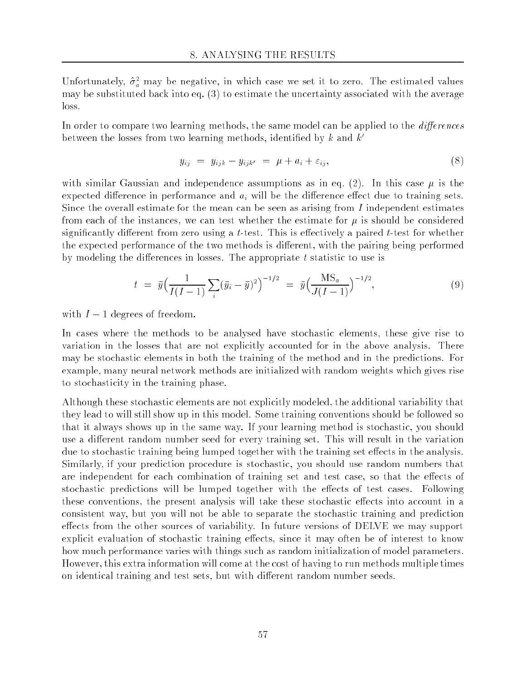Unfortunately,  $\sigma_a$  may be negative, in which case we set it to zero. The estimated values may be substituted back into eq. (3) to estimate the uncertainty associated with the average loss.

In order to compare two learning methods, the same model can be applied to the *differences* between the losses from two learning methods, identified by  $k$  and  $k'$ 

$$
y_{ij} = y_{ijk} - y_{ijk'} = \mu + a_i + \varepsilon_{ij}, \qquad (8)
$$

with similar Gaussian and independence assumptions as in eq. (2). In this case  $\mu$  is the expected difference in performance and  $a_i$  will be the difference effect due to training sets. Since the overall estimate for the mean can be seen as arising from  $I$  independent estimates from each of the instances, we can test whether the estimate for  $\mu$  is should be considered significantly different from zero using a t-test. This is effectively a paired t-test for whether the expected performance of the two methods is different, with the pairing being performed by modeling the differences in losses. The appropriate  $t$  statistic to use is

$$
t = \bar{y} \left( \frac{1}{I(I-1)} \sum_{i} (\bar{y}_i - \bar{y})^2 \right)^{-1/2} = \bar{y} \left( \frac{\text{MS}_a}{J(I-1)} \right)^{-1/2}, \tag{9}
$$

with  $I-1$  degrees of freedom.

In cases where the methods to be analysed have stochastic elements, these give rise to variation in the losses that are not explicitly accounted for in the above analysis. There may be stochastic elements in both the training of the method and in the predictions. For example, many neural network methods are initialized with random weights which gives rise to stochasticity in the training phase.

Although these stochastic elements are not explicitly modeled, the additional variability that they lead to will still show up in this model. Some training conventions should be followed so that it always shows up in the same way. If your learning method is stochastic, you should use a different random number seed for every training set. This will result in the variation due to stochastic training being lumped together with the training set effects in the analysis. Similarly, if your prediction procedure is stochastic, you should use random numbers that are independent for each combination of training set and test case, so that the effects of stochastic predictions will be lumped together with the effects of test cases. Following these conventions, the present analysis will take these stochastic effects into account in a consistent way, but you will not be able to separate the stochastic training and prediction effects from the other sources of variability. In future versions of DELVE we may support explicit evaluation of stochastic training effects, since it may often be of interest to know how much performance varies with things such as random initialization of model parameters. However, this extra information will come at the cost of having to run methods multiple times on identical training and test sets, but with different random number seeds.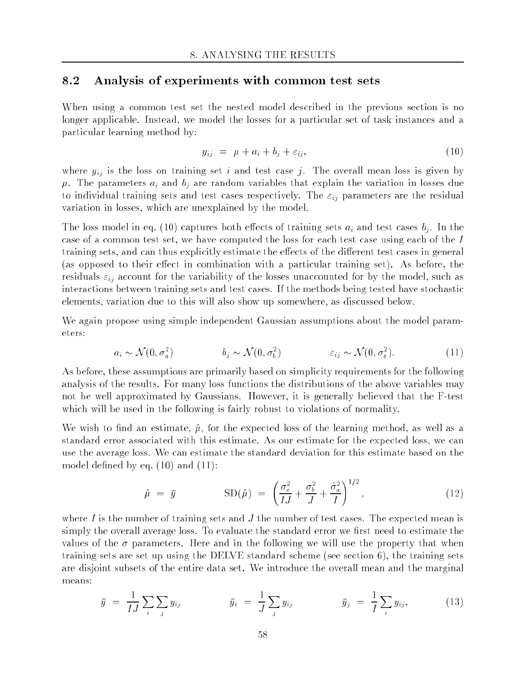### 8.2 Analysis of experiments with common test sets

When using a common test set the nested model described in the previous section is no longer applicable. Instead, we model the losses for a particular set of task instances and a particular learning method by:

$$
y_{ij} = \mu + a_i + b_j + \varepsilon_{ij}, \qquad (10)
$$

where  $y_{ij}$  is the loss on training set i and test case j. The overall mean loss is given by  $\mu$ . The parameters  $a_i$  and  $b_j$  are random variables that explain the variation in losses due to individual training sets and test cases respectively. The  $\varepsilon_{ij}$  parameters are the residual variation in losses, which are unexplained by the model.

The loss model in eq. (10) captures both effects of training sets  $a_i$  and test cases  $b_i$ . In the case of a common test set, we have computed the loss for each test case using each of the <sup>I</sup> training sets, and can thus explicitly estimate the effects of the different test cases in general (as opposed to their effect in combination with a particular training set). As before, the residuals  $\varepsilon_{ij}$  account for the variability of the losses unaccounted for by the model, such as interactions between training sets and test cases. If the methods being tested have stochastic elements, variation due to this will also show up somewhere, as discussed below.

We again propose using simple independent Gaussian assumptions about the model parameters:

$$
a_i \sim \mathcal{N}(0, \sigma_a^2) \qquad \qquad b_j \sim \mathcal{N}(0, \sigma_b^2) \qquad \qquad \varepsilon_{ij} \sim \mathcal{N}(0, \sigma_\varepsilon^2). \tag{11}
$$

As before, these assumptions are primarily based on simplicity requirements for the following analysis of the results. For many loss functions the distributions of the above variables may not be well approximated by Gaussians. However, it is generally believed that the F-test which will be used in the following is fairly robust to violations of normality.

We wish to find an estimate,  $\hat{\mu}$ , for the expected loss of the learning method, as well as a standard error associated with this estimate. As our estimate for the expected loss, we can use the average loss. We can estimate the standard deviation for this estimate based on the model defined by eq.  $(10)$  and  $(11)$ :

$$
\hat{\mu} = \bar{y} \qquad \text{SD}(\hat{\mu}) = \left(\frac{\sigma_{\varepsilon}^2}{IJ} + \frac{\sigma_b^2}{J} + \frac{\hat{\sigma}_a^2}{I}\right)^{1/2},\tag{12}
$$

where I is the number of training sets and  $J$  the number of test cases. The expected mean is simply the overall average loss. To evaluate the standard error we first need to estimate the values of the  $\sigma$  parameters. Here and in the following we will use the property that when training sets are set up using the DELVE standard scheme (see section 6), the training sets are disjoint subsets of the entire data set. We introduce the overall mean and the marginal means:

$$
\bar{y} = \frac{1}{IJ} \sum_{i} \sum_{j} y_{ij} \qquad \qquad \bar{y}_i = \frac{1}{J} \sum_{j} y_{ij} \qquad \qquad \bar{y}_j = \frac{1}{I} \sum_{i} y_{ij}, \qquad (13)
$$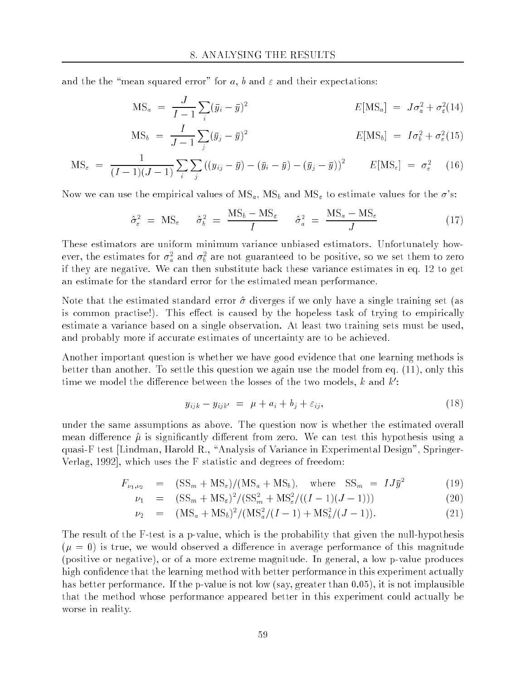and the the "mean squared error" for a, b and  $\varepsilon$  and their expectations:

$$
MS_a = \frac{J}{I - 1} \sum_i (\bar{y}_i - \bar{y})^2
$$
\n
$$
E[MS_a] = J\sigma_a^2 + \sigma_{\varepsilon}^2 (14)
$$

$$
MS_b = \frac{I}{J-1} \sum_j (\bar{y}_j - \bar{y})^2
$$
\n
$$
E[MS_b] = I\sigma_b^2 + \sigma_{\varepsilon}^2 (15)
$$

$$
\text{MS}_{\varepsilon} = \frac{1}{(I-1)(J-1)} \sum_{i} \sum_{j} \left( (y_{ij} - \bar{y}) - (\bar{y}_{i} - \bar{y}) - (\bar{y}_{j} - \bar{y}) \right)^{2} \qquad E[\text{MS}_{\varepsilon}] = \sigma_{\varepsilon}^{2} \tag{16}
$$

Now we can use the empirical values of  $MS_a$ ,  $MS_b$  and  $MS_\varepsilon$  to estimate values for the  $\sigma$ 's:

$$
\hat{\sigma}_{\varepsilon}^{2} = \text{MS}_{\varepsilon} \qquad \hat{\sigma}_{b}^{2} = \frac{\text{MS}_{b} - \text{MS}_{\varepsilon}}{I} \qquad \hat{\sigma}_{a}^{2} = \frac{\text{MS}_{a} - \text{MS}_{\varepsilon}}{J} \tag{17}
$$

These estimators are uniform minimum variance unbiased estimators. Unfortunately however, the estimates for  $\sigma_a^-$  and  $\sigma_b^-$  are not guaranteed to be positive, so we set them to zero if they are negative. We can then substitute back these variance estimates in eq. 12 to get an estimate for the standard error for the estimated mean performance.

Note that the estimated standard error  $\hat{\sigma}$  diverges if we only have a single training set (as is common practise!). This effect is caused by the hopeless task of trying to empirically estimate a variance based on a single observation. At least two training sets must be used, and probably more if accurate estimates of uncertainty are to be achieved.

Another important question is whether we have good evidence that one learning methods is better than another. To settle this question we again use the model from eq. (11), only this time we model the difference between the losses of the two models,  $\kappa$  and  $\kappa$  :

$$
y_{ijk} - y_{ijk'} = \mu + a_i + b_j + \varepsilon_{ij}, \qquad (18)
$$

under the same assumptions as above. The question now is whether the estimated overall mean difference  $\hat{\mu}$  is significantly different from zero. We can test this hypothesis using a quasi-F test [Lindman, Harold R., \Analysis of Variance in Experimental Design", Springer-Verlag, 1992], which uses the F statistic and degrees of freedom:

$$
F_{\nu_1,\nu_2} = (SS_m + MS_\varepsilon) / (MS_a + MS_b), \quad \text{where} \quad SS_m = IJ\bar{y}^2 \tag{19}
$$

$$
\nu_1 = (SS_m + MS_{\varepsilon})^2 / (SS_m^2 + MS_{\varepsilon}^2 / ((I - 1)(J - 1))) \tag{20}
$$

$$
\nu_2 = (MS_a + MS_b)^2 / (MS_a^2 / (I - 1) + MS_b^2 / (J - 1)). \tag{21}
$$

The result of the F-test is a p-value, which is the probability that given the null-hypothesis  $(\mu = 0)$  is true, we would observed a difference in average performance of this magnitude (positive or negative), or of a more extreme magnitude. In general, a low p-value produces high confidence that the learning method with better performance in this experiment actually has better performance. If the p-value is not low (say, greater than 0.05), it is not implausible that the method whose performance appeared better in this experiment could actually be worse in reality.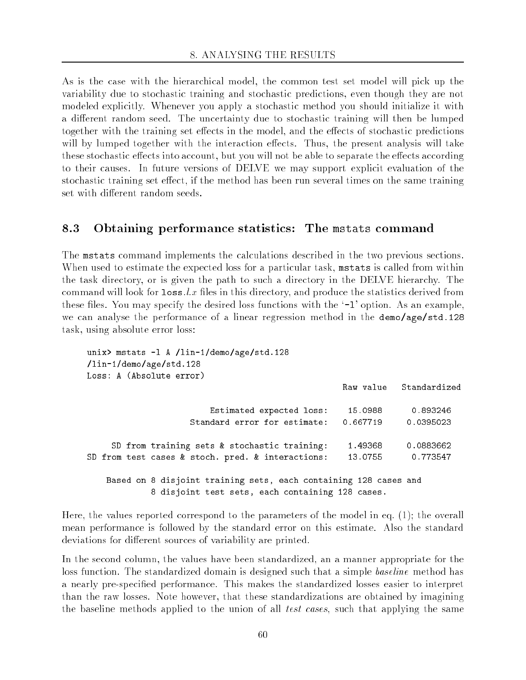As is the case with the hierarchical model, the common test set model will pick up the variability due to stochastic training and stochastic predictions, even though they are not modeled explicitly. Whenever you apply a stochastic method you should initialize it with a different random seed. The uncertainty due to stochastic training will then be lumped together with the training set effects in the model, and the effects of stochastic predictions will by lumped together with the interaction effects. Thus, the present analysis will take these stochastic effects into account, but you will not be able to separate the effects according to their causes. In future versions of DELVE we may support explicit evaluation of the stochastic training set effect, if the method has been run several times on the same training set with different random seeds.

#### 8.3 Obtaining performance statistics: The mstats command

The mstats command implements the calculations described in the two previous sections. When used to estimate the expected loss for a particular task, mstats is called from within the task directory, or is given the path to such a directory in the DELVE hierarchy. The command will look for  $\texttt{loss}.l.x$  files in this directory, and produce the statistics derived from these files. You may specify the desired loss functions with the  $\ell$ -1' option. As an example, we can analyse the performance of a linear regression method in the demo/age/std.128 task, using absolute error loss:

```
unix> mstats -1 A /lin-1/demo/age/std.128
/lin-1/demo/age/std.128
Loss: A (Absolute error)
                                                 Raw value Standardized
                       Estimated expected loss: 15.0988 0.893246
    SD from training sets & stochastic training: 1.49368 0.0883662
SD from test cases & stoch. pred. & interactions: 13.0755 0.773547
   Based on 8 disjoint training sets, each containing 128 cases and
            8 disjoint test sets, each containing 128 cases.
```
Here, the values reported correspond to the parameters of the model in eq. (1); the overall mean performance is followed by the standard error on this estimate. Also the standard deviations for different sources of variability are printed.

In the second column, the values have been standardized, an a manner appropriate for the loss function. The standardized domain is designed such that a simple *baseline* method has a nearly pre-specied performance. This makes the standardized losses easier to interpret than the raw losses. Note however, that these standardizations are obtained by imagining the baseline methods applied to the union of all *test cases*, such that applying the same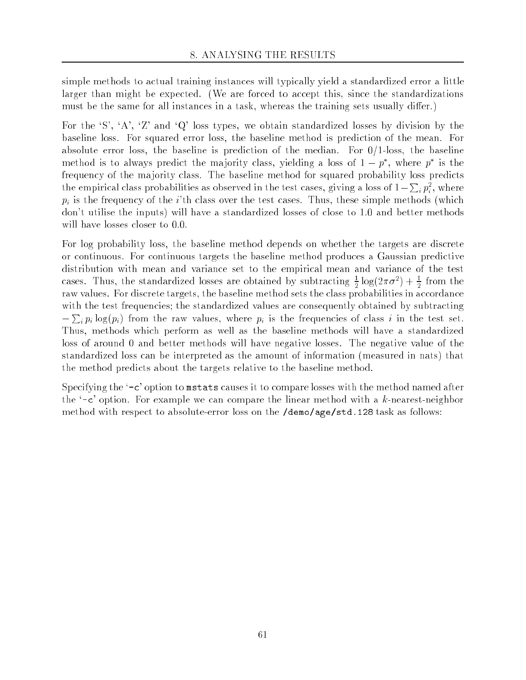simple methods to actual training instances will typically yield a standardized error a little larger than might be expected. (We are forced to accept this, since the standardizations must be the same for all instances in a task, whereas the training sets usually differ.)

For the  $S'$ ,  $A'$ ,  $Z'$  and  $Q'$  loss types, we obtain standardized losses by division by the baseline loss. For squared error loss, the baseline method is prediction of the mean. For absolute error loss, the baseline is prediction of the median. For  $0/1$ -loss, the baseline method is to always predict the majority class, yielding a loss of  $1-p$  , where  $p$  is the frequency of the majority class. The baseline method for squared probability loss predicts the empirical class probabilities as observed in the test cases, giving a loss of 1 <sup>P</sup>  $_i\,p_i^{\scriptscriptstyle \top}, \, \text{where}$  $p_i$  is the frequency of the i'th class over the test cases. Thus, these simple methods (which don't utilise the inputs) will have a standardized losses of close to 1:0 and better methods will have losses closer to 0.0.

For log probability loss, the baseline method depends on whether the targets are discrete or continuous. For continuous targets the baseline method produces a Gaussian predictive distribution with mean and variance set to the empirical mean and variance of the test cases. Thus, the standardized losses are obtained by subtracting  $\frac{1}{2}$  log( $2\pi\sigma$ ) +  $\frac{1}{2}$  from the <sup>2</sup> <sup>2</sup> raw values. For discrete targets, the baseline method sets the class probabilities in accordance with the test frequencies; the standardized values are consequently obtained by subtracting **Programs** if is considered the raw values, where  $\mathbf{r}$  is the frequencies of class in the test set. Thus, methods which perform as well as the baseline methods will have a standardized loss of around 0 and better methods will have negative losses. The negative value of the standardized loss can be interpreted as the amount of information (measured in nats) that the method predicts about the targets relative to the baseline method.

Specifying the '-c' option to mstats causes it to compare losses with the method named after the  $\epsilon$ -c' option. For example we can compare the linear method with a k-nearest-neighbor method with respect to absolute-error loss on the /demo/age/std.128 task as follows: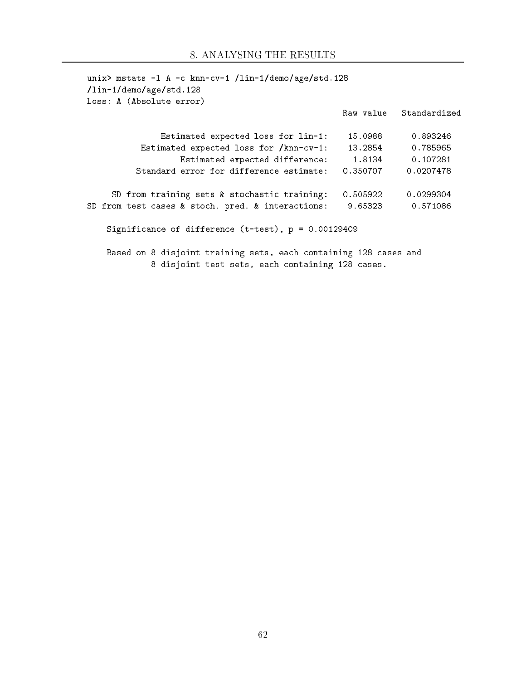| unix> mstats -1 A -c knn-cv-1 /lin-1/demo/age/std.128<br>$\frac{1 \text{in} - 1}{\text{demo/age/std}.128}$<br>Loss: A (Absolute error) |          |                        |
|----------------------------------------------------------------------------------------------------------------------------------------|----------|------------------------|
|                                                                                                                                        |          | Raw value Standardized |
| Estimated expected loss for lin-1:                                                                                                     | 15.0988  | 0.893246               |
| Estimated expected loss for /knn-cv-1:                                                                                                 | 13.2854  | 0.785965               |
| Estimated expected difference:                                                                                                         | 1.8134   | 0.107281               |
| Standard error for difference estimate:                                                                                                | 0.350707 | 0.0207478              |
| SD from training sets & stochastic training:                                                                                           | 0.505922 | 0.0299304              |
| SD from test cases & stoch. pred. & interactions:                                                                                      | 9.65323  | 0.571086               |
| Significance of difference $(t-test)$ , $p = 0.00129409$                                                                               |          |                        |
| Based on 8 disjoint training sets, each containing 128 cases and<br>8 disjoint test sets, each containing 128 cases.                   |          |                        |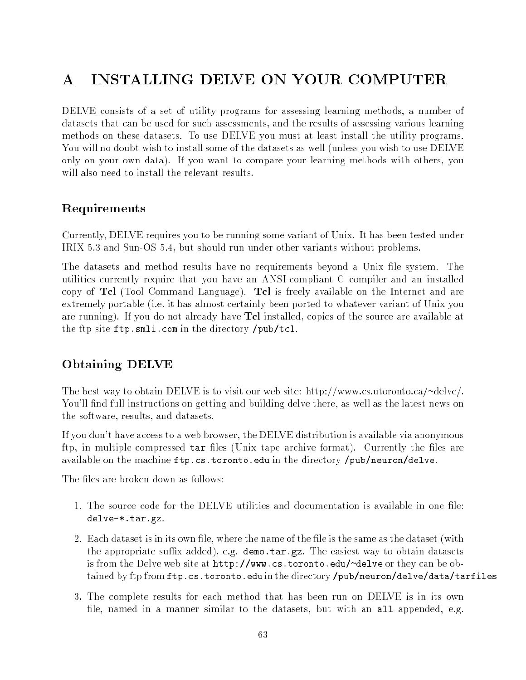# A INSTALLING DELVE ON YOUR COMPUTER

DELVE consists of a set of utility programs for assessing learning methods, a number of datasets that can be used for such assessments, and the results of assessing various learning methods on these datasets. To use DELVE you must at least install the utility programs. You will no doubt wish to install some of the datasets as well (unless you wish to use DELVE only on your own data). If you want to compare your learning methods with others, you

### Requirements

Currently, DELVE requires you to be running some variant of Unix. It has been tested under IRIX 5.3 and Sun-OS 5.4, but should run under other variants without problems.

The datasets and method results have no requirements beyond a Unix file system. The utilities currently require that you have an ANSI-compliant C compiler and an installed copy of Tcl (Tool Command Language). Tcl is freely available on the Internet and are extremely portable (i.e. it has almost certainly been ported to whatever variant of Unix you are running). If you do not already have Tcl installed, copies of the source are available at the ftp site ftp.smli.com in the directory /pub/tcl.

## Obtaining DELVE

The best way to obtain DELVE is to visit our web site: http://www.cs.utoronto.ca/~delve/. You'll find full instructions on getting and building delve there, as well as the latest news on the software, results, and datasets.

If you don't have access to a web browser, the DELVE distribution is available via anonymous ftp, in multiple compressed  $\tan$  files (Unix tape archive format). Currently the files are available on the machine ftp.cs.toronto.edu in the directory /pub/neuron/delve.

The files are broken down as follows:

- 1. The source code for the DELVE utilities and documentation is available in one le: delve-\*.tar.gz.
- 2. Each dataset is in its own file, where the name of the file is the same as the dataset (with the appropriate suffix added), e.g. demo.tar.gz. The easiest way to obtain datasets is from the Delve web site at http://www.cs.toronto.edu/~delve or they can be obtained by ftp from ftp.cs.toronto.edu in the directory /pub/neuron/delve/data/tarfiles
- 3. The complete results for each method that has been run on DELVE is in its own file, named in a manner similar to the datasets, but with an all appended, e.g.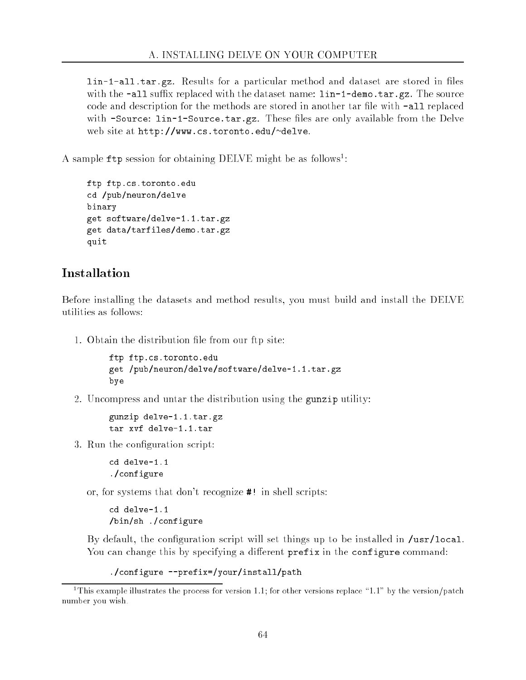lin-1-all.tar.gz. Results for a particular method and dataset are stored in files with the  $-\text{all suffix replaced with the dataset name: lin-1-demo.tar.gz. The source$ code and description for the methods are stored in another tar file with **-all** replaced with -Source: lin-1-Source.tar.gz. These files are only available from the Delve web site at http://www.cs.toronto.edu/~delve.

A sample t tp session for obtaining DELVE might be as follows :

```
ftp ftp.cs.toronto.edu
cd /pub/neuron/delve
binary
get software/delve-1.1.tar.gz
get data/tarfiles/demo.tar.gz
quit
```
### Installation

Before installing the datasets and method results, you must build and install the DELVE utilities as follows:

1. Obtain the distribution file from our ftp site:

```
ftp ftp.cs.toronto.edu
get /pub/neuron/delve/software/delve-1.1.tar.gz
bye
```
2. Uncompress and untar the distribution using the gunzip utility:

```
gunzip delve-1.1.tar.gz
tar xvf delve-1.1.tar
```
3. Run the configuration script:

cd delve-1.1 ./configure

or, for systems that don't recognize #! in shell scripts:

cd delve-1.1 /bin/sh ./configure

By default, the configuration script will set things up to be installed in  $/$ usr $/$ local. You can change this by specifying a different prefix in the configure command:

```
./configure --prefix=/your/install/path
```
<sup>&</sup>lt;sup>1</sup>This example illustrates the process for version 1.1; for other versions replace  $1.1$ " by the version/patch number you wish.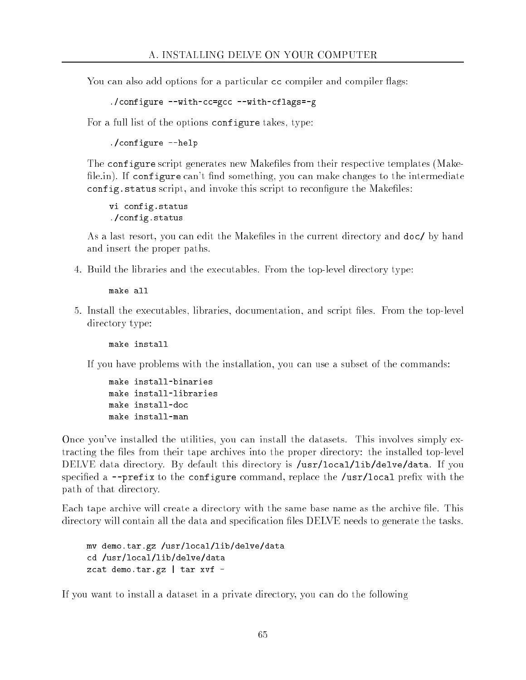You can also add options for a particular  $\epsilon$  compiler and compiler flags:

```
./configure --with-cc=gcc --with-cflags=-g
```
For a full list of the options configure takes, type:

./configure --help

The configure script generates new Makefiles from their respective templates (Makefile.in). If configure can't find something, you can make changes to the intermediate config. status script, and invoke this script to reconfigure the Makefiles:

vi config.status ./config.status

As a last resort, you can edit the Makeles in the current directory and doc/ by hand and insert the proper paths.

4. Build the libraries and the executables. From the top-level directory type:

make all

5. Install the executables, libraries, documentation, and script les. From the top-level directory type:

If you have problems with the installation, you can use a subset of the commands:

```
make install-binaries
make install-libraries
make install-doc
make install-man
```
Once you've installed the utilities, you can install the datasets. This involves simply extracting the files from their tape archives into the proper directory: the installed top-level DELVE data directory. By default this directory is /usr/local/lib/delve/data. If you specified a  $-$ -prefix to the configure command, replace the /usr/local prefix with the path of that directory.

Each tape archive will create a directory with the same base name as the archive file. This directory will contain all the data and specification files DELVE needs to generate the tasks.

mv demo.tar.gz /usr/local/lib/delve/data cd /usr/local/lib/delve/data zcat demo.tar.gz | tar xvf -

If you want to install a dataset in a private directory, you can do the following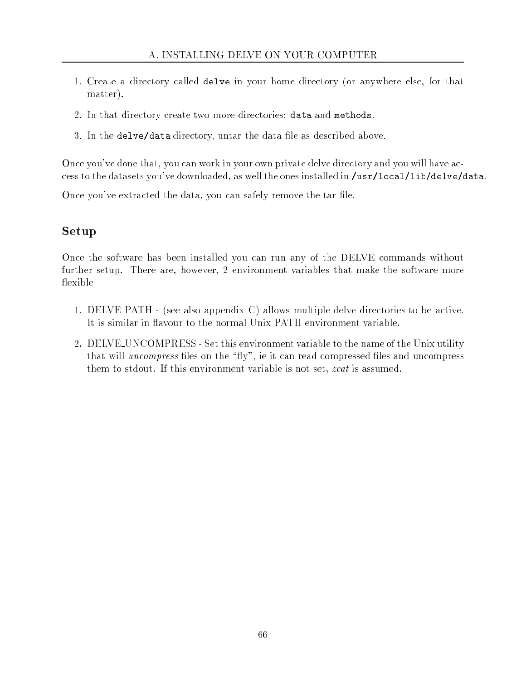- 1. Create a directory called delve in your home directory (or anywhere else, for that matter).
- 2. In that directory create two more directories: data and methods.
- 3. In the delve/data directory, untar the data file as described above.

Once you've done that, you can work in your own private delve directory and you will have access to the datasets you've downloaded, as well the ones installed in /usr/local/lib/delve/data.

Once you've extracted the data, you can safely remove the tar file.

## Setup

Once the software has been installed you can run any of the DELVE commands without further setup. There are, however, 2 environment variables that make the software more flexible

- 1. DELVE PATH (see also appendix C) allows multiple delve directories to be active. It is similar in flavour to the normal Unix PATH environment variable.
- 2. DELVE UNCOMPRESS Set this environment variable to the name of the Unix utility that will *uncompress* files on the "fly", ie it can read compressed files and uncompress them to stdout. If this environment variable is not set, zcat is assumed.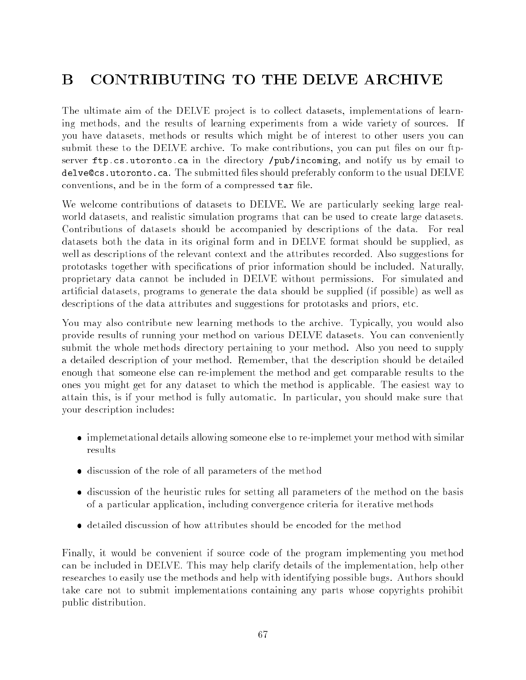# B CONTRIBUTING TO THE DELVE ARCHIVE

The ultimate aim of the DELVE project is to collect datasets, implementations of learning methods, and the results of learning experiments from a wide variety of sources. If you have datasets, methods or results which might be of interest to other users you can submit these to the DELVE archive. To make contributions, you can put files on our ftpserver ftp.cs.utoronto.ca in the directory /pub/incoming, and notify us by email to delve Ccs. utoronto.ca. The submitted files should preferably conform to the usual DELVE conventions, and be in the form of a compressed tar file.

We welcome contributions of datasets to DELVE. We are particularly seeking large realworld datasets, and realistic simulation programs that can be used to create large datasets. Contributions of datasets should be accompanied by descriptions of the data. For real datasets both the data in its original form and in DELVE format should be supplied, as well as descriptions of the relevant context and the attributes recorded. Also suggestions for prototasks together with specications of prior information should be included. Naturally, proprietary data cannot be included in DELVE without permissions. For simulated and articial datasets, programs to generate the data should be supplied (if possible) as well as descriptions of the data attributes and suggestions for prototasks and priors, etc.

You may also contribute new learning methods to the archive. Typically, you would also provide results of running your method on various DELVE datasets. You can conveniently submit the whole methods directory pertaining to your method. Also you need to supply a detailed description of your method. Remember, that the description should be detailed enough that someone else can re-implement the method and get comparable results to the ones you might get for any dataset to which the method is applicable. The easiest way to attain this, is if your method is fully automatic. In particular, you should make sure that your description includes:

- implemetational details allowing someone else to re-implemet your method with similar results
- discussion of the role of all parameters of the method
- discussion of the heuristic rules for setting all parameters of the method on the basis of a particular application, including convergence criteria for iterative methods
- detailed discussion of how attributes should be encoded for the method

Finally, it would be convenient if source code of the program implementing you method can be included in DELVE. This may help clarify details of the implementation, help other researches to easily use the methods and help with identifying possible bugs. Authors should take care not to submit implementations containing any parts whose copyrights prohibit public distribution.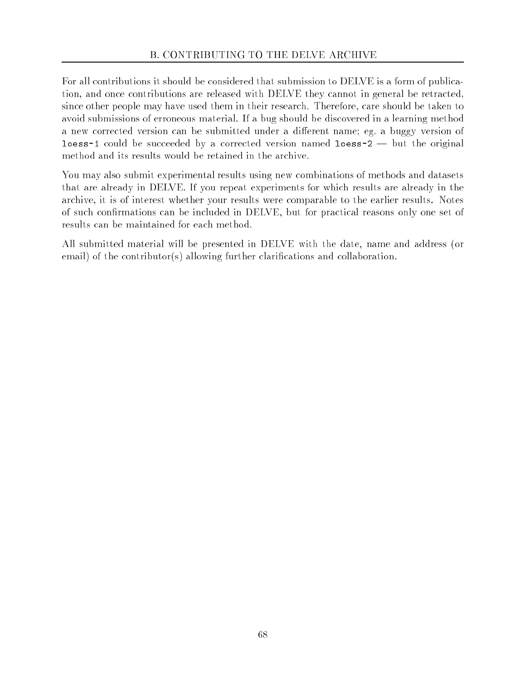For all contributions it should be considered that submission to DELVE is a form of publication, and once contributions are released with DELVE they cannot in general be retracted, since other people may have used them in their research. Therefore, care should be taken to avoid submissions of erroneous material. If a bug should be discovered in a learning method a new corrected version can be submitted under a different name; eg. a buggy version of **loess-1** could be succeeded by a corrected version named  $\text{loess-2}$   $-$  but the original method and its results would be retained in the archive.

You may also submit experimental results using new combinations of methods and datasets that are already in DELVE. If you repeat experiments for which results are already in the archive, it is of interest whether your results were comparable to the earlier results. Notes of such conrmations can be included in DELVE, but for practical reasons only one set of results can be maintained for each method.

All submitted material will be presented in DELVE with the date, name and address (or email) of the contributor(s) allowing further clarifications and collaboration.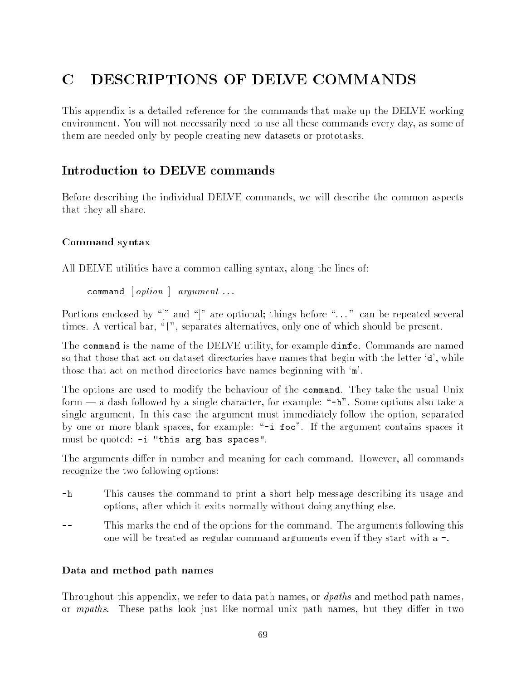# C DESCRIPTIONS OF DELVE COMMANDS

This appendix is a detailed reference for the commands that make up the DELVE working environment. You will not necessarily need to use all these commands every day, as some of them are needed only by people creating new datasets or prototasks.

## Introduction to DELVE commands

Before describing the individual DELVE commands, we will describe the common aspects that they all share.

## Command syntax

All DELVE utilities have a common calling syntax, along the lines of:

```
command [ option ] argument ...
```
Portions enclosed by " $\|$ " and " $\|$ " are optional; things before "..." can be repeated several times. A vertical bar, "|", separates alternatives, only one of which should be present.

The command is the name of the DELVE utility, for example dinfo. Commands are named so that those that act on dataset directories have names that begin with the letter `d', while those that act on method directories have names beginning with `m'.

The options are used to modify the behaviour of the command. They take the usual Unix form  $-$  a dash followed by a single character, for example: " $-h$ ". Some options also take a single argument. In this case the argument must immediately follow the option, separated by one or more blank spaces, for example:  $-1$  foo". If the argument contains spaces it must be quoted: -i "this arg has spaces".

The arguments differ in number and meaning for each command. However, all commands recognize the two following options:

- -h This causes the command to print a short help message describing its usage and options, after which it exits normally without doing anything else.
- This marks the end of the options for the command. The arguments following this one will be treated as regular command arguments even if they start with a -.

## Data and method path names

Throughout this appendix, we refer to data path names, or *dpaths* and method path names, or *mpaths*. These paths look just like normal unix path names, but they differ in two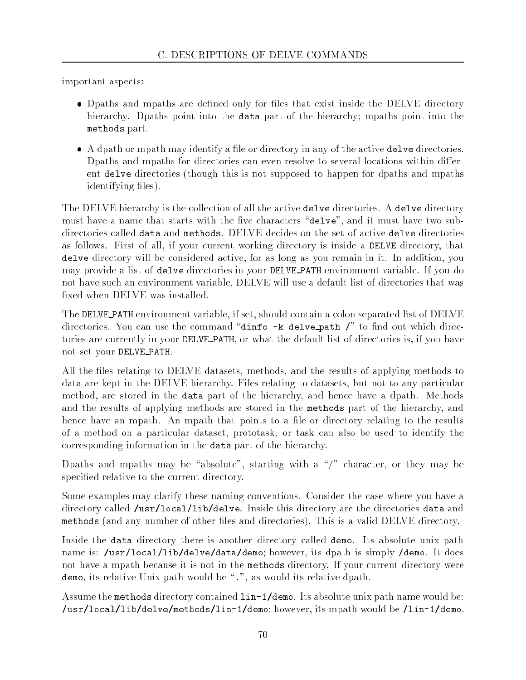important aspects:

- Dpaths and mpaths are defined only for files that exist inside the DELVE directory hierarchy. Dpaths point into the data part of the hierarchy; mpaths point into the methods part.
- A dpath or mpath may identify a le or directory in any of the active delve directories. Dpaths and mpaths for directories can even resolve to several locations within different delve directories (though this is not supposed to happen for dpaths and mpaths identifying files).

The DELVE hierarchy is the collection of all the active delve directories. A delve directory must have a name that starts with the five characters "delve", and it must have two subdirectories called data and methods. DELVE decides on the set of active delve directories as follows. First of all, if your current working directory is inside a DELVE directory, that delve directory will be considered active, for as long as you remain in it. In addition, you may provide a list of delve directories in your DELVE PATH environment variable. If you do not have such an environment variable, DELVE will use a default list of directories that was fixed when DELVE was installed.

The DELVE PATH environment variable, if set, should contain a colon separated list of DELVE directories. You can use the command "dinfo  $-k$  delve path  $\ell$ " to find out which directories are currently in your DELVE PATH, or what the default list of directories is, if you have not set your DELVE PATH.

All the files relating to DELVE datasets, methods, and the results of applying methods to data are kept in the DELVE hierarchy. Files relating to datasets, but not to any particular method, are stored in the data part of the hierarchy, and hence have a dpath. Methods and the results of applying methods are stored in the methods part of the hierarchy, and hence have an mpath. An mpath that points to a file or directory relating to the results of a method on a particular dataset, prototask, or task can also be used to identify the corresponding information in the data part of the hierarchy.

Dpaths and mpaths may be "absolute", starting with a "/" character, or they may be specified relative to the current directory.

Some examples may clarify these naming conventions. Consider the case where you have a directory called /usr/local/lib/delve. Inside this directory are the directories data and methods (and any number of other files and directories). This is a valid DELVE directory.

Inside the data directory there is another directory called demo. Its absolute unix path name is: /usr/local/lib/delve/data/demo; however, its dpath is simply /demo. It does not have a mpath because it is not in the methods directory. If your current directory were demo, its relative Unix path would be ".", as would its relative dpath.

Assume the methods directory contained lin-1/demo. Its absolute unix path name would be: /usr/local/lib/delve/methods/lin-1/demo; however, its mpath would be /lin-1/demo.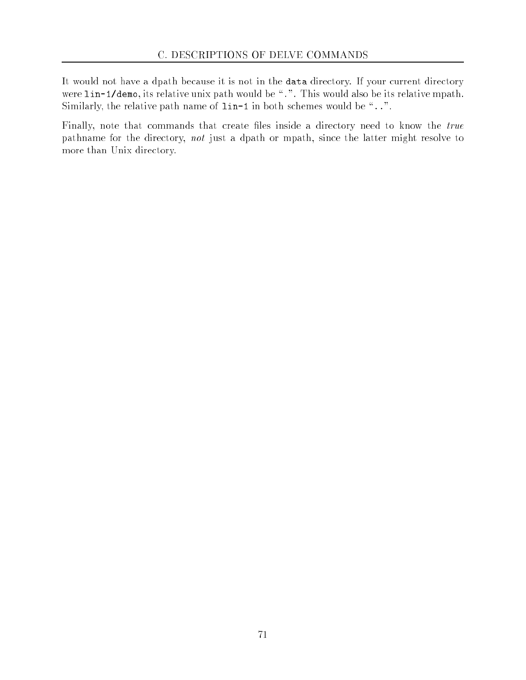It would not have a dpath because it is not in the data directory. If your current directory were lin-1/demo, its relative unix path would be ".". This would also be its relative mpath. Similarly, the relative path name of  $lin-1$  in both schemes would be "...".

Finally, note that commands that create files inside a directory need to know the true pathname for the directory, not just a dpath or mpath, since the latter might resolve to more than Unix directory.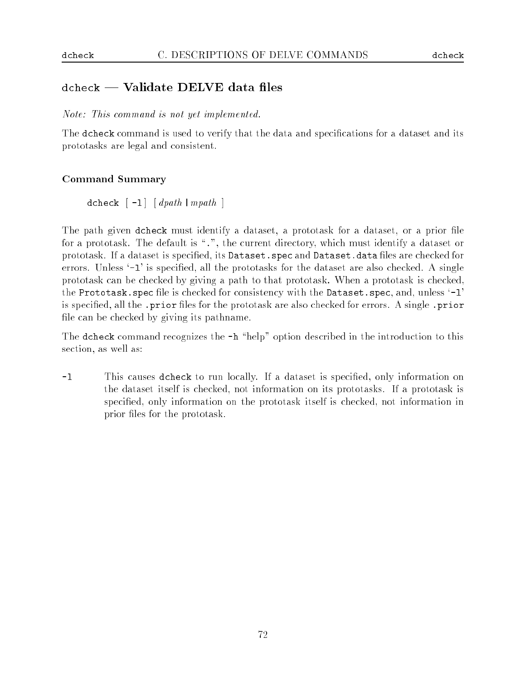## a vale valled data della provincia di validate di unitato di unitato di unitato di unitato di unitato di unita

Note: This command is not yet implemented.

The dcheck command is used to verify that the data and specifications for a dataset and its prototasks are legal and consistent.

## Command Summary

dcheck  $[-1]$   $[$  dpath  $|$  mpath  $]$ 

The path given dcheck must identify a dataset, a prototask for a dataset, or a prior file for a prototask. The default is ".", the current directory, which must identify a dataset or prototask. If a dataset is specified, its Dataset. spec and Dataset. data files are checked for errors. Unless '-1' is specified, all the prototasks for the dataset are also checked. A single prototask can be checked by giving a path to that prototask. When a prototask is checked, the Prototask. spec file is checked for consistency with the Dataset. spec, and, unless '-1' is specified, all the .prior files for the prototask are also checked for errors. A single .prior file can be checked by giving its pathname.

The dcheck command recognizes the  $-h$  "help" option described in the introduction to this section, as well as:

-1 This causes dcheck to run locally. If a dataset is specified, only information on the dataset itself is checked, not information on its prototasks. If a prototask is specified, only information on the prototask itself is checked, not information in prior files for the prototask.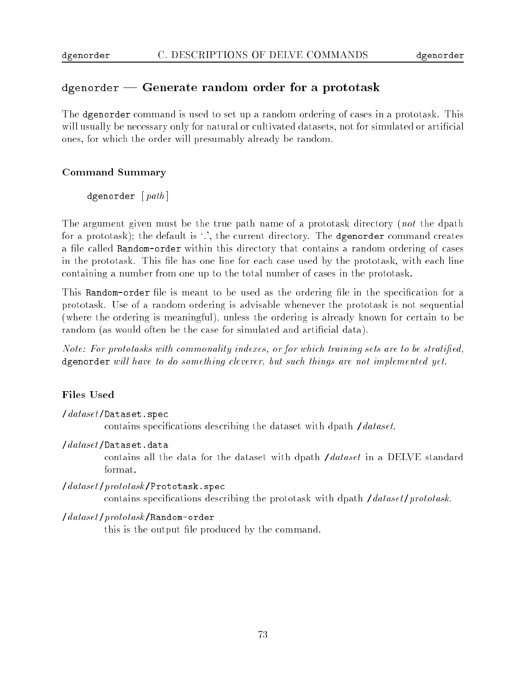## dgenorder | Generate random order for a prototask

The dgenorder command is used to set up a random ordering of cases in a prototask. This will usually be necessary only for natural or cultivated datasets, not for simulated or artificial ones, for which the order will presumably already be random.

## Command Summary

dgenorder [ $path$ ]

The argument given must be the true path name of a prototask directory (not the dpath for a prototask); the default is '.', the current directory. The dgenorder command creates a file called Random-order within this directory that contains a random ordering of cases in the prototask. This file has one line for each case used by the prototask, with each line containing a number from one up to the total number of cases in the prototask.

This Random-order file is meant to be used as the ordering file in the specification for a prototask. Use of a random ordering is advisable whenever the prototask is not sequential (where the ordering is meaningful), unless the ordering is already known for certain to be random (as would often be the case for simulated and artificial data).

Note: For prototasks with commonality indexes, or for which training sets are to be stratified, dgenorder will have to do something cleverer, but such things are not implemented yet.

## **Files Used**

#### /dataset /Dataset.spec

contains specifications describing the dataset with dpath /dataset.

### /dataset /Dataset.data

contains all the data for the dataset with dpath */dataset* in a DELVE standard format.

### /dataset/prototask/Prototask.spec

contains specifications describing the prototask with dpath */dataset/prototask*.

### /dataset/prototask/Random-order

this is the output file produced by the command.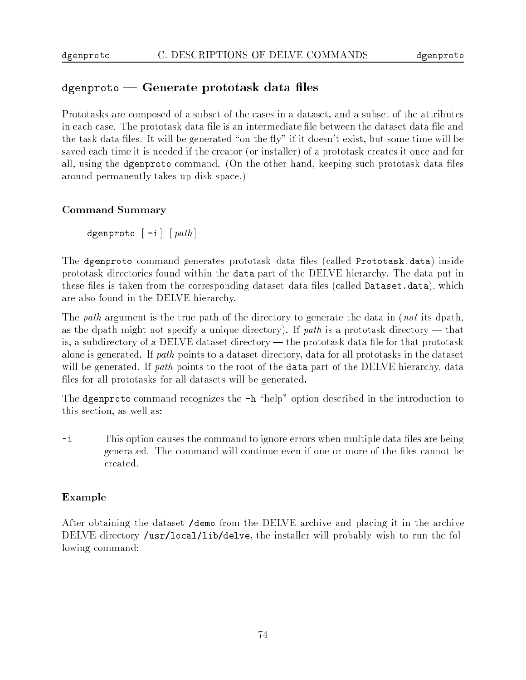## agenproto believelde prototask delle medi

Prototasks are composed of a subset of the cases in a dataset, and a subset of the attributes in each case. The prototask data file is an intermediate file between the dataset data file and the task data files. It will be generated "on the fly" if it doesn't exist, but some time will be saved each time it is needed if the creator (or installer) of a prototask creates it once and for all, using the dgenproto command. (On the other hand, keeping such prototask data files around permanently takes up disk space.)

## Command Summary

dgenproto  $\lceil -i \rceil$   $\lceil$  path  $\rceil$ 

The dgenproto command generates prototask data les (called Prototask.data) inside prototask directories found within the data part of the DELVE hierarchy. The data put in these files is taken from the corresponding dataset data files (called Dataset.data), which are also found in the DELVE hierarchy.

The *path* argument is the true path of the directory to generate the data in (*not* its dpath, as the dpath might not specify a unique directory). If path is a prototask directory — that is, a subdirectory of a DELVE dataset directory — the prototask data file for that prototask alone is generated. If path points to a dataset directory, data for all prototasks in the dataset will be generated. If path points to the root of the data part of the DELVE hierarchy, data files for all prototasks for all datasets will be generated.

The dgenproto command recognizes the  $-h$  "help" option described in the introduction to this section, as well as:

 $-i$ This option causes the command to ignore errors when multiple data files are being generated. The command will continue even if one or more of the files cannot be created.

## Example

After obtaining the dataset /demo from the DELVE archive and placing it in the archive DELVE directory /usr/local/lib/delve, the installer will probably wish to run the following command: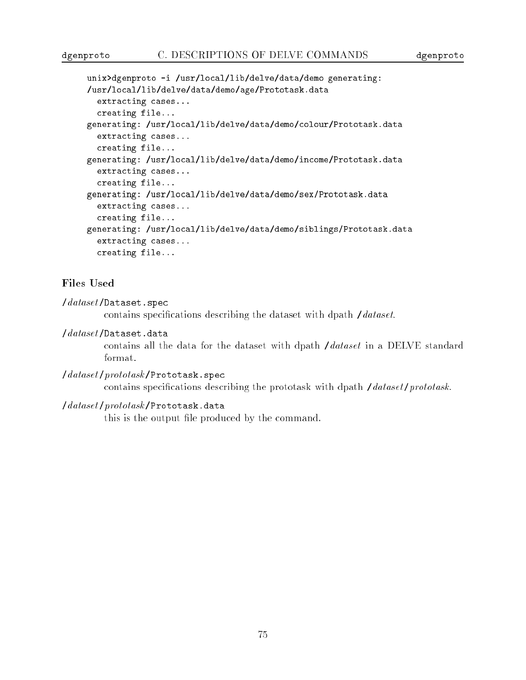```
unix>dgenproto -i /usr/local/lib/delve/data/demo generating:
/usr/local/lib/delve/data/demo/age/Prototask.data
  extracting cases...
  creating file...
generating: /usr/local/lib/delve/data/demo/colour/Prototask.data
  extracting cases...
  creating file...
generating: /usr/local/lib/delve/data/demo/income/Prototask.data
  extracting cases...
  creating file...
generating: /usr/local/lib/delve/data/demo/sex/Prototask.data
  extracting cases...
  creating file...
generating: /usr/local/lib/delve/data/demo/siblings/Prototask.data
  extracting cases...
  creating file...
```
### Files Used

 $\theta$ dataset/Dataset.spec

contains specifications describing the dataset with dpath /dataset.

#### $\theta$  /  $dataset$  / Dataset. data /dataset /Dataset.data

contains all the data for the dataset with dpath /dataset in a DELVE standard format.

```
/dataset/prototask/Prototask.spec
         contains specifications describing the prototask with dpath /dataset/prototask.
```
### /dataset/prototask/Prototask.data

this is the output file produced by the command.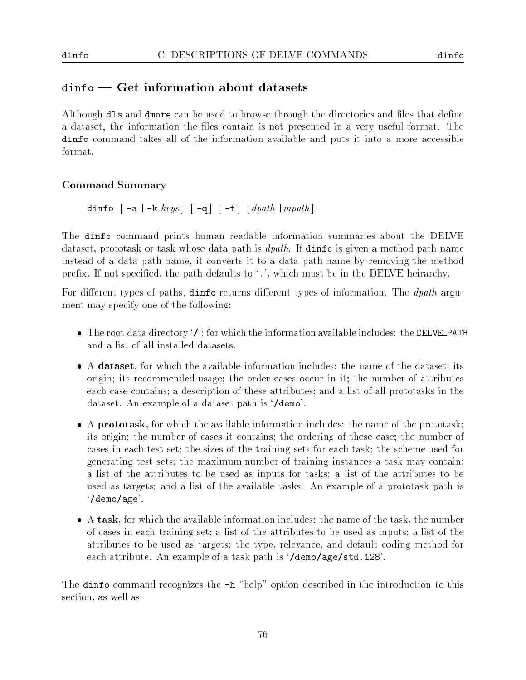## ding the ding interesting and ding the distribution of the state of the state of the state of the state of the

Although dls and dmore can be used to browse through the directories and files that define a dataset, the information the files contain is not presented in a very useful format. The dinfo command takes all of the information available and puts it into a more accessible format.

## Command Summary

dinfo  $\lceil -a \rceil -k \; keys \rceil \lceil -q \rceil \lceil -t \rceil \; \lceil \; dpath \rceil \; m path \rceil$ 

The dinfo command prints human readable information summaries about the DELVE dataset, prototask or task whose data path is dpath. If dinfo is given a method path name instead of a data path name, it converts it to a data path name by removing the method prefix. If not specified, the path defaults to  $\cdot$ .', which must be in the DELVE heirarchy.

For different types of paths, dinfo returns different types of information. The *dpath* argument may specify one of the following:

- $\bullet$  The root data directory '/'; for which the information available includes: the DELVE PATH and a list of all installed datasets.
- A dataset, for which the available information includes: the name of the dataset; its origin; its recommended usage; the order cases occur in it; the number of attributes each case contains; a description of these attributes; and a list of all prototasks in the dataset. An example of a dataset path is `/demo'.
- A prototask, for which the available information includes: the name of the prototask; its origin; the number of cases it contains; the ordering of these case; the number of cases in each test set; the sizes of the training sets for each task; the scheme used for generating test sets; the maximum number of training instances a task may contain; a list of the attributes to be used as inputs for tasks; a list of the attributes to be used as targets; and a list of the available tasks. An example of a prototask path is `/demo/age'.
- A task, for which the available information includes: the name of the task, the number of cases in each training set; a list of the attributes to be used as inputs; a list of the attributes to be used as targets; the type, relevance, and default coding method for each attribute. An example of a task path is `/demo/age/std.128'.

The dinfo command recognizes the  $-h$  "help" option described in the introduction to this section, as well as: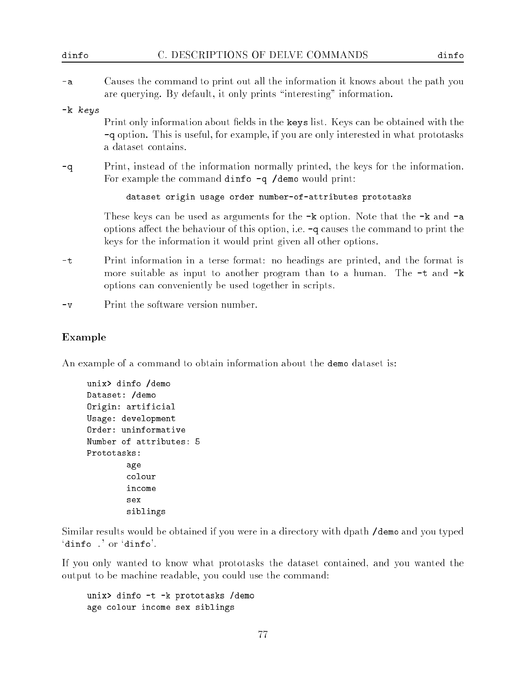| dinfo       | C. DESCRIPTIONS OF DELVE COMMANDS<br>dinfo                                                                                                                                                                                                         |  |
|-------------|----------------------------------------------------------------------------------------------------------------------------------------------------------------------------------------------------------------------------------------------------|--|
| $-a$        | Causes the command to print out all the information it knows about the path you<br>are querying. By default, it only prints "interesting" information.                                                                                             |  |
| $-k$ $keys$ | Print only information about fields in the keys list. Keys can be obtained with the<br>-q option. This is useful, for example, if you are only interested in what prototasks<br>a dataset contains.                                                |  |
| -q          | Print, instead of the information normally printed, the keys for the information.<br>For example the command dinfo $-q$ /demo would print:                                                                                                         |  |
|             | dataset origin usage order number-of-attributes prototasks                                                                                                                                                                                         |  |
|             | These keys can be used as arguments for the $-k$ option. Note that the $-k$ and $-a$<br>options affect the behaviour of this option, i.e. $-q$ causes the command to print the<br>keys for the information it would print given all other options. |  |
| -t          | Print information in a terse format: no headings are printed, and the format is<br>more suitable as input to another program than to a human. The -t and -k<br>options can conveniently be used together in scripts.                               |  |
|             |                                                                                                                                                                                                                                                    |  |

-v Print the software version number.

### Example

An example of a command to obtain information about the demo dataset is:

```
unix> dinfo /demo
Dataset: /demo
Origin: artificial
Usage: development
Order: uninformative
Number of attributes: 5
Prototasks:
        age
        colour
        income
        sex
        siblings
```
Similar results would be obtained if you were in a directory with dpath /demo and you typed `dinfo .' or `dinfo'.

If you only wanted to know what prototasks the dataset contained, and you wanted the output to be machine readable, you could use the command:

unix> dinfo -t -k prototasks /demo age colour income sex siblings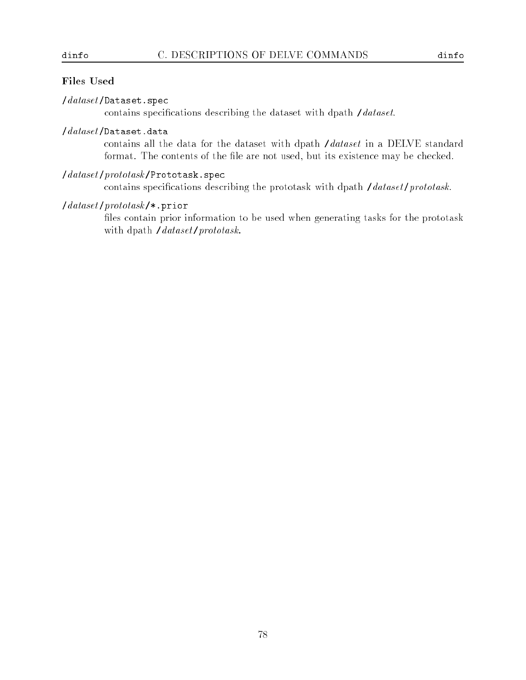## Files Used

### $/dataset/Dataset.\,spec$

contains specifications describing the dataset with dpath /dataset.

### /dataset /Dataset.data

contains all the data for the dataset with dpath /dataset in a DELVE standard format. The contents of the file are not used, but its existence may be checked.

## /dataset /prototask /Prototask.spec

contains specifications describing the prototask with dpath */dataset/prototask.* 

## $\frac{1}{dataset}$ /prototask/\*.prior

files contain prior information to be used when generating tasks for the prototask with dpath /dataset/prototask.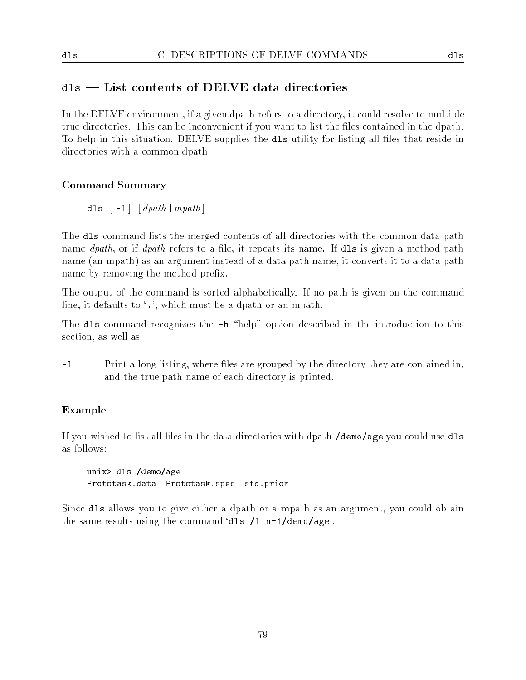## dls | List contents of DELVE data directories

In the DELVE environment, if a given dpath refers to a directory, it could resolve to multiple true directories. This can be inconvenient if you want to list the files contained in the dpath. To help in this situation, DELVE supplies the dls utility for listing all files that reside in directories with a common dpath.

## Command Summary

dls  $\lceil -1 \rceil$   $\lceil$  dpath  $\lceil$  mpath  $\rceil$ 

The dls command lists the merged contents of all directories with the common data path name  $dpath$ , or if  $dpath$  refers to a file, it repeats its name. If dls is given a method path name (an mpath) as an argument instead of a data path name, it converts it to a data path name by removing the method prefix.

The output of the command is sorted alphabetically. If no path is given on the command line, it defaults to '.', which must be a dpath or an mpath.

The dls command recognizes the  $-h$  "help" option described in the introduction to this section, as well as:

-l Print a long listing, where les are grouped by the directory they are contained in, and the true path name of each directory is printed.

## Example

If you wished to list all files in the data directories with dpath **/demo/age** you could use dls as follows:

unix> dls /demo/age Prototask.data Prototask.spec std.prior

Since dls allows you to give either a dpath or a mpath as an argument, you could obtain the same results using the command `dls /lin-1/demo/age'.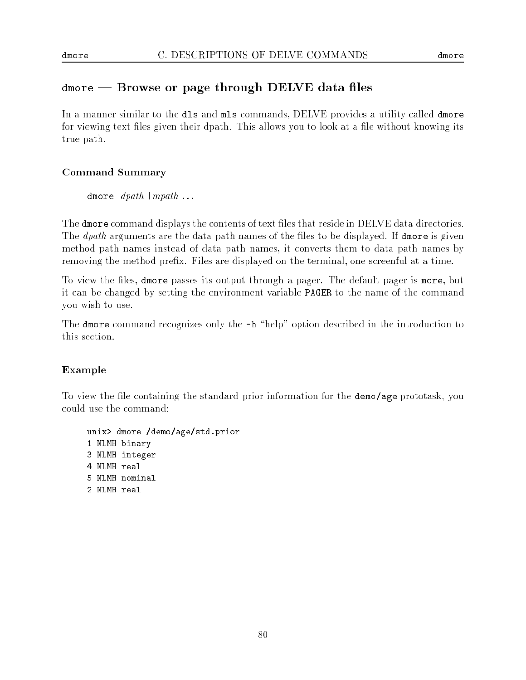## dmore that is a page through DELVE data in the

In a manner similar to the dls and mls commands, DELVE provides a utility called dmore for viewing text files given their dpath. This allows you to look at a file without knowing its true path.

## Command Summary

dmore  $dpath |mpath ...$ 

The dmore command displays the contents of text files that reside in DELVE data directories. The  $dpath$  arguments are the data path names of the files to be displayed. If dmore is given method path names instead of data path names, it converts them to data path names by removing the method prefix. Files are displayed on the terminal, one screenful at a time.

To view the files, dmore passes its output through a pager. The default pager is more, but it can be changed by setting the environment variable PAGER to the name of the command you wish to use.

The dmore command recognizes only the  $-h$  "help" option described in the introduction to this section.

## Example

To view the file containing the standard prior information for the demo/age prototask, you could use the command:

unix> dmore /demo/age/std.prior NLMH binary NLMH integer NLMH real NLMH nominal NLMH real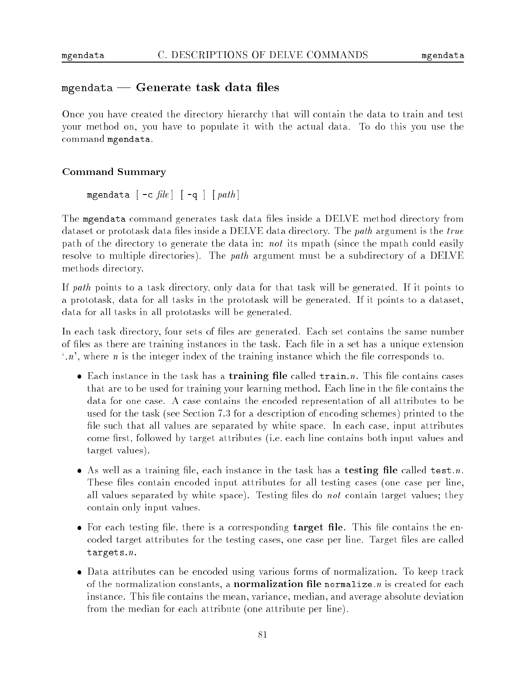## mgendata baten data task data menge

Once you have created the directory hierarchy that will contain the data to train and test your method on, you have to populate it with the actual data. To do this you use the command mgendata.

### Command Summary

mgendata  $\lceil -c$  *file*  $\lceil -q \rceil$   $\lceil$  *path*  $\rceil$ 

The mgendata command generates task data files inside a DELVE method directory from dataset or prototask data files inside a DELVE data directory. The *path* argument is the true path of the directory to generate the data in: not its mpath (since the mpath could easily resolve to multiple directories). The *path* argument must be a subdirectory of a DELVE methods directory.

If path points to a task directory, only data for that task will be generated. If it points to a prototask, data for all tasks in the prototask will be generated. If it points to a dataset, data for all tasks in all prototasks will be generated.

In each task directory, four sets of files are generated. Each set contains the same number of files as there are training instances in the task. Each file in a set has a unique extension  $\cdot n$ , where *n* is the integer index of the training instance which the file corresponds to.

- Each instance in the task has a **training file** called  $\text{train}.n$ . This file contains cases that are to be used for training your learning method. Each line in the file contains the data for one case. A case contains the encoded representation of all attributes to be used for the task (see Section 7.3 for a description of encoding schemes) printed to the file such that all values are separated by white space. In each case, input attributes come first, followed by target attributes (i.e. each line contains both input values and target values).
- $\bullet$  As well as a training file, each instance in the task has a testing file called test.n. These files contain encoded input attributes for all testing cases (one case per line, all values separated by white space). Testing files do not contain target values; they contain only input values.
- $\bullet$  For each testing file, there is a corresponding target file. This file contains the encoded target attributes for the testing cases, one case per line. Target files are called targets.n.
- Data attributes can be encoded using various forms of normalization. To keep track of the normalization constants, a **normalization file normalize**  $n$  is created for each instance. This file contains the mean, variance, median, and average absolute deviation from the median for each attribute (one attribute per line).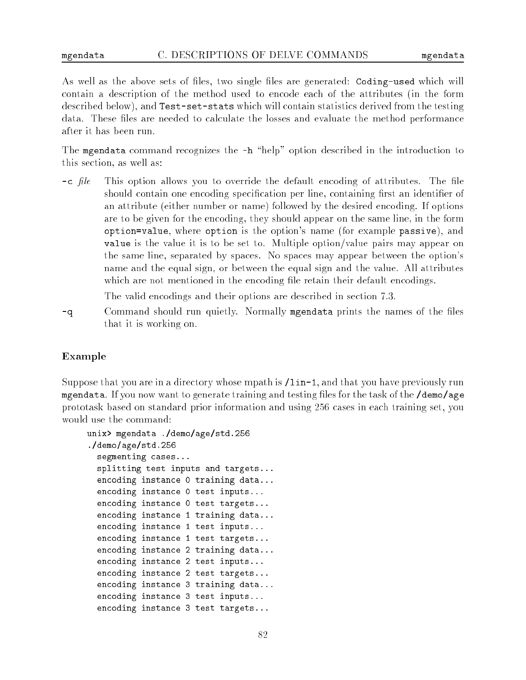As well as the above sets of files, two single files are generated: Coding-used which will contain a description of the method used to encode each of the attributes (in the form described below), and Test-set-stats which will contain statistics derived from the testing data. These files are needed to calculate the losses and evaluate the method performance after it has been run.

The mgendata command recognizes the  $-h$  "help" option described in the introduction to this section, as well as:

 $-c$  file This option allows you to override the default encoding of attributes. The file should contain one encoding specification per line, containing first an identifier of an attribute (either number or name) followed by the desired encoding. If options are to be given for the encoding, they should appear on the same line, in the form option=value, where option is the option's name (for example passive), and value is the value it is to be set to. Multiple option/value pairs may appear on the same line, separated by spaces. No spaces may appear between the option's name and the equal sign, or between the equal sign and the value. All attributes which are not mentioned in the encoding file retain their default encodings.

The valid encodings and their options are described in section 7.3.

-q Command should run quietly. Normally mgendata prints the names of the files that it is working on.

### Example

Suppose that you are in a directory whose mpath is  $\lambda$ lin-1, and that you have previously run mgendata. If you now want to generate training and testing files for the task of the **/demo/age** prototask based on standard prior information and using 256 cases in each training set, you would use the command:

```
unix> mgendata ./demo/age/std.256
./demo/age/std.256
  segmenting cases...
  splitting test inputs and targets...
  encoding instance 0 training data...
  encoding instance 0 test inputs...
  encoding instance 0 test targets...
  encoding instance 1 training data...
  encoding instance 1 test inputs...
  encoding instance 1 test targets...
  encoding instance 2 training data...
  encoding instance 2 test inputs...
  encoding instance 2 test targets...
  encoding instance 3 training data...
  encoding instance 3 test inputs...
  encoding instance 3 test targets...
```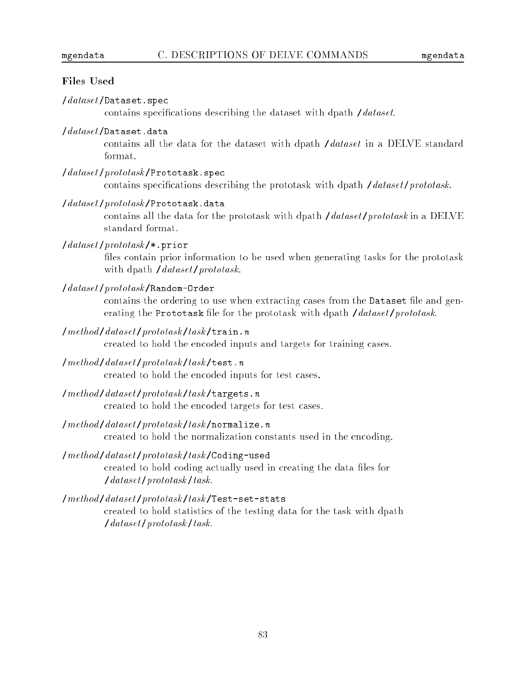### **Files Used**

### $\theta$ dataset/Dataset.spec

contains specifications describing the dataset with dpath /dataset.

#### /dataset /Dataset.data

contains all the data for the dataset with dpath /dataset in a DELVE standard format.

/dataset/prototask/Prototask.spec

contains specifications describing the prototask with dpath  $\theta$  /dataset/prototask.

/dataset/prototask/Prototask.data

contains all the data for the prototask with dpath  $\int data set /prototask$  in a DELVE standard format.

### $\frac{1}{dataset}$ /prototask/\*.prior

files contain prior information to be used when generating tasks for the prototask with dpath /dataset/prototask.

/dataset /prototask /Random-Order

contains the ordering to use when extracting cases from the Dataset file and generating the Prototask file for the prototask with dpath /dataset/prototask.

 $/method / dataset /prototask / task / train.n$ 

created to hold the encoded inputs and targets for training cases.

/method /dataset /prototask /task /test.n

created to hold the encoded inputs for test cases.

/method /dataset /prototask /task /targets.n

created to hold the encoded targets for test cases.

 $/method/dataset/prototask/task/normalize.n$ 

created to hold the normalization constants used in the encoding.

/method/dataset/prototask/task/Coding-used

created to hold coding actually used in creating the data files for /dataset /prototask /task.

### /method /dataset /prototask /task /Test-set-stats

created to hold statistics of the testing data for the task with dpath /dataset /prototask /task.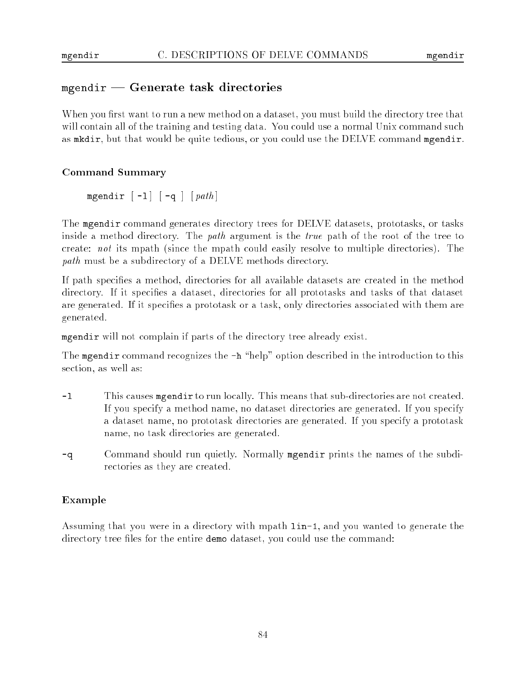## mgendie – Generate task directories

When you first want to run a new method on a dataset, you must build the directory tree that will contain all of the training and testing data. You could use a normal Unix command such as mkdir, but that would be quite tedious, or you could use the DELVE command mgendir.

## Command Summary

mgendir  $\lceil -1 \rceil \lceil -q \rceil \lceil path \rceil$ 

The mgendir command generates directory trees for DELVE datasets, prototasks, or tasks inside a method directory. The *path* argument is the *true* path of the root of the tree to create: not its mpath (since the mpath could easily resolve to multiple directories). The path must be a subdirectory of a DELVE methods directory.

If path species a method, directories for all available datasets are created in the method directory. If it specifies a dataset, directories for all prototasks and tasks of that dataset are generated. If it specifies a prototask or a task, only directories associated with them are generated.

mgendir will not complain if parts of the directory tree already exist.

The mgendir command recognizes the  $-h$  "help" option described in the introduction to this section, as well as:

- -l This causes mgendir to run locally. This means that sub-directories are not created. If you specify a method name, no dataset directories are generated. If you specify a dataset name, no prototask directories are generated. If you specify a prototask name, no task directories are generated.
- -q Command should run quietly. Normally mgendir prints the names of the subdirectories as they are created.

## Example

Assuming that you were in a directory with mpath lin-1, and you wanted to generate the directory tree files for the entire demo dataset, you could use the command: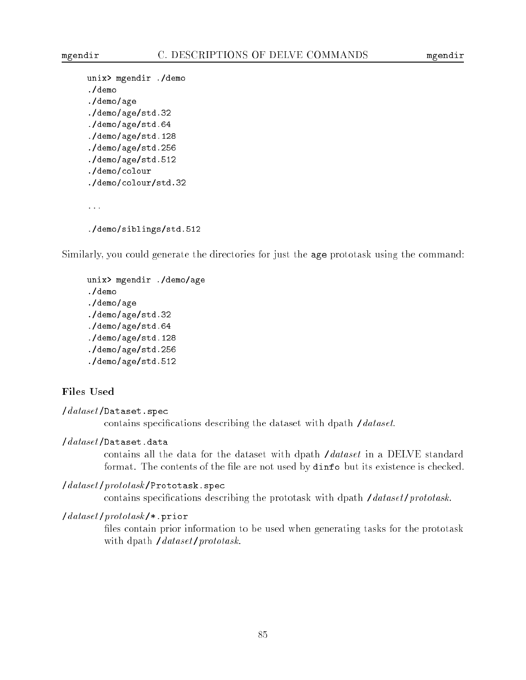```
unix> mgendir ./demo
./demo
./demo/age
./demo/age/std.32
./demo/age/std.64
./demo/age/std.128
./demo/age/std.256
./demo/age/std.512
./demo/colour
./demo/colour/std.32
...
./demo/siblings/std.512
```
Similarly, you could generate the directories for just the age prototask using the command:

```
unix> mgendir ./demo/age
./demo
./demo/age
./demo/age/std.32
./demo/age/std.64
./demo/age/std.128
./demo/age/std.256
./demo/age/std.512
```
### Files Used

```
\thetadataset/Dataset.spec
          contains specifications describing the dataset with dpath /dataset.
```
#### /dataset /Dataset.data

contains all the data for the dataset with dpath /dataset in a DELVE standard format. The contents of the file are not used by dinfo but its existence is checked.

#### /dataset/prototask/Prototask.spec

contains specifications describing the prototask with dpath */dataset/prototask*.

#### $\frac{1}{dataset}$ /prototask/\*.prior

files contain prior information to be used when generating tasks for the prototask with dpath /dataset/prototask.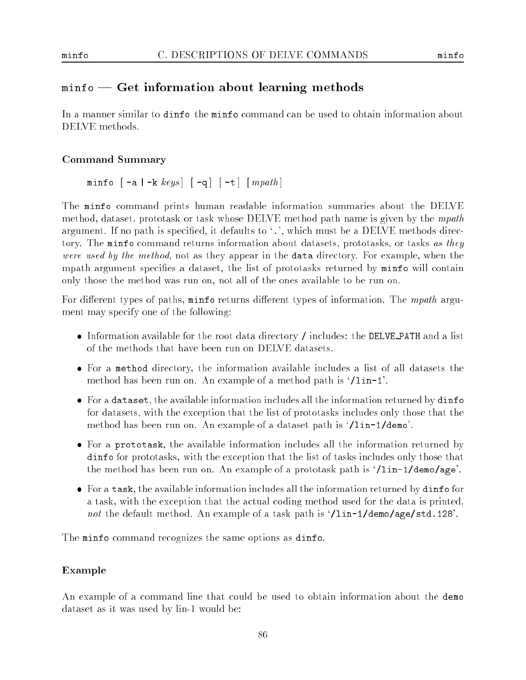## minimation about  $\sim$  . The contract is a contract of  $\sim$

In a manner similar to dinfo the minfo command can be used to obtain information about DELVE methods.

## Command Summary

minfo  $\lceil -a \rceil -k \; keys \rceil \lceil -q \rceil \lceil -t \rceil \lceil mpath \rceil$ 

The minfo command prints human readable information summaries about the DELVE method, dataset, prototask or task whose DELVE method path name is given by the mpath argument. If no path is specified, it defaults to  $\cdot$ , which must be a DELVE methods directory. The minfo command returns information about datasets, prototasks, or tasks as they were used by the method, not as they appear in the data directory. For example, when the mpath argument specifies a dataset, the list of prototasks returned by minfo will contain only those the method was run on, not all of the ones available to be run on.

For different types of paths,  $min$  o returns different types of information. The mpath argument may specify one of the following:

- Information available for the root data directory / includes: the DELVE PATH and a list of the methods that have been run on DELVE datasets.
- For a method directory, the information available includes a list of all datasets the method has been run on. An example of a method path is `/lin-1'.
- For a dataset, the available information includes all the information returned by dinfo for datasets, with the exception that the list of prototasks includes only those that the method has been run on. An example of a dataset path is `/lin-1/demo'.
- For a prototask, the available information includes all the information returned by dinfo for prototasks, with the exception that the list of tasks includes only those that the method has been run on. An example of a prototask path is `/lin-1/demo/age'.
- For a task, the available information includes all the information returned by dinfo for a task, with the exception that the actual coding method used for the data is printed, not the default method. An example of a task path is  $1$ in-1/demo/age/std.128'.

The minfo command recognizes the same options as dinfo.

## Example

An example of a command line that could be used to obtain information about the demo dataset as it was used by lin-1 would be: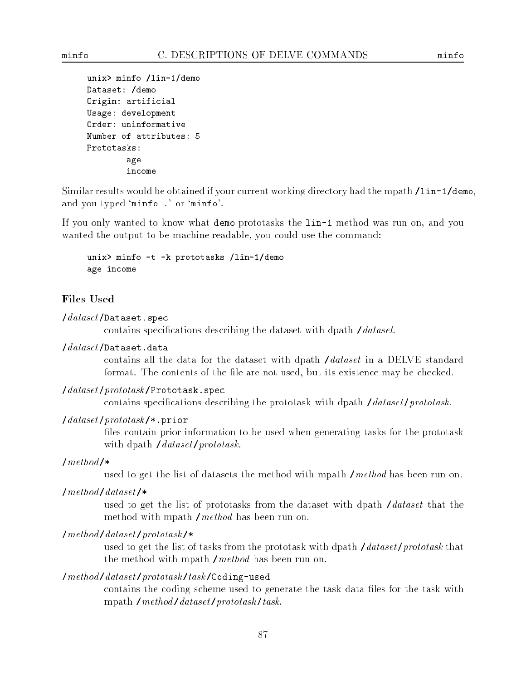```
unix> minfo /lin-1/demo
unix> minfo /lin-1/demo
Dataset: /demo
Origin: artificial
Usage: development
Order: uninformative
Number of attributes: 5
Prototasks:
        age
        income
```
Similar results would be obtained if your current working directory had the mpath /lin-1/demo, and you typed 'minfo .' or 'minfo'.

If you only wanted to know what demo prototasks the lin-1 method was run on, and you wanted the output to be machine readable, you could use the command:

```
unix> minfo -t -k prototasks /lin-1/demo
age income
```
### **Files Used**

#### /dataset /Dataset.spec

contains specifications describing the dataset with dpath /dataset.

## /dataset /Dataset.data

contains all the data for the dataset with dpath /dataset in a DELVE standard format. The contents of the file are not used, but its existence may be checked.

#### $\theta$  / dataset/prototask/Prototask.spec

contains specifications describing the prototask with dpath */dataset/prototask.* 

### /dataset /prototask /\*.prior

files contain prior information to be used when generating tasks for the prototask with dpath /dataset/prototask.

### $/method/\ast$

used to get the list of datasets the method with mpath /method has been run on.

#### $/method/dataset$ /\*

used to get the list of prototasks from the dataset with dpath /dataset that the method with mpath /method has been run on.

### $/method/dataset /prototask$ /\*

used to get the list of tasks from the prototask with dpath  $\theta$  /dataset/prototask that the method with mpath /method has been run on.

### /method /dataset /prototask /task /Coding-used

contains the coding scheme used to generate the task data files for the task with mpath  $/method/dataset /prototask/task$ .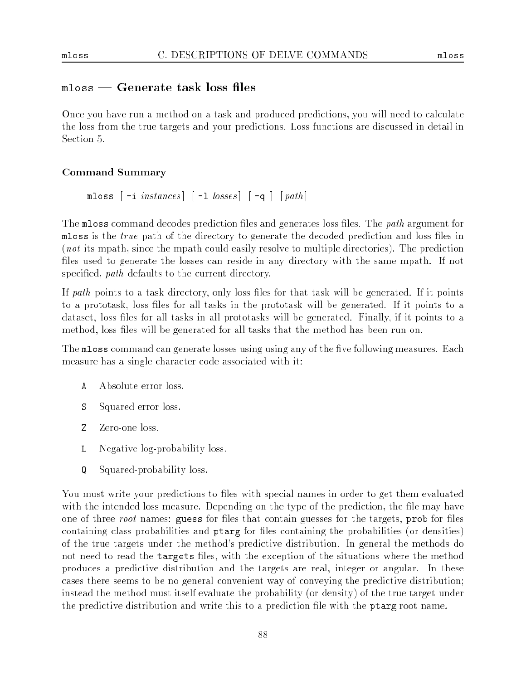### meter teleperate task loss med t

Once you have run a method on a task and produced predictions, you will need to calculate the loss from the true targets and your predictions. Loss functions are discussed in detail in Section 5.

### Command Summary

```
mloss [-i] instances [-1] [losses] [-q] [path]
```
The mloss command decodes prediction files and generates loss files. The *path* argument for mloss is the *true* path of the directory to generate the decoded prediction and loss files in (not its mpath, since the mpath could easily resolve to multiple directories). The prediction files used to generate the losses can reside in any directory with the same mpath. If not specified, *path* defaults to the current directory.

If path points to a task directory, only loss files for that task will be generated. If it points to a prototask, loss les for all tasks in the prototask will be generated. If it points to a dataset, loss files for all tasks in all prototasks will be generated. Finally, if it points to a method, loss files will be generated for all tasks that the method has been run on.

The mloss command can generate losses using using any of the five following measures. Each measure has a single-character code associated with it:

- 
- $S$ Squared error loss.
- Z Zero-one loss.
- $\mathbf{L}$ Negative log-probability loss.
- O Squared-probability loss.

You must write your predictions to files with special names in order to get them evaluated with the intended loss measure. Depending on the type of the prediction, the file may have one of three root names: guess for files that contain guesses for the targets, prob for files containing class probabilities and ptarg for les containing the probabilities (or densities) of the true targets under the method's predictive distribution. In general the methods do not need to read the targets files, with the exception of the situations where the method produces a predictive distribution and the targets are real, integer or angular. In these cases there seems to be no general convenient way of conveying the predictive distribution; instead the method must itself evaluate the probability (or density) of the true target under the predictive distribution and write this to a prediction file with the ptarg root name.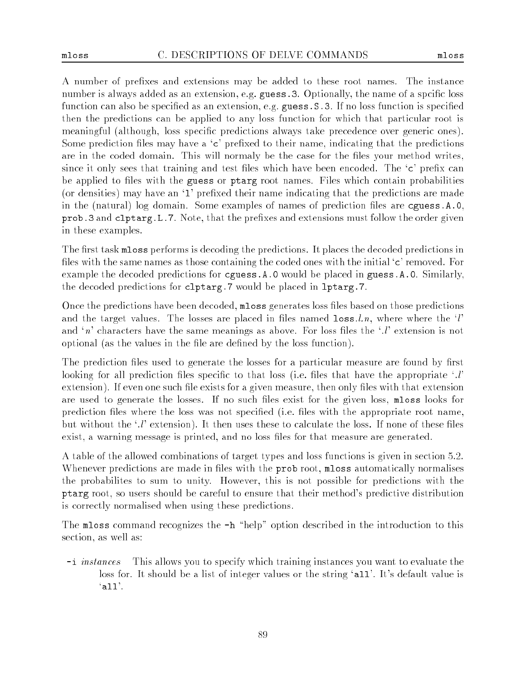A number of prefixes and extensions may be added to these root names. The instance number is always added as an extension, e.g. guess. 3. Optionally, the name of a spcific loss function can also be specified as an extension, e.g. guess. S.3. If no loss function is specified then the predictions can be applied to any loss function for which that particular root is meaningful (although, loss specic predictions always take precedence over generic ones). Some prediction files may have a  $\epsilon$  prefixed to their name, indicating that the predictions are in the coded domain. This will normaly be the case for the files your method writes, since it only sees that training and test files which have been encoded. The  $\infty$  prefix can be applied to files with the guess or ptarg root names. Files which contain probabilities (or densities) may have an  $\mathbf{1}$  prefixed their name indicating that the predictions are made in the (natural) log domain. Some examples of names of prediction files are eguess.A.O. prob.3 and clptarg. L.7. Note, that the prefixes and extensions must follow the order given in these examples.

The first task mloss performs is decoding the predictions. It places the decoded predictions in files with the same names as those containing the coded ones with the initial  $\epsilon$ ' removed. For example the decoded predictions for cguess.A.0 would be placed in guess.A.0. Similarly, the decoded predictions for clptarg.7 would be placed in lptarg.7.

Once the predictions have been decoded, mloss generates loss les based on those predictions and the target values. The losses are placed in files named  $\texttt{loss}. \mathit{l}$ , where where the 'l' and 'n' characters have the same meanings as above. For loss files the '.l' extension is not optional (as the values in the file are defined by the loss function).

The prediction files used to generate the losses for a particular measure are found by first looking for all prediction files specific to that loss (i.e. files that have the appropriate  $\cdot$ . extension). If even one such file exists for a given measure, then only files with that extension are used to generate the losses. If no such files exist for the given loss, mloss looks for prediction files where the loss was not specified (i.e. files with the appropriate root name, but without the  $\cdot$ .  $\cdot$  extension. It then uses these to calculate the loss. If none of these files exist, a warning message is printed, and no loss files for that measure are generated.

A table of the allowed combinations of target types and loss functions is given in section 5.2. Whenever predictions are made in files with the **prob** root, **mloss** automatically normalises the probabilites to sum to unity. However, this is not possible for predictions with the ptarg root, so users should be careful to ensure that their method's predictive distribution is correctly normalised when using these predictions.

The mloss command recognizes the  $-h$  "help" option described in the introduction to this section, as well as:

-i instances This allows you to specify which training instances you want to evaluate the loss for. It should be a list of integer values or the string 'all'. It's default value is  $'$ all $'$ .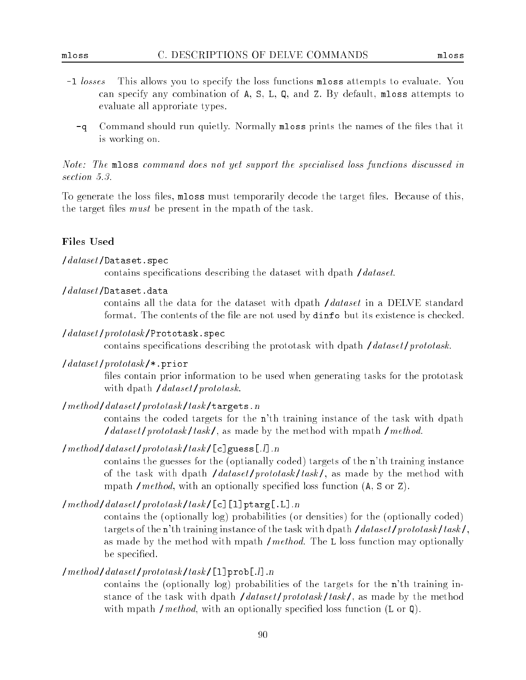- $-1$  losses This allows you to specify the loss functions mloss attempts to evaluate. You can specify any combination of A, S, L, Q, and Z. By default, mloss attempts to evaluate all approriate types.
	- -q Command should run quietly. Normally mloss prints the names of the files that it is working on.

Note: The mloss command does not yet support the specialised loss functions discussed in section  $5.3.$ 

To generate the loss files, mloss must temporarily decode the target files. Because of this, the target files  $must$  be present in the mpath of the task.

### **Files Used**

### $\theta$ dataset/Dataset.spec

contains specifications describing the dataset with dpath /dataset.

 $\theta$ dataset/Dataset.data /dataset /Dataset.data

> contains all the data for the dataset with dpath /dataset in a DELVE standard format. The contents of the file are not used by dinfo but its existence is checked.

/dataset/prototask/Prototask.spec

contains specifications describing the prototask with dpath */dataset/prototask*.

### $\frac{1}{dataset}$ /prototask/\*.prior

files contain prior information to be used when generating tasks for the prototask with dpath /dataset/prototask.

/method /dataset /prototask /task /targets.n

contains the coded targets for the n'th training instance of the task with dpath  $\int data set /prototask / task /$ , as made by the method with mpath /method.

 $/method/dataset/prototask/task/[c]guess[.]].n$ 

contains the guesses for the (optianally coded) targets of the n'th training instance of the task with dpath  $\theta$  /dataset/prototask/task/, as made by the method with mpath */method*, with an optionally specified loss function  $(A, S \text{ or } Z)$ .

 $/method/dataset /prototask/task / [c][1]ptarg[.L].n$ 

contains the (optionally log) probabilities (or densities) for the (optionally coded) targets of the n'th training instance of the task with dpath /dataset/prototask/task/, as made by the method with mpath  $/method$ . The L loss function may optionally be specified.

### $/method/dataset /prototask/task/[1]prob[.!]$

contains the (optionally log) probabilities of the targets for the n'th training instance of the task with dpath */dataset/prototask/task/*, as made by the method with mpath */method*, with an optionally specified loss function  $(L \text{ or } Q)$ .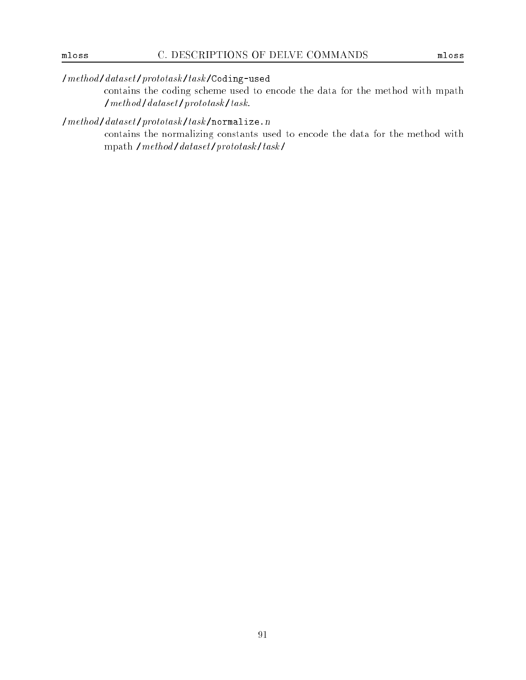## /method /dataset /prototask /task /Coding-used

contains the coding scheme used to encode the data for the method with mpath  $/method / dataset /prototask / task$ .

## $\label{lem:optimal} Imethod/dataset/prototask/task/normalize.n}$

contains the normalizing constants used to encode the data for the method with mpath  $/method/dataset /prototask /task /$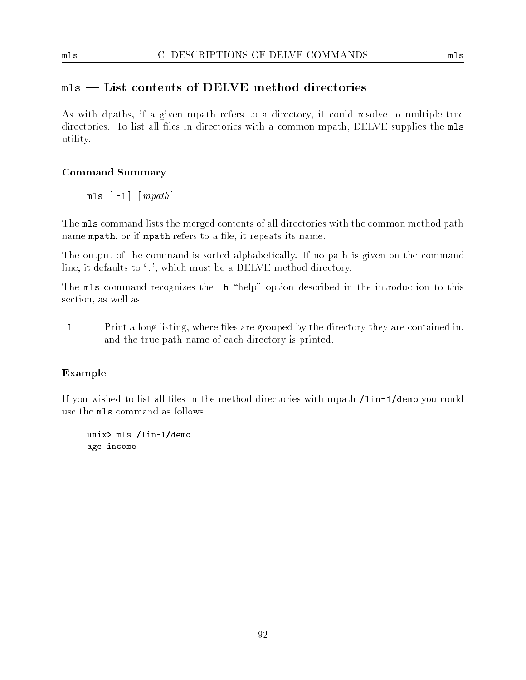## mls | List contents of DELVE method directories

As with dpaths, if a given mpath refers to a directory, it could resolve to multiple true directories. To list all files in directories with a common mpath, DELVE supplies the mls utility.

## Command Summary

 $mls$   $\lceil -1 \rceil$   $\lceil mpath \rceil$ 

The mls command lists the merged contents of all directories with the common method path name mpath, or if mpath refers to a file, it repeats its name.

The output of the command is sorted alphabetically. If no path is given on the command line, it defaults to '.', which must be a DELVE method directory.

The mls command recognizes the  $-h$  "help" option described in the introduction to this section, as well as:

-l Print a long listing, where les are grouped by the directory they are contained in, and the true path name of each directory is printed.

## Example

If you wished to list all files in the method directories with mpath /lin-1/demo you could use the mls command as follows:

unix> mls /lin-1/demo age income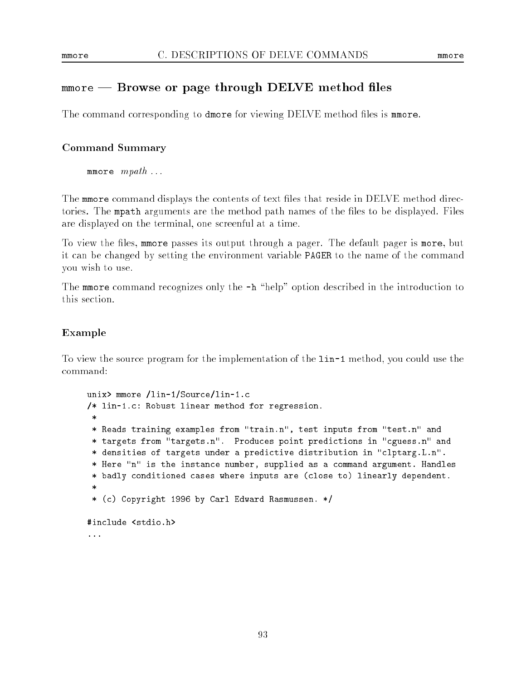## mmore | Browse or page through DELVE method les

The command corresponding to dmore for viewing DELVE method files is mmore.

### Command Summary

mmore  $mpath$ ...

The mmore command displays the contents of text files that reside in DELVE method directories. The mpath arguments are the method path names of the files to be displayed. Files are displayed on the terminal, one screenful at a time.

To view the files, mmore passes its output through a pager. The default pager is more, but it can be changed by setting the environment variable PAGER to the name of the command you wish to use.

The mmore command recognizes only the  $-h$  "help" option described in the introduction to this section.

### Example

To view the source program for the implementation of the lin-1 method, you could use the command:

```
unix> mmore /lin-1/Source/lin-1.c
/* lin-1.c: Robust linear method for regression.
 \ast* Reads training examples from "train.n", test inputs from "test.n" and
 * targets from "targets.n". Produces point predictions in "cguess.n" and
 * densities of targets under a predictive distribution in "clptarg.L.n".
 * Here "n" is the instance number, supplied as a command argument. Handles
 * badly conditioned cases where inputs are (close to) linearly dependent.
 \ast* (c) Copyright 1996 by Carl Edward Rasmussen. */
#include <stdio.h>
...
```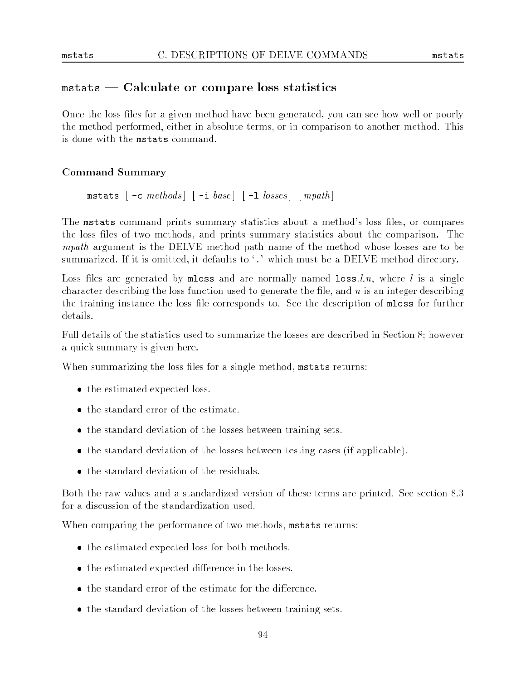### mstats | Calculate or compare loss statistics

Once the loss files for a given method have been generated, you can see how well or poorly the method performed, either in absolute terms, or in comparison to another method. This is done with the mstats command.

### Command Summary

mstats  $\lceil -c \; methods \rceil \rceil -i \; base \rceil \lceil -1 \; losses \rceil \; \lceil \; mpath \rceil$ 

The mistats command prints summary statistics about a method's loss files, or compares the loss files of two methods, and prints summary statistics about the comparison. The mpath argument is the DELVE method path name of the method whose losses are to be summarized. If it is omitted, it defaults to '.' which must be a DELVE method directory.

Loss files are generated by mloss and are normally named loss.  $l.n$ , where  $l$  is a single character describing the loss function used to generate the file, and  $n$  is an integer describing the training instance the loss le corresponds to. See the description of mloss for further details.

Full details of the statistics used to summarize the losses are described in Section 8; however a quick summary is given here.

When summarizing the loss files for a single method, mstats returns:

- the estimated expected loss.
- the standard error of the estimate.
- the standard deviation of the losses between training sets.
- the standard deviation of the losses between testing cases (if applicable).
- 

Both the raw values and a standardized version of these terms are printed. See section 8.3 for a discussion of the standardization used.

When comparing the performance of two methods, mstats returns:

- the estimated expected loss for both methods.
- the estimated expected difference in the losses.
- $\bullet$  the standard error of the estimate for the difference.
- the standard deviation of the losses between training sets.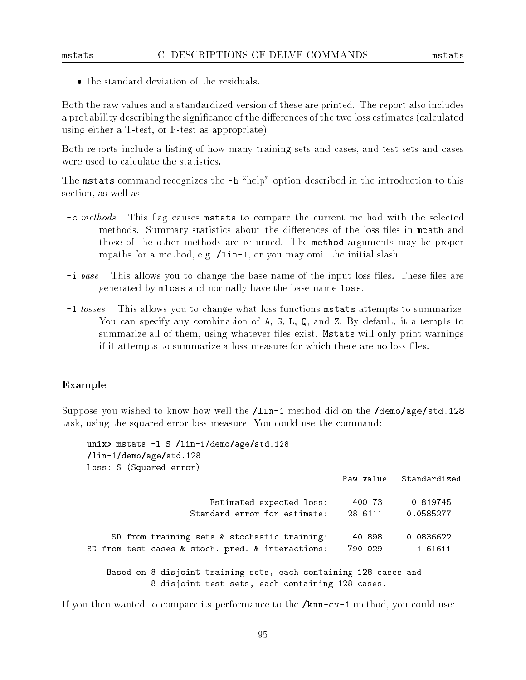#### C. DESCRIPTIONS OF DELVE COMMANDS

Both the raw values and a standardized version of these are printed. The report also includes a probability describing the significance of the differences of the two loss estimates (calculated using either a T-test, or F-test as appropriate).

Both reports include a listing of how many training sets and cases, and test sets and cases were used to calculate the statistics.

The mstats command recognizes the  $-h$  "help" option described in the introduction to this section, as well as:

- -c methods This flag causes metats to compare the current method with the selected methods. Summary statistics about the differences of the loss files in mpath and those of the other methods are returned. The method arguments may be proper mpaths for a method, e.g. /lin-1, or you may omit the initial slash.
- $-i$  base This allows you to change the base name of the input loss files. These files are generated by mloss and normally have the base name loss.
- $-1$  losses This allows you to change what loss functions metats attempts to summarize. You can specify any combination of A, S, L, Q, and Z. By default, it attempts to summarize all of them, using whatever files exist. Mstats will only print warnings if it attempts to summarize a loss measure for which there are no loss files.

#### Example

Suppose you wished to know how well the /lin-1 method did on the /demo/age/std.128 task, using the squared error loss measure. You could use the command:

```
unix> mstats -1 S /lin-1/demo/age/std.128
/lin-1/demo/age/std.128
Loss: S (Squared error)
                        Estimated expected loss: 400.73 0.819745
                    Standard error for estimate: 28.6111 0.0585277
     SD from training sets \& stochastic training:
                                                    40.898
                                                              0.0836622
SD from test cases & stoch. pred. & interactions: 790.029 1.61611
   Based on 8 disjoint training sets, each containing 128 cases and
            8 disjoint test sets, each containing 128 cases.
```
If you then wanted to compare its performance to the  $/knn-cv-1$  method, you could use: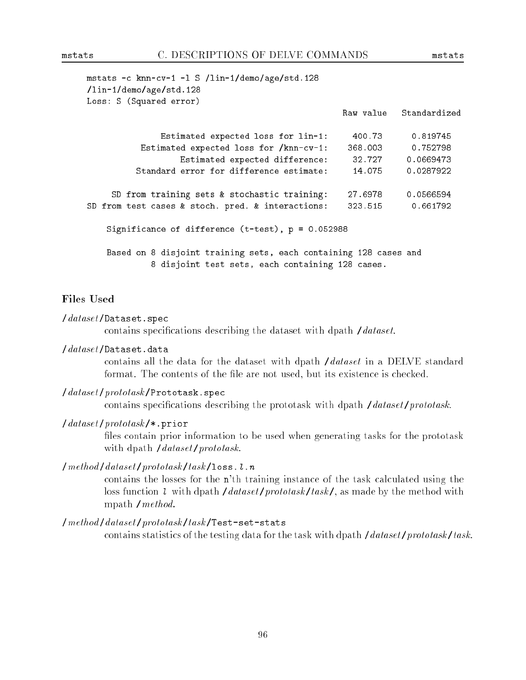| mstats -c knn-cv-1 -1 S /lin-1/demo/age/std.128<br>/lin-1/demo/age/std.128                                           |         |                        |
|----------------------------------------------------------------------------------------------------------------------|---------|------------------------|
| Loss: S (Squared error)                                                                                              |         | Raw value Standardized |
| Estimated expected loss for lin-1:                                                                                   | 400.73  | 0.819745               |
| Estimated expected loss for /knn-cv-1:                                                                               | 368.003 | 0.752798               |
| Estimated expected difference:                                                                                       | 32.727  | 0.0669473              |
| Standard error for difference estimate:                                                                              | 14.075  | 0.0287922              |
| SD from training sets & stochastic training:                                                                         | 27.6978 | 0.0566594              |
| SD from test cases & stoch. pred. & interactions:                                                                    | 323.515 | 0.661792               |
| Significance of difference $(t-test)$ , $p = 0.052988$                                                               |         |                        |
| Based on 8 disjoint training sets, each containing 128 cases and<br>8 disjoint test sets, each containing 128 cases. |         |                        |

### **Files Used**

#### $\theta$ dataset/Dataset.spec

contains specifications describing the dataset with dpath /dataset.

### /dataset /Dataset.data

contains all the data for the dataset with dpath /dataset in a DELVE standard format. The contents of the file are not used, but its existence is checked.

### /dataset/prototask/Prototask.spec

contains specifications describing the prototask with dpath */dataset/prototask.* 

### $\frac{1}{dataset}$ /prototask/\*.prior

files contain prior information to be used when generating tasks for the prototask with dpath /dataset/prototask.

### /method/dataset/prototask/task/loss.l.n

contains the losses for the n'th training instance of the task calculated using the loss function l with dpath /dataset/prototask/task/, as made by the method with mpath /method.

### /method /dataset /prototask /task /Test-set-stats

contains statistics of the testing data for the task with dpath  $\theta$  /dataset/prototask/task.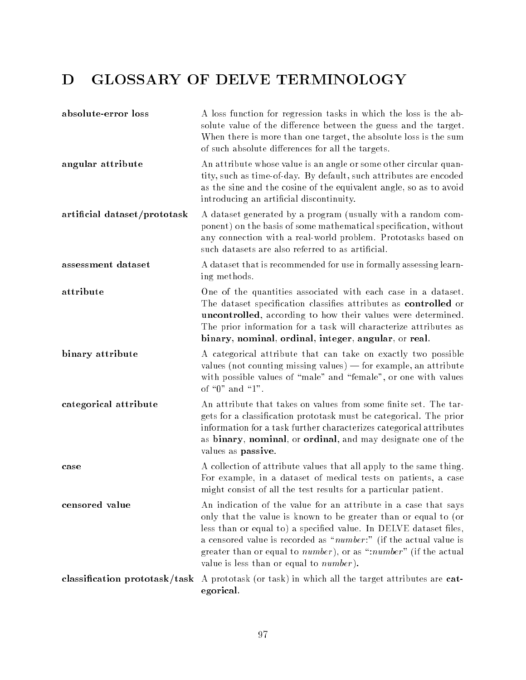# D GLOSSARY OF DELVE TERMINOLOGY

| absolute-error loss           | A loss function for regression tasks in which the loss is the ab-<br>solute value of the difference between the guess and the target.<br>When there is more than one target, the absolute loss is the sum<br>of such absolute differences for all the targets.                                                                                                                                      |
|-------------------------------|-----------------------------------------------------------------------------------------------------------------------------------------------------------------------------------------------------------------------------------------------------------------------------------------------------------------------------------------------------------------------------------------------------|
| angular attribute             | An attribute whose value is an angle or some other circular quan-<br>tity, such as time-of-day. By default, such attributes are encoded<br>as the sine and the cosine of the equivalent angle, so as to avoid<br>introducing an artificial discontinuity.                                                                                                                                           |
| artificial dataset/prototask  | A dataset generated by a program (usually with a random com-<br>ponent) on the basis of some mathematical specification, without<br>any connection with a real-world problem. Prototasks based on<br>such datasets are also referred to as artificial.                                                                                                                                              |
| assessment dataset            | A dataset that is recommended for use in formally assessing learn-<br>ing methods.                                                                                                                                                                                                                                                                                                                  |
| attribute                     | One of the quantities associated with each case in a dataset.<br>The dataset specification classifies attributes as controlled or<br>uncontrolled, according to how their values were determined.<br>The prior information for a task will characterize attributes as<br>binary, nominal, ordinal, integer, angular, or real.                                                                       |
| binary attribute              | A categorical attribute that can take on exactly two possible<br>values (not counting missing values) - for example, an attribute<br>with possible values of "male" and "female", or one with values<br>of "0" and "1".                                                                                                                                                                             |
| categorical attribute         | An attribute that takes on values from some finite set. The tar-<br>gets for a classification prototask must be categorical. The prior<br>information for a task further characterizes categorical attributes<br>as binary, nominal, or ordinal, and may designate one of the<br>values as passive.                                                                                                 |
| case                          | A collection of attribute values that all apply to the same thing.<br>For example, in a dataset of medical tests on patients, a case<br>might consist of all the test results for a particular patient.                                                                                                                                                                                             |
| censored value                | An indication of the value for an attribute in a case that says<br>only that the value is known to be greater than or equal to (or<br>less than or equal to) a specified value. In DELVE dataset files,<br>a censored value is recorded as "number:" (if the actual value is<br>greater than or equal to number), or as ":number" (if the actual<br>value is less than or equal to <i>number</i> ). |
| classification prototask/task | A prototask (or task) in which all the target attributes are cat-<br>egorical.                                                                                                                                                                                                                                                                                                                      |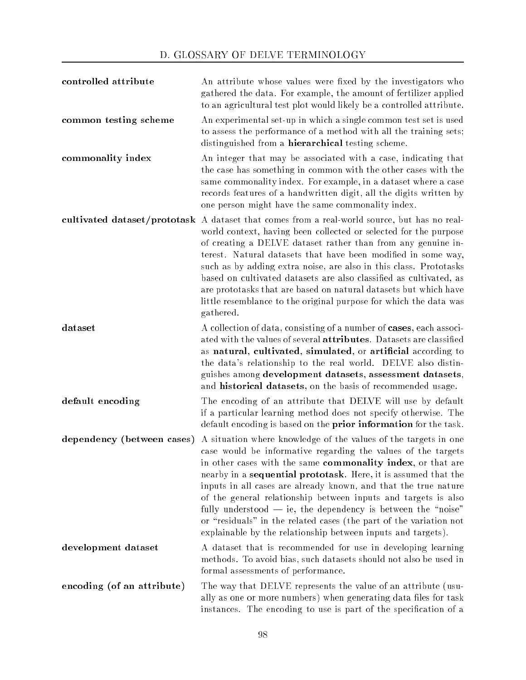| controlled attribute       | An attribute whose values were fixed by the investigators who<br>gathered the data. For example, the amount of fertilizer applied<br>to an agricultural test plot would likely be a controlled attribute.                                                                                                                                                                                                                                                                                                                                                                                                      |
|----------------------------|----------------------------------------------------------------------------------------------------------------------------------------------------------------------------------------------------------------------------------------------------------------------------------------------------------------------------------------------------------------------------------------------------------------------------------------------------------------------------------------------------------------------------------------------------------------------------------------------------------------|
| common testing scheme      | An experimental set-up in which a single common test set is used<br>to assess the performance of a method with all the training sets;<br>distinguished from a <b>hierarchical</b> testing scheme.                                                                                                                                                                                                                                                                                                                                                                                                              |
| commonality index          | An integer that may be associated with a case, indicating that<br>the case has something in common with the other cases with the<br>same commonality index. For example, in a dataset where a case<br>records features of a handwritten digit, all the digits written by<br>one person might have the same commonality index.                                                                                                                                                                                                                                                                                  |
|                            | cultivated dataset/prototask A dataset that comes from a real-world source, but has no real-<br>world context, having been collected or selected for the purpose<br>of creating a DELVE dataset rather than from any genuine in-<br>terest. Natural datasets that have been modified in some way,<br>such as by adding extra noise, are also in this class. Prototasks<br>based on cultivated datasets are also classified as cultivated, as<br>are prototasks that are based on natural datasets but which have<br>little resemblance to the original purpose for which the data was<br>gathered.             |
| dataset                    | A collection of data, consisting of a number of cases, each associ-<br>ated with the values of several attributes. Datasets are classified<br>as natural, cultivated, simulated, or artificial according to<br>the data's relationship to the real world. DELVE also distin-<br>guishes among development datasets, assessment datasets,<br>and historical datasets, on the basis of recommended usage.                                                                                                                                                                                                        |
| default encoding           | The encoding of an attribute that DELVE will use by default<br>if a particular learning method does not specify otherwise. The<br>default encoding is based on the prior information for the task.                                                                                                                                                                                                                                                                                                                                                                                                             |
| dependency (between cases) | A situation where knowledge of the values of the targets in one<br>case would be informative regarding the values of the targets<br>in other cases with the same commonality index, or that are<br>nearby in a sequential prototask. Here, it is assumed that the<br>inputs in all cases are already known, and that the true nature<br>of the general relationship between inputs and targets is also<br>fully understood $-$ ie, the dependency is between the "noise"<br>or "residuals" in the related cases (the part of the variation not<br>explainable by the relationship between inputs and targets). |
| development dataset        | A dataset that is recommended for use in developing learning<br>methods. To avoid bias, such datasets should not also be used in<br>formal assessments of performance.                                                                                                                                                                                                                                                                                                                                                                                                                                         |
| encoding (of an attribute) | The way that DELVE represents the value of an attribute (usu-<br>ally as one or more numbers) when generating data files for task<br>instances. The encoding to use is part of the specification of a                                                                                                                                                                                                                                                                                                                                                                                                          |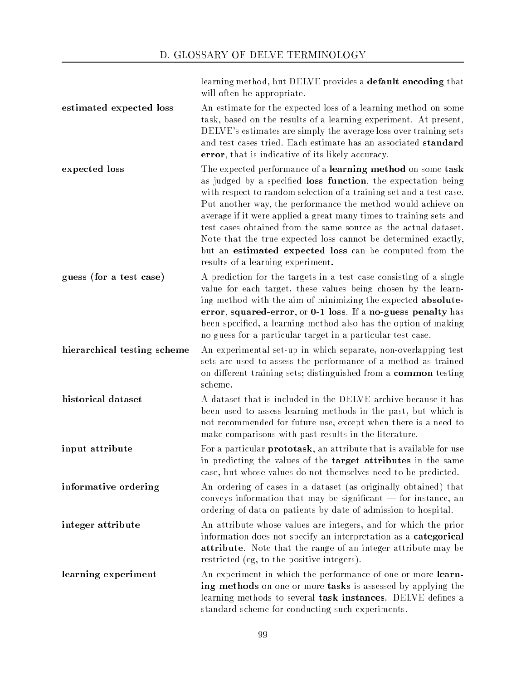learning method, but DELVE provides a default encoding that will often be appropriate.

| estimated expected loss     | An estimate for the expected loss of a learning method on some<br>task, based on the results of a learning experiment. At present,<br>DELVE's estimates are simply the average loss over training sets<br>and test cases tried. Each estimate has an associated standard<br>error, that is indicative of its likely accuracy.                                                                                                                                                                                                                                                 |
|-----------------------------|-------------------------------------------------------------------------------------------------------------------------------------------------------------------------------------------------------------------------------------------------------------------------------------------------------------------------------------------------------------------------------------------------------------------------------------------------------------------------------------------------------------------------------------------------------------------------------|
| expected loss               | The expected performance of a learning method on some task<br>as judged by a specified loss function, the expectation being<br>with respect to random selection of a training set and a test case.<br>Put another way, the performance the method would achieve on<br>average if it were applied a great many times to training sets and<br>test cases obtained from the same source as the actual dataset.<br>Note that the true expected loss cannot be determined exactly,<br>but an estimated expected loss can be computed from the<br>results of a learning experiment. |
| guess (for a test case)     | A prediction for the targets in a test case consisting of a single<br>value for each target, these values being chosen by the learn-<br>ing method with the aim of minimizing the expected absolute-<br>error, squared-error, or 0-1 loss. If a no-guess penalty has<br>been specified, a learning method also has the option of making<br>no guess for a particular target in a particular test case.                                                                                                                                                                        |
| hierarchical testing scheme | An experimental set-up in which separate, non-overlapping test<br>sets are used to assess the performance of a method as trained<br>on different training sets; distinguished from a common testing<br>scheme.                                                                                                                                                                                                                                                                                                                                                                |
| historical dataset          | A dataset that is included in the DELVE archive because it has<br>been used to assess learning methods in the past, but which is<br>not recommended for future use, except when there is a need to<br>make comparisons with past results in the literature.                                                                                                                                                                                                                                                                                                                   |
| input attribute             | For a particular <b>prototask</b> , an attribute that is available for use<br>in predicting the values of the <b>target attributes</b> in the same<br>case, but whose values do not themselves need to be predicted.                                                                                                                                                                                                                                                                                                                                                          |
| informative ordering        | An ordering of cases in a dataset (as originally obtained) that<br>conveys information that may be significant - for instance, an<br>ordering of data on patients by date of admission to hospital.                                                                                                                                                                                                                                                                                                                                                                           |
| integer attribute           | An attribute whose values are integers, and for which the prior<br>information does not specify an interpretation as a categorical<br>attribute. Note that the range of an integer attribute may be<br>restricted (eg, to the positive integers).                                                                                                                                                                                                                                                                                                                             |
| learning experiment         | An experiment in which the performance of one or more learn-<br>ing methods on one or more tasks is assessed by applying the<br>learning methods to several task instances. DELVE defines a<br>standard scheme for conducting such experiments.                                                                                                                                                                                                                                                                                                                               |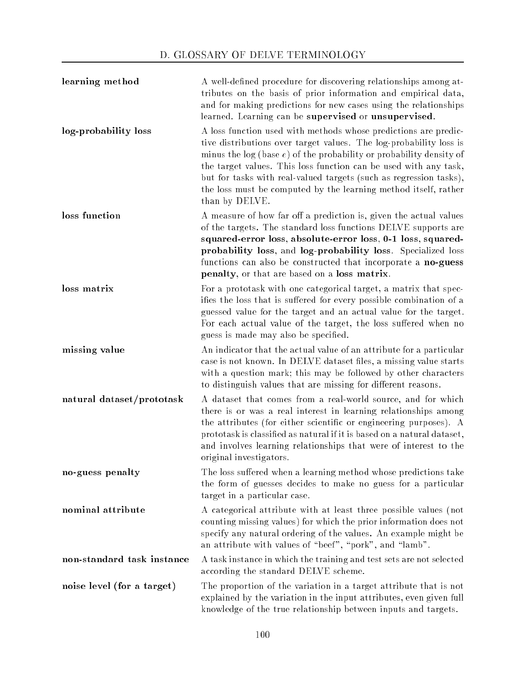| learning method            | A well-defined procedure for discovering relationships among at-<br>tributes on the basis of prior information and empirical data,<br>and for making predictions for new cases using the relationships<br>learned. Learning can be supervised or unsupervised.                                                                                                                                                                                |
|----------------------------|-----------------------------------------------------------------------------------------------------------------------------------------------------------------------------------------------------------------------------------------------------------------------------------------------------------------------------------------------------------------------------------------------------------------------------------------------|
| log-probability loss       | A loss function used with methods whose predictions are predic-<br>tive distributions over target values. The log-probability loss is<br>minus the $log (base e)$ of the probability or probability density of<br>the target values. This loss function can be used with any task,<br>but for tasks with real-valued targets (such as regression tasks),<br>the loss must be computed by the learning method itself, rather<br>than by DELVE. |
| loss function              | A measure of how far off a prediction is, given the actual values<br>of the targets. The standard loss functions DELVE supports are<br>squared-error loss, absolute-error loss, 0-1 loss, squared-<br>probability loss, and log-probability loss. Specialized loss<br>functions can also be constructed that incorporate a no-guess<br>penalty, or that are based on a loss matrix.                                                           |
| loss matrix                | For a prototask with one categorical target, a matrix that spec-<br>ifies the loss that is suffered for every possible combination of a<br>guessed value for the target and an actual value for the target.<br>For each actual value of the target, the loss suffered when no<br>guess is made may also be specified.                                                                                                                         |
| missing value              | An indicator that the actual value of an attribute for a particular<br>case is not known. In DELVE dataset files, a missing value starts<br>with a question mark; this may be followed by other characters<br>to distinguish values that are missing for different reasons.                                                                                                                                                                   |
| natural dataset/prototask  | A dataset that comes from a real-world source, and for which<br>there is or was a real interest in learning relationships among<br>the attributes (for either scientific or engineering purposes). A<br>prototask is classified as natural if it is based on a natural dataset,<br>and involves learning relationships that were of interest to the<br>original investigators.                                                                |
| no-guess penalty           | The loss suffered when a learning method whose predictions take<br>the form of guesses decides to make no guess for a particular<br>target in a particular case.                                                                                                                                                                                                                                                                              |
| nominal attribute          | A categorical attribute with at least three possible values (not<br>counting missing values) for which the prior information does not<br>specify any natural ordering of the values. An example might be<br>an attribute with values of "beef", "pork", and "lamb".                                                                                                                                                                           |
| non-standard task instance | A task instance in which the training and test sets are not selected<br>according the standard DELVE scheme.                                                                                                                                                                                                                                                                                                                                  |
| noise level (for a target) | The proportion of the variation in a target attribute that is not<br>explained by the variation in the input attributes, even given full<br>knowledge of the true relationship between inputs and targets.                                                                                                                                                                                                                                    |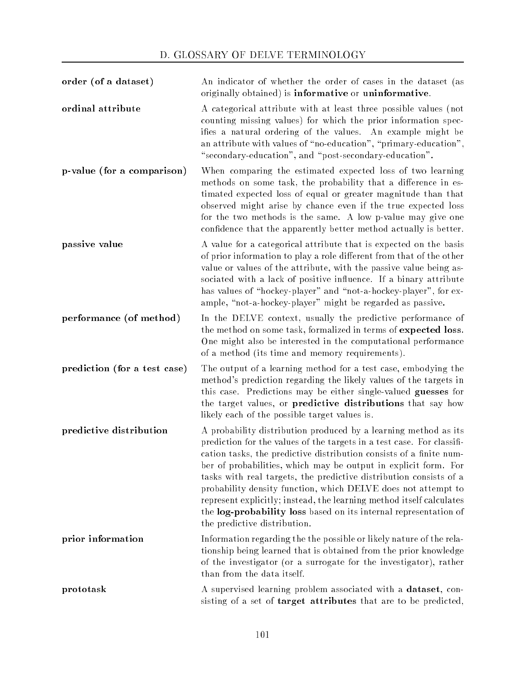| order (of a dataset)         | An indicator of whether the order of cases in the dataset (as<br>originally obtained) is <b>informative</b> or <b>uninformative</b> .                                                                                                                                                                                                                                                                                                                                                                                                                                                                  |
|------------------------------|--------------------------------------------------------------------------------------------------------------------------------------------------------------------------------------------------------------------------------------------------------------------------------------------------------------------------------------------------------------------------------------------------------------------------------------------------------------------------------------------------------------------------------------------------------------------------------------------------------|
| ordinal attribute            | A categorical attribute with at least three possible values (not<br>counting missing values) for which the prior information spec-<br>ifies a natural ordering of the values. An example might be<br>an attribute with values of "no-education", "primary-education",<br>"secondary-education", and "post-secondary-education".                                                                                                                                                                                                                                                                        |
| p-value (for a comparison)   | When comparing the estimated expected loss of two learning<br>methods on some task, the probability that a difference in es-<br>timated expected loss of equal or greater magnitude than that<br>observed might arise by chance even if the true expected loss<br>for the two methods is the same. A low p-value may give one<br>confidence that the apparently better method actually is better.                                                                                                                                                                                                      |
| passive value                | A value for a categorical attribute that is expected on the basis<br>of prior information to play a role different from that of the other<br>value or values of the attribute, with the passive value being as-<br>sociated with a lack of positive influence. If a binary attribute<br>has values of "hockey-player" and "not-a-hockey-player", for ex-<br>ample, "not-a-hockey-player" might be regarded as passive.                                                                                                                                                                                 |
| performance (of method)      | In the DELVE context, usually the predictive performance of<br>the method on some task, formalized in terms of expected loss.<br>One might also be interested in the computational performance<br>of a method (its time and memory requirements).                                                                                                                                                                                                                                                                                                                                                      |
| prediction (for a test case) | The output of a learning method for a test case, embodying the<br>method's prediction regarding the likely values of the targets in<br>this case. Predictions may be either single-valued guesses for<br>the target values, or predictive distributions that say how<br>likely each of the possible target values is.                                                                                                                                                                                                                                                                                  |
| predictive distribution      | A probability distribution produced by a learning method as its<br>prediction for the values of the targets in a test case. For classifi-<br>cation tasks, the predictive distribution consists of a finite num-<br>ber of probabilities, which may be output in explicit form. For<br>tasks with real targets, the predictive distribution consists of a<br>probability density function, which DELVE does not attempt to<br>represent explicitly; instead, the learning method itself calculates<br>the log-probability loss based on its internal representation of<br>the predictive distribution. |
| prior information            | Information regarding the the possible or likely nature of the rela-<br>tionship being learned that is obtained from the prior knowledge<br>of the investigator (or a surrogate for the investigator), rather<br>than from the data itself.                                                                                                                                                                                                                                                                                                                                                            |
| prototask                    | A supervised learning problem associated with a dataset, con-<br>sisting of a set of <b>target attributes</b> that are to be predicted,                                                                                                                                                                                                                                                                                                                                                                                                                                                                |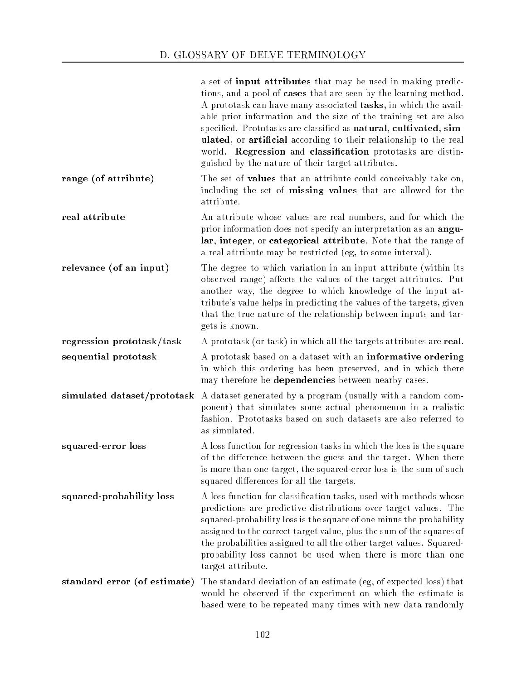|                              | a set of <b>input attributes</b> that may be used in making predic-<br>tions, and a pool of cases that are seen by the learning method.<br>A prototask can have many associated tasks, in which the avail-<br>able prior information and the size of the training set are also<br>specified. Prototasks are classified as natural, cultivated, sim-<br>ulated, or artificial according to their relationship to the real<br>world. Regression and classification prototasks are distin-<br>guished by the nature of their target attributes. |
|------------------------------|----------------------------------------------------------------------------------------------------------------------------------------------------------------------------------------------------------------------------------------------------------------------------------------------------------------------------------------------------------------------------------------------------------------------------------------------------------------------------------------------------------------------------------------------|
| range (of attribute)         | The set of <b>values</b> that an attribute could conceivably take on,<br>including the set of missing values that are allowed for the<br>attribute.                                                                                                                                                                                                                                                                                                                                                                                          |
| real attribute               | An attribute whose values are real numbers, and for which the<br>prior information does not specify an interpretation as an angu-<br>lar, integer, or categorical attribute. Note that the range of<br>a real attribute may be restricted (eg, to some interval).                                                                                                                                                                                                                                                                            |
| relevance (of an input)      | The degree to which variation in an input attribute (within its<br>observed range) affects the values of the target attributes. Put<br>another way, the degree to which knowledge of the input at-<br>tribute's value helps in predicting the values of the targets, given<br>that the true nature of the relationship between inputs and tar-<br>gets is known.                                                                                                                                                                             |
| regression prototask/task    | A prototask (or task) in which all the targets attributes are real.                                                                                                                                                                                                                                                                                                                                                                                                                                                                          |
| sequential prototask         | A prototask based on a dataset with an informative ordering<br>in which this ordering has been preserved, and in which there<br>may therefore be dependencies between nearby cases.                                                                                                                                                                                                                                                                                                                                                          |
| simulated dataset/prototask  | A dataset generated by a program (usually with a random com-<br>ponent) that simulates some actual phenomenon in a realistic<br>fashion. Prototasks based on such datasets are also referred to<br>as simulated.                                                                                                                                                                                                                                                                                                                             |
| squared-error loss           | A loss function for regression tasks in which the loss is the square<br>of the difference between the guess and the target. When there<br>is more than one target, the squared-error loss is the sum of such<br>squared differences for all the targets.                                                                                                                                                                                                                                                                                     |
| squared-probability loss     | A loss function for classification tasks, used with methods whose<br>predictions are predictive distributions over target values. The<br>squared-probability loss is the square of one minus the probability<br>assigned to the correct target value, plus the sum of the squares of<br>the probabilities assigned to all the other target values. Squared-<br>probability loss cannot be used when there is more than one<br>target attribute.                                                                                              |
| standard error (of estimate) | The standard deviation of an estimate (eg, of expected loss) that<br>would be observed if the experiment on which the estimate is<br>based were to be repeated many times with new data randomly                                                                                                                                                                                                                                                                                                                                             |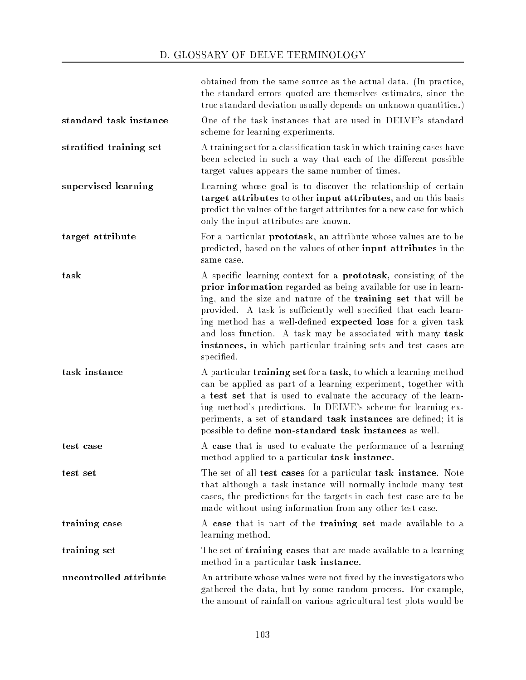## D. GLOSSARY OF DELVE TERMINOLOGY

|                         | obtained from the same source as the actual data. (In practice,<br>the standard errors quoted are themselves estimates, since the<br>true standard deviation usually depends on unknown quantities.)                                                                                                                                                                                                                                                                                          |
|-------------------------|-----------------------------------------------------------------------------------------------------------------------------------------------------------------------------------------------------------------------------------------------------------------------------------------------------------------------------------------------------------------------------------------------------------------------------------------------------------------------------------------------|
| standard task instance  | One of the task instances that are used in DELVE's standard<br>scheme for learning experiments.                                                                                                                                                                                                                                                                                                                                                                                               |
| stratified training set | A training set for a classification task in which training cases have<br>been selected in such a way that each of the different possible<br>target values appears the same number of times.                                                                                                                                                                                                                                                                                                   |
| supervised learning     | Learning whose goal is to discover the relationship of certain<br>target attributes to other input attributes, and on this basis<br>predict the values of the target attributes for a new case for which<br>only the input attributes are known.                                                                                                                                                                                                                                              |
| target attribute        | For a particular <b>prototask</b> , an attribute whose values are to be<br>predicted, based on the values of other input attributes in the<br>same case.                                                                                                                                                                                                                                                                                                                                      |
| task                    | A specific learning context for a <b>prototask</b> , consisting of the<br>prior information regarded as being available for use in learn-<br>ing, and the size and nature of the training set that will be<br>provided. A task is sufficiently well specified that each learn-<br>ing method has a well-defined expected loss for a given task<br>and loss function. A task may be associated with many task<br>instances, in which particular training sets and test cases are<br>specified. |
| task instance           | A particular training set for a task, to which a learning method<br>can be applied as part of a learning experiment, together with<br>a test set that is used to evaluate the accuracy of the learn-<br>ing method's predictions. In DELVE's scheme for learning ex-<br>periments, a set of standard task instances are defined; it is<br>possible to define non-standard task instances as well.                                                                                             |
| test case               | A case that is used to evaluate the performance of a learning<br>method applied to a particular task instance.                                                                                                                                                                                                                                                                                                                                                                                |
| test set                | The set of all test cases for a particular task instance. Note<br>that although a task instance will normally include many test<br>cases, the predictions for the targets in each test case are to be<br>made without using information from any other test case.                                                                                                                                                                                                                             |
| training case           | A case that is part of the training set made available to a<br>learning method.                                                                                                                                                                                                                                                                                                                                                                                                               |
| training set            | The set of <b>training cases</b> that are made available to a learning<br>method in a particular task instance.                                                                                                                                                                                                                                                                                                                                                                               |
| uncontrolled attribute  | An attribute whose values were not fixed by the investigators who<br>gathered the data, but by some random process. For example,<br>the amount of rainfall on various agricultural test plots would be                                                                                                                                                                                                                                                                                        |